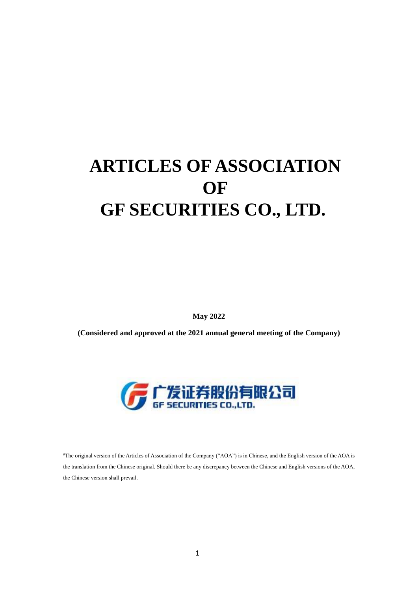# **ARTICLES OF ASSOCIATION OF GF SECURITIES CO., LTD.**

**May 2022** 

**(Considered and approved at the 2021 annual general meeting of the Company)**



#The original version of the Articles of Association of the Company ("AOA") is in Chinese, and the English version of the AOA is the translation from the Chinese original. Should there be any discrepancy between the Chinese and English versions of the AOA, the Chinese version shall prevail.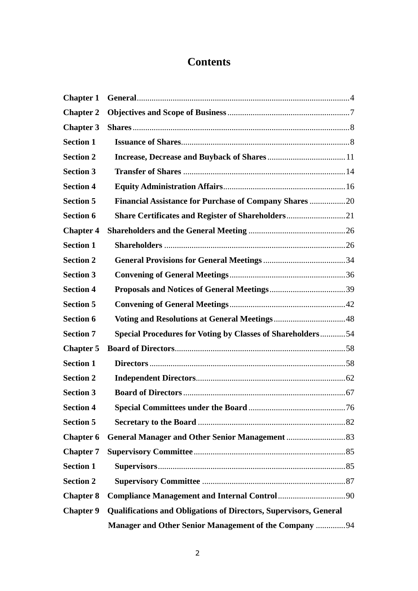# **Contents**

| <b>Chapter 1</b> |                                                                          |  |
|------------------|--------------------------------------------------------------------------|--|
| <b>Chapter 2</b> |                                                                          |  |
| <b>Chapter 3</b> |                                                                          |  |
| <b>Section 1</b> |                                                                          |  |
| <b>Section 2</b> |                                                                          |  |
| <b>Section 3</b> |                                                                          |  |
| <b>Section 4</b> |                                                                          |  |
| <b>Section 5</b> | <b>Financial Assistance for Purchase of Company Shares 20</b>            |  |
| <b>Section 6</b> |                                                                          |  |
| <b>Chapter 4</b> |                                                                          |  |
| <b>Section 1</b> |                                                                          |  |
| <b>Section 2</b> |                                                                          |  |
| <b>Section 3</b> |                                                                          |  |
| <b>Section 4</b> |                                                                          |  |
| <b>Section 5</b> |                                                                          |  |
| <b>Section 6</b> |                                                                          |  |
| <b>Section 7</b> | <b>Special Procedures for Voting by Classes of Shareholders54</b>        |  |
| <b>Chapter 5</b> |                                                                          |  |
| <b>Section 1</b> |                                                                          |  |
| <b>Section 2</b> |                                                                          |  |
| <b>Section 3</b> |                                                                          |  |
| <b>Section 4</b> |                                                                          |  |
| <b>Section 5</b> |                                                                          |  |
| <b>Chapter 6</b> |                                                                          |  |
| <b>Chapter 7</b> |                                                                          |  |
| <b>Section 1</b> |                                                                          |  |
| <b>Section 2</b> |                                                                          |  |
| <b>Chapter 8</b> |                                                                          |  |
| <b>Chapter 9</b> | <b>Qualifications and Obligations of Directors, Supervisors, General</b> |  |
|                  | <b>Manager and Other Senior Management of the Company 94</b>             |  |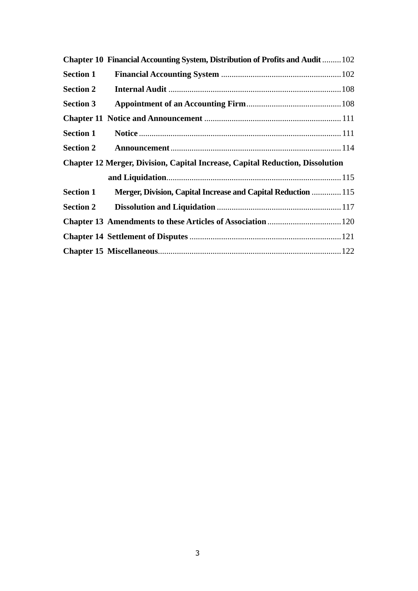|                  | Chapter 10 Financial Accounting System, Distribution of Profits and Audit  102       |  |
|------------------|--------------------------------------------------------------------------------------|--|
| <b>Section 1</b> |                                                                                      |  |
| <b>Section 2</b> |                                                                                      |  |
| <b>Section 3</b> |                                                                                      |  |
|                  |                                                                                      |  |
| <b>Section 1</b> |                                                                                      |  |
| <b>Section 2</b> |                                                                                      |  |
|                  | <b>Chapter 12 Merger, Division, Capital Increase, Capital Reduction, Dissolution</b> |  |
|                  |                                                                                      |  |
| <b>Section 1</b> | Merger, Division, Capital Increase and Capital Reduction  115                        |  |
| <b>Section 2</b> |                                                                                      |  |
|                  |                                                                                      |  |
|                  |                                                                                      |  |
|                  |                                                                                      |  |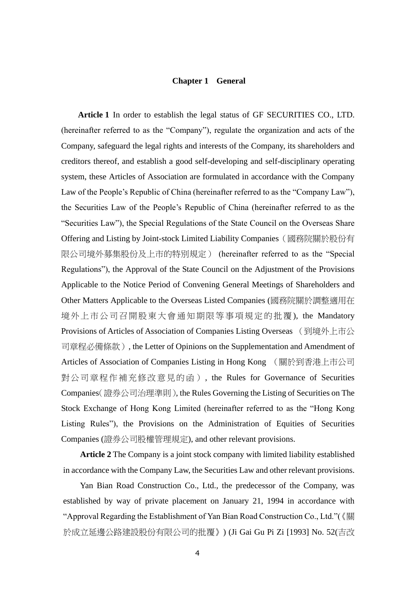#### **Chapter 1 General**

**Article 1** In order to establish the legal status of GF SECURITIES CO., LTD. (hereinafter referred to as the "Company"), regulate the organization and acts of the Company, safeguard the legal rights and interests of the Company, its shareholders and creditors thereof, and establish a good self-developing and self-disciplinary operating system, these Articles of Association are formulated in accordance with the Company Law of the People's Republic of China (hereinafter referred to as the "Company Law"), the Securities Law of the People's Republic of China (hereinafter referred to as the "Securities Law"), the Special Regulations of the State Council on the Overseas Share Offering and Listing by Joint-stock Limited Liability Companies(國務院關於股份有 限公司境外募集股份及上市的特別規定) (hereinafter referred to as the "Special Regulations"), the Approval of the State Council on the Adjustment of the Provisions Applicable to the Notice Period of Convening General Meetings of Shareholders and Other Matters Applicable to the Overseas Listed Companies (國務院關於調整適用在 境外上市公司召開股東大會通知期限等事項規定的批覆 ), the Mandatory Provisions of Articles of Association of Companies Listing Overseas (到境外上市公 司章程必備條款), the Letter of Opinions on the Supplementation and Amendment of Articles of Association of Companies Listing in Hong Kong (關於到香港上市公司 對公司章程作補充修改意見的函), the Rules for Governance of Securities Companies(證券公司治理準則), the Rules Governing the Listing of Securities on The Stock Exchange of Hong Kong Limited (hereinafter referred to as the "Hong Kong Listing Rules"), the Provisions on the Administration of Equities of Securities Companies (證券公司股權管理規定), and other relevant provisions.

**Article 2** The Company is a joint stock company with limited liability established in accordance with the Company Law, the Securities Law and other relevant provisions.

Yan Bian Road Construction Co., Ltd., the predecessor of the Company, was established by way of private placement on January 21, 1994 in accordance with "Approval Regarding the Establishment of Yan Bian Road Construction Co., Ltd."(《關 於成立延邊公路建設股份有限公司的批覆》) (Ji Gai Gu Pi Zi [1993] No. 52(吉改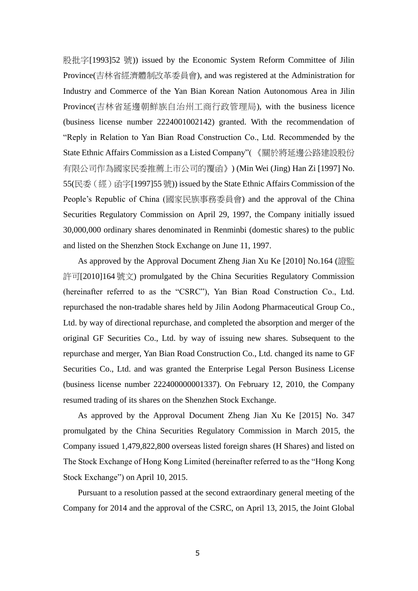股批字[1993]52 號)) issued by the Economic System Reform Committee of Jilin Province(吉林省經濟體制改革委員會), and was registered at the Administration for Industry and Commerce of the Yan Bian Korean Nation Autonomous Area in Jilin Province(吉林省延邊朝鮮族自治州工商行政管理局), with the business licence (business license number 2224001002142) granted. With the recommendation of "Reply in Relation to Yan Bian Road Construction Co., Ltd. Recommended by the State Ethnic Affairs Commission as a Listed Company"( 《關於將延邊公路建設股份 有限公司作為國家民委推薦上市公司的覆函》) (Min Wei (Jing) Han Zi [1997] No. 55(民委 ( 經 ) 函字[1997]55 號)) issued by the State Ethnic Affairs Commission of the People's Republic of China (國家民族事務委員會) and the approval of the China Securities Regulatory Commission on April 29, 1997, the Company initially issued 30,000,000 ordinary shares denominated in Renminbi (domestic shares) to the public and listed on the Shenzhen Stock Exchange on June 11, 1997.

As approved by the Approval Document Zheng Jian Xu Ke [2010] No.164 (證監 許可[2010]164號文) promulgated by the China Securities Regulatory Commission (hereinafter referred to as the "CSRC"), Yan Bian Road Construction Co., Ltd. repurchased the non-tradable shares held by Jilin Aodong Pharmaceutical Group Co., Ltd. by way of directional repurchase, and completed the absorption and merger of the original GF Securities Co., Ltd. by way of issuing new shares. Subsequent to the repurchase and merger, Yan Bian Road Construction Co., Ltd. changed its name to GF Securities Co., Ltd. and was granted the Enterprise Legal Person Business License (business license number 222400000001337). On February 12, 2010, the Company resumed trading of its shares on the Shenzhen Stock Exchange.

As approved by the Approval Document Zheng Jian Xu Ke [2015] No. 347 promulgated by the China Securities Regulatory Commission in March 2015, the Company issued 1,479,822,800 overseas listed foreign shares (H Shares) and listed on The Stock Exchange of Hong Kong Limited (hereinafter referred to as the "Hong Kong Stock Exchange") on April 10, 2015.

Pursuant to a resolution passed at the second extraordinary general meeting of the Company for 2014 and the approval of the CSRC, on April 13, 2015, the Joint Global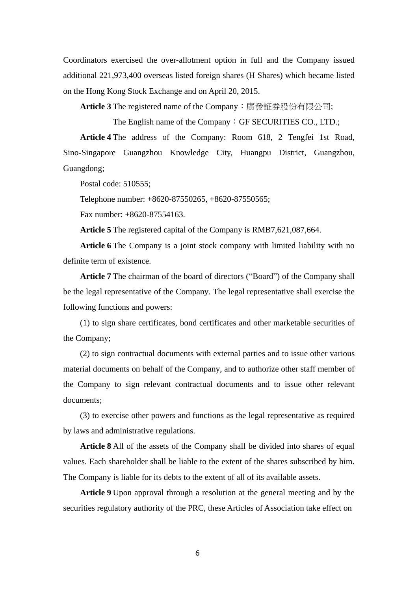Coordinators exercised the over-allotment option in full and the Company issued additional 221,973,400 overseas listed foreign shares (H Shares) which became listed on the Hong Kong Stock Exchange and on April 20, 2015.

**Article 3** The registered name of the Company:廣發証券股份有限公司;

The English name of the Company: GF SECURITIES CO., LTD.;

**Article 4** The address of the Company: Room 618, 2 Tengfei 1st Road, Sino-Singapore Guangzhou Knowledge City, Huangpu District, Guangzhou, Guangdong;

Postal code: 510555;

Telephone number: +8620-87550265, +8620-87550565;

Fax number: +8620-87554163.

**Article 5** The registered capital of the Company is RMB7,621,087,664.

**Article 6** The Company is a joint stock company with limited liability with no definite term of existence.

**Article 7** The chairman of the board of directors ("Board") of the Company shall be the legal representative of the Company. The legal representative shall exercise the following functions and powers:

(1) to sign share certificates, bond certificates and other marketable securities of the Company;

(2) to sign contractual documents with external parties and to issue other various material documents on behalf of the Company, and to authorize other staff member of the Company to sign relevant contractual documents and to issue other relevant documents;

(3) to exercise other powers and functions as the legal representative as required by laws and administrative regulations.

**Article 8** All of the assets of the Company shall be divided into shares of equal values. Each shareholder shall be liable to the extent of the shares subscribed by him. The Company is liable for its debts to the extent of all of its available assets.

**Article 9** Upon approval through a resolution at the general meeting and by the securities regulatory authority of the PRC, these Articles of Association take effect on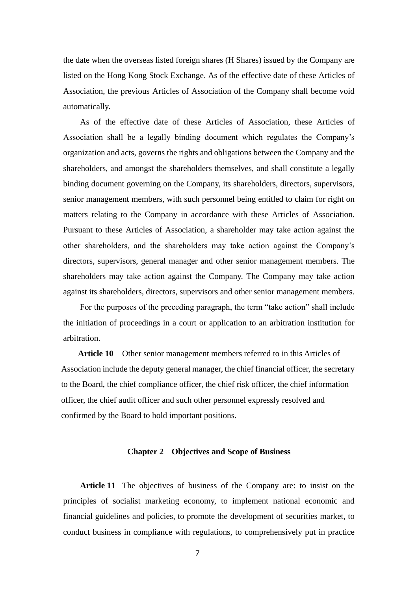the date when the overseas listed foreign shares (H Shares) issued by the Company are listed on the Hong Kong Stock Exchange. As of the effective date of these Articles of Association, the previous Articles of Association of the Company shall become void automatically.

As of the effective date of these Articles of Association, these Articles of Association shall be a legally binding document which regulates the Company's organization and acts, governs the rights and obligations between the Company and the shareholders, and amongst the shareholders themselves, and shall constitute a legally binding document governing on the Company, its shareholders, directors, supervisors, senior management members, with such personnel being entitled to claim for right on matters relating to the Company in accordance with these Articles of Association. Pursuant to these Articles of Association, a shareholder may take action against the other shareholders, and the shareholders may take action against the Company's directors, supervisors, general manager and other senior management members. The shareholders may take action against the Company. The Company may take action against its shareholders, directors, supervisors and other senior management members.

For the purposes of the preceding paragraph, the term "take action" shall include the initiation of proceedings in a court or application to an arbitration institution for arbitration.

**Article 10** Other senior management members referred to in this Articles of Association include the deputy general manager, the chief financial officer, the secretary to the Board, the chief compliance officer, the chief risk officer, the chief information officer, the chief audit officer and such other personnel expressly resolved and confirmed by the Board to hold important positions.

#### **Chapter 2 Objectives and Scope of Business**

**Article 11** The objectives of business of the Company are: to insist on the principles of socialist marketing economy, to implement national economic and financial guidelines and policies, to promote the development of securities market, to conduct business in compliance with regulations, to comprehensively put in practice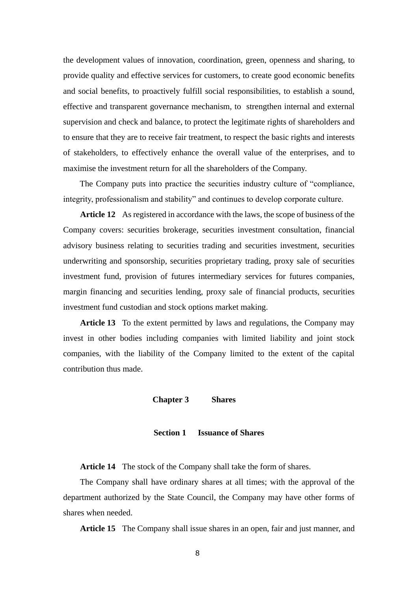the development values of innovation, coordination, green, openness and sharing, to provide quality and effective services for customers, to create good economic benefits and social benefits, to proactively fulfill social responsibilities, to establish a sound, effective and transparent governance mechanism, to strengthen internal and external supervision and check and balance, to protect the legitimate rights of shareholders and to ensure that they are to receive fair treatment, to respect the basic rights and interests of stakeholders, to effectively enhance the overall value of the enterprises, and to maximise the investment return for all the shareholders of the Company.

The Company puts into practice the securities industry culture of "compliance, integrity, professionalism and stability" and continues to develop corporate culture.

**Article 12** As registered in accordance with the laws, the scope of business of the Company covers: securities brokerage, securities investment consultation, financial advisory business relating to securities trading and securities investment, securities underwriting and sponsorship, securities proprietary trading, proxy sale of securities investment fund, provision of futures intermediary services for futures companies, margin financing and securities lending, proxy sale of financial products, securities investment fund custodian and stock options market making.

**Article 13** To the extent permitted by laws and regulations, the Company may invest in other bodies including companies with limited liability and joint stock companies, with the liability of the Company limited to the extent of the capital contribution thus made.

#### **Chapter 3 Shares**

#### **Section 1 Issuance of Shares**

**Article 14** The stock of the Company shall take the form of shares.

The Company shall have ordinary shares at all times; with the approval of the department authorized by the State Council, the Company may have other forms of shares when needed.

**Article 15** The Company shall issue shares in an open, fair and just manner, and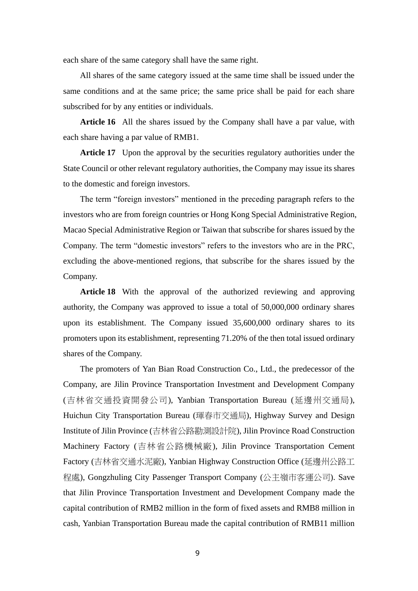each share of the same category shall have the same right.

All shares of the same category issued at the same time shall be issued under the same conditions and at the same price; the same price shall be paid for each share subscribed for by any entities or individuals.

**Article 16** All the shares issued by the Company shall have a par value, with each share having a par value of RMB1.

Article 17 Upon the approval by the securities regulatory authorities under the State Council or other relevant regulatory authorities, the Company may issue its shares to the domestic and foreign investors.

The term "foreign investors" mentioned in the preceding paragraph refers to the investors who are from foreign countries or Hong Kong Special Administrative Region, Macao Special Administrative Region or Taiwan that subscribe for shares issued by the Company. The term "domestic investors" refers to the investors who are in the PRC, excluding the above-mentioned regions, that subscribe for the shares issued by the Company.

**Article 18** With the approval of the authorized reviewing and approving authority, the Company was approved to issue a total of 50,000,000 ordinary shares upon its establishment. The Company issued 35,600,000 ordinary shares to its promoters upon its establishment, representing 71.20% of the then total issued ordinary shares of the Company.

The promoters of Yan Bian Road Construction Co., Ltd., the predecessor of the Company, are Jilin Province Transportation Investment and Development Company (吉林省交通投資開發公司), Yanbian Transportation Bureau (延邊州交通局), Huichun City Transportation Bureau (琿春市交通局), Highway Survey and Design Institute of Jilin Province (吉林省公路勘測設計院), Jilin Province Road Construction Machinery Factory (吉林省公路機械廠), Jilin Province Transportation Cement Factory (吉林省交通水泥廠), Yanbian Highway Construction Office (延邊州公路工 程處), Gongzhuling City Passenger Transport Company (公主嶺市客運公司). Save that Jilin Province Transportation Investment and Development Company made the capital contribution of RMB2 million in the form of fixed assets and RMB8 million in cash, Yanbian Transportation Bureau made the capital contribution of RMB11 million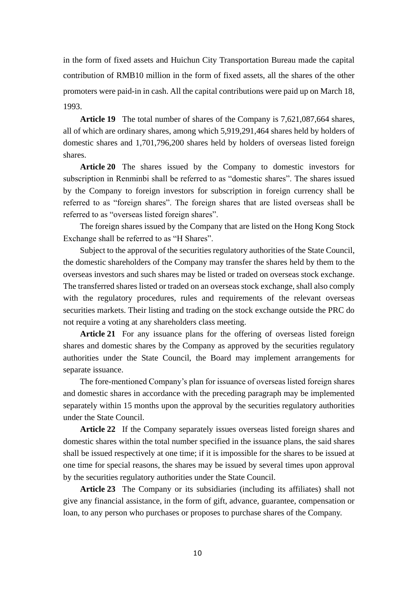in the form of fixed assets and Huichun City Transportation Bureau made the capital contribution of RMB10 million in the form of fixed assets, all the shares of the other promoters were paid-in in cash. All the capital contributions were paid up on March 18, 1993.

**Article 19** The total number of shares of the Company is 7,621,087,664 shares, all of which are ordinary shares, among which 5,919,291,464 shares held by holders of domestic shares and 1,701,796,200 shares held by holders of overseas listed foreign shares.

**Article 20** The shares issued by the Company to domestic investors for subscription in Renminbi shall be referred to as "domestic shares". The shares issued by the Company to foreign investors for subscription in foreign currency shall be referred to as "foreign shares". The foreign shares that are listed overseas shall be referred to as "overseas listed foreign shares".

The foreign shares issued by the Company that are listed on the Hong Kong Stock Exchange shall be referred to as "H Shares".

Subject to the approval of the securities regulatory authorities of the State Council, the domestic shareholders of the Company may transfer the shares held by them to the overseas investors and such shares may be listed or traded on overseas stock exchange. The transferred shares listed or traded on an overseas stock exchange, shall also comply with the regulatory procedures, rules and requirements of the relevant overseas securities markets. Their listing and trading on the stock exchange outside the PRC do not require a voting at any shareholders class meeting.

**Article 21** For any issuance plans for the offering of overseas listed foreign shares and domestic shares by the Company as approved by the securities regulatory authorities under the State Council, the Board may implement arrangements for separate issuance.

The fore-mentioned Company's plan for issuance of overseas listed foreign shares and domestic shares in accordance with the preceding paragraph may be implemented separately within 15 months upon the approval by the securities regulatory authorities under the State Council.

**Article 22** If the Company separately issues overseas listed foreign shares and domestic shares within the total number specified in the issuance plans, the said shares shall be issued respectively at one time; if it is impossible for the shares to be issued at one time for special reasons, the shares may be issued by several times upon approval by the securities regulatory authorities under the State Council.

**Article 23** The Company or its subsidiaries (including its affiliates) shall not give any financial assistance, in the form of gift, advance, guarantee, compensation or loan, to any person who purchases or proposes to purchase shares of the Company.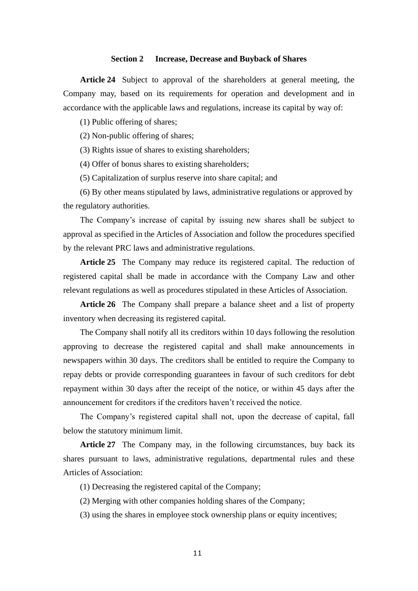#### **Section 2 Increase, Decrease and Buyback of Shares**

**Article 24** Subject to approval of the shareholders at general meeting, the Company may, based on its requirements for operation and development and in accordance with the applicable laws and regulations, increase its capital by way of:

(1) Public offering of shares;

(2) Non-public offering of shares;

(3) Rights issue of shares to existing shareholders;

(4) Offer of bonus shares to existing shareholders;

(5) Capitalization of surplus reserve into share capital; and

(6) By other means stipulated by laws, administrative regulations or approved by the regulatory authorities.

The Company's increase of capital by issuing new shares shall be subject to approval as specified in the Articles of Association and follow the procedures specified by the relevant PRC laws and administrative regulations.

**Article 25** The Company may reduce its registered capital. The reduction of registered capital shall be made in accordance with the Company Law and other relevant regulations as well as procedures stipulated in these Articles of Association.

**Article 26** The Company shall prepare a balance sheet and a list of property inventory when decreasing its registered capital.

The Company shall notify all its creditors within 10 days following the resolution approving to decrease the registered capital and shall make announcements in newspapers within 30 days. The creditors shall be entitled to require the Company to repay debts or provide corresponding guarantees in favour of such creditors for debt repayment within 30 days after the receipt of the notice, or within 45 days after the announcement for creditors if the creditors haven't received the notice.

The Company's registered capital shall not, upon the decrease of capital, fall below the statutory minimum limit.

**Article 27** The Company may, in the following circumstances, buy back its shares pursuant to laws, administrative regulations, departmental rules and these Articles of Association:

(1) Decreasing the registered capital of the Company;

(2) Merging with other companies holding shares of the Company;

(3) using the shares in employee stock ownership plans or equity incentives;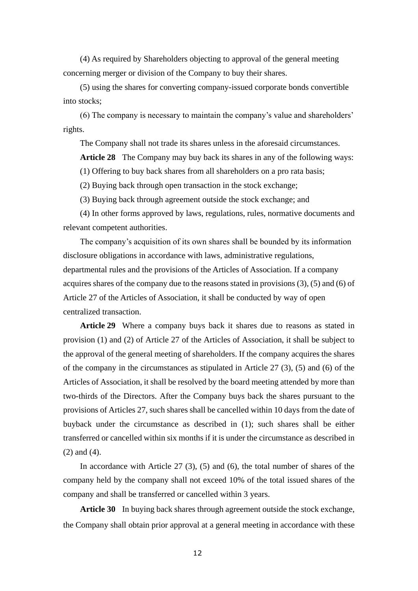(4) As required by Shareholders objecting to approval of the general meeting concerning merger or division of the Company to buy their shares.

(5) using the shares for converting company-issued corporate bonds convertible into stocks;

(6) The company is necessary to maintain the company's value and shareholders' rights.

The Company shall not trade its shares unless in the aforesaid circumstances.

**Article 28** The Company may buy back its shares in any of the following ways:

(1) Offering to buy back shares from all shareholders on a pro rata basis;

(2) Buying back through open transaction in the stock exchange;

(3) Buying back through agreement outside the stock exchange; and

(4) In other forms approved by laws, regulations, rules, normative documents and relevant competent authorities.

The company's acquisition of its own shares shall be bounded by its information disclosure obligations in accordance with laws, administrative regulations, departmental rules and the provisions of the Articles of Association. If a company acquires shares of the company due to the reasons stated in provisions (3), (5) and (6) of Article 27 of the Articles of Association, it shall be conducted by way of open centralized transaction.

**Article 29** Where a company buys back it shares due to reasons as stated in provision (1) and (2) of Article 27 of the Articles of Association, it shall be subject to the approval of the general meeting of shareholders. If the company acquires the shares of the company in the circumstances as stipulated in Article  $27$  (3), (5) and (6) of the Articles of Association, it shall be resolved by the board meeting attended by more than two-thirds of the Directors. After the Company buys back the shares pursuant to the provisions of Articles 27, such shares shall be cancelled within 10 days from the date of buyback under the circumstance as described in (1); such shares shall be either transferred or cancelled within six months if it is under the circumstance as described in (2) and (4).

In accordance with Article 27 (3), (5) and (6), the total number of shares of the company held by the company shall not exceed 10% of the total issued shares of the company and shall be transferred or cancelled within 3 years.

**Article 30** In buying back shares through agreement outside the stock exchange, the Company shall obtain prior approval at a general meeting in accordance with these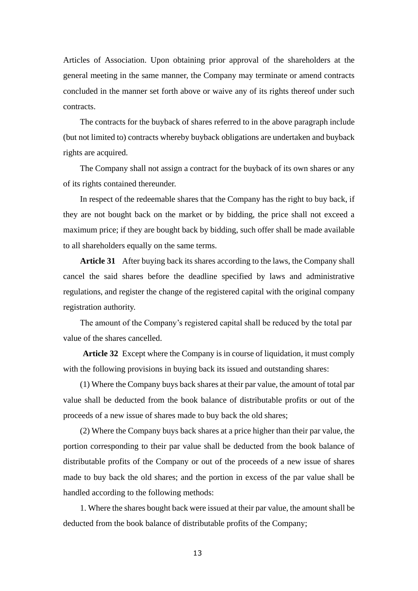Articles of Association. Upon obtaining prior approval of the shareholders at the general meeting in the same manner, the Company may terminate or amend contracts concluded in the manner set forth above or waive any of its rights thereof under such contracts.

The contracts for the buyback of shares referred to in the above paragraph include (but not limited to) contracts whereby buyback obligations are undertaken and buyback rights are acquired.

The Company shall not assign a contract for the buyback of its own shares or any of its rights contained thereunder.

In respect of the redeemable shares that the Company has the right to buy back, if they are not bought back on the market or by bidding, the price shall not exceed a maximum price; if they are bought back by bidding, such offer shall be made available to all shareholders equally on the same terms.

**Article 31** After buying back its shares according to the laws, the Company shall cancel the said shares before the deadline specified by laws and administrative regulations, and register the change of the registered capital with the original company registration authority.

The amount of the Company's registered capital shall be reduced by the total par value of the shares cancelled.

**Article 32** Except where the Company is in course of liquidation, it must comply with the following provisions in buying back its issued and outstanding shares:

(1) Where the Company buys back shares at their par value, the amount of total par value shall be deducted from the book balance of distributable profits or out of the proceeds of a new issue of shares made to buy back the old shares;

(2) Where the Company buys back shares at a price higher than their par value, the portion corresponding to their par value shall be deducted from the book balance of distributable profits of the Company or out of the proceeds of a new issue of shares made to buy back the old shares; and the portion in excess of the par value shall be handled according to the following methods:

1. Where the shares bought back were issued at their par value, the amount shall be deducted from the book balance of distributable profits of the Company;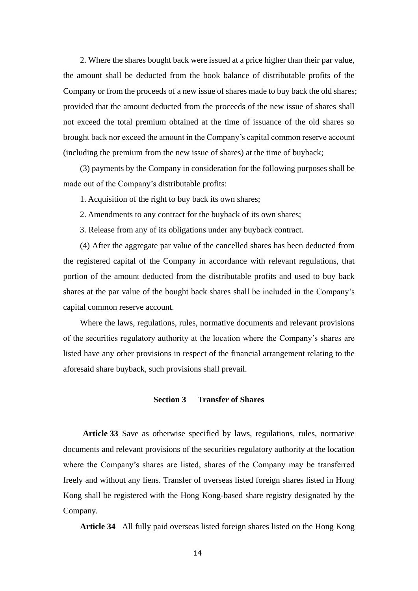2. Where the shares bought back were issued at a price higher than their par value, the amount shall be deducted from the book balance of distributable profits of the Company or from the proceeds of a new issue of shares made to buy back the old shares; provided that the amount deducted from the proceeds of the new issue of shares shall not exceed the total premium obtained at the time of issuance of the old shares so brought back nor exceed the amount in the Company's capital common reserve account (including the premium from the new issue of shares) at the time of buyback;

(3) payments by the Company in consideration for the following purposes shall be made out of the Company's distributable profits:

1. Acquisition of the right to buy back its own shares;

2. Amendments to any contract for the buyback of its own shares;

3. Release from any of its obligations under any buyback contract.

(4) After the aggregate par value of the cancelled shares has been deducted from the registered capital of the Company in accordance with relevant regulations, that portion of the amount deducted from the distributable profits and used to buy back shares at the par value of the bought back shares shall be included in the Company's capital common reserve account.

Where the laws, regulations, rules, normative documents and relevant provisions of the securities regulatory authority at the location where the Company's shares are listed have any other provisions in respect of the financial arrangement relating to the aforesaid share buyback, such provisions shall prevail.

#### **Section 3 Transfer of Shares**

**Article 33** Save as otherwise specified by laws, regulations, rules, normative documents and relevant provisions of the securities regulatory authority at the location where the Company's shares are listed, shares of the Company may be transferred freely and without any liens. Transfer of overseas listed foreign shares listed in Hong Kong shall be registered with the Hong Kong-based share registry designated by the Company.

**Article 34** All fully paid overseas listed foreign shares listed on the Hong Kong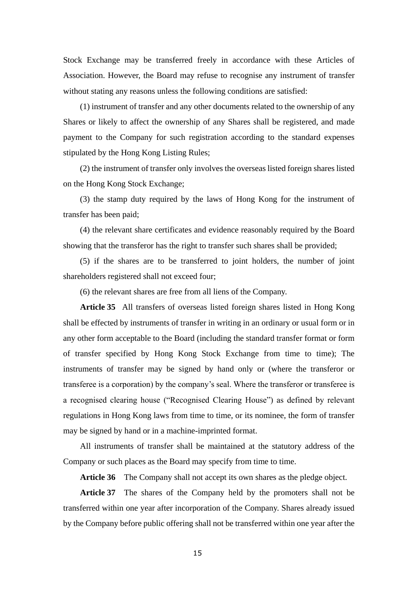Stock Exchange may be transferred freely in accordance with these Articles of Association. However, the Board may refuse to recognise any instrument of transfer without stating any reasons unless the following conditions are satisfied:

(1) instrument of transfer and any other documents related to the ownership of any Shares or likely to affect the ownership of any Shares shall be registered, and made payment to the Company for such registration according to the standard expenses stipulated by the Hong Kong Listing Rules;

(2) the instrument of transfer only involves the overseas listed foreign shares listed on the Hong Kong Stock Exchange;

(3) the stamp duty required by the laws of Hong Kong for the instrument of transfer has been paid;

(4) the relevant share certificates and evidence reasonably required by the Board showing that the transferor has the right to transfer such shares shall be provided;

(5) if the shares are to be transferred to joint holders, the number of joint shareholders registered shall not exceed four;

(6) the relevant shares are free from all liens of the Company.

**Article 35** All transfers of overseas listed foreign shares listed in Hong Kong shall be effected by instruments of transfer in writing in an ordinary or usual form or in any other form acceptable to the Board (including the standard transfer format or form of transfer specified by Hong Kong Stock Exchange from time to time); The instruments of transfer may be signed by hand only or (where the transferor or transferee is a corporation) by the company's seal. Where the transferor or transferee is a recognised clearing house ("Recognised Clearing House") as defined by relevant regulations in Hong Kong laws from time to time, or its nominee, the form of transfer may be signed by hand or in a machine-imprinted format.

All instruments of transfer shall be maintained at the statutory address of the Company or such places as the Board may specify from time to time.

**Article 36** The Company shall not accept its own shares as the pledge object.

**Article 37** The shares of the Company held by the promoters shall not be transferred within one year after incorporation of the Company. Shares already issued by the Company before public offering shall not be transferred within one year after the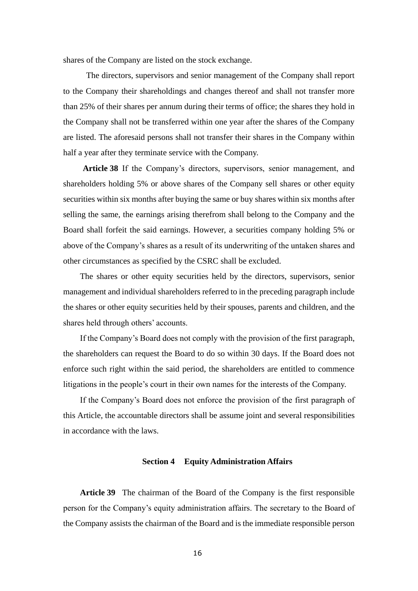shares of the Company are listed on the stock exchange.

 The directors, supervisors and senior management of the Company shall report to the Company their shareholdings and changes thereof and shall not transfer more than 25% of their shares per annum during their terms of office; the shares they hold in the Company shall not be transferred within one year after the shares of the Company are listed. The aforesaid persons shall not transfer their shares in the Company within half a year after they terminate service with the Company.

**Article 38** If the Company's directors, supervisors, senior management, and shareholders holding 5% or above shares of the Company sell shares or other equity securities within six months after buying the same or buy shares within six months after selling the same, the earnings arising therefrom shall belong to the Company and the Board shall forfeit the said earnings. However, a securities company holding 5% or above of the Company's shares as a result of its underwriting of the untaken shares and other circumstances as specified by the CSRC shall be excluded.

The shares or other equity securities held by the directors, supervisors, senior management and individual shareholders referred to in the preceding paragraph include the shares or other equity securities held by their spouses, parents and children, and the shares held through others' accounts.

If the Company's Board does not comply with the provision of the first paragraph, the shareholders can request the Board to do so within 30 days. If the Board does not enforce such right within the said period, the shareholders are entitled to commence litigations in the people's court in their own names for the interests of the Company.

If the Company's Board does not enforce the provision of the first paragraph of this Article, the accountable directors shall be assume joint and several responsibilities in accordance with the laws.

#### **Section 4 Equity Administration Affairs**

**Article 39** The chairman of the Board of the Company is the first responsible person for the Company's equity administration affairs. The secretary to the Board of the Company assists the chairman of the Board and is the immediate responsible person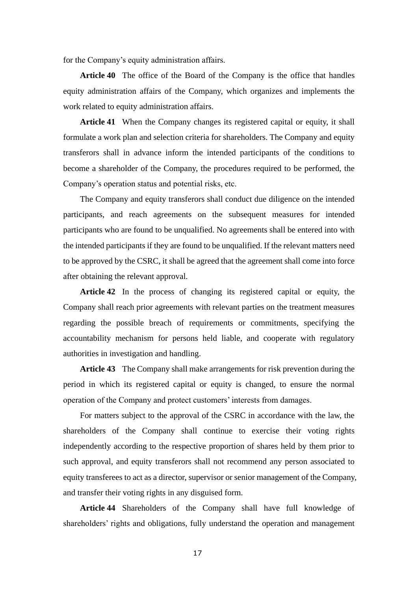for the Company's equity administration affairs.

**Article 40** The office of the Board of the Company is the office that handles equity administration affairs of the Company, which organizes and implements the work related to equity administration affairs.

**Article 41** When the Company changes its registered capital or equity, it shall formulate a work plan and selection criteria for shareholders. The Company and equity transferors shall in advance inform the intended participants of the conditions to become a shareholder of the Company, the procedures required to be performed, the Company's operation status and potential risks, etc.

The Company and equity transferors shall conduct due diligence on the intended participants, and reach agreements on the subsequent measures for intended participants who are found to be unqualified. No agreements shall be entered into with the intended participants if they are found to be unqualified. If the relevant matters need to be approved by the CSRC, it shall be agreed that the agreement shall come into force after obtaining the relevant approval.

**Article 42** In the process of changing its registered capital or equity, the Company shall reach prior agreements with relevant parties on the treatment measures regarding the possible breach of requirements or commitments, specifying the accountability mechanism for persons held liable, and cooperate with regulatory authorities in investigation and handling.

**Article 43** The Company shall make arrangements for risk prevention during the period in which its registered capital or equity is changed, to ensure the normal operation of the Company and protect customers' interests from damages.

For matters subject to the approval of the CSRC in accordance with the law, the shareholders of the Company shall continue to exercise their voting rights independently according to the respective proportion of shares held by them prior to such approval, and equity transferors shall not recommend any person associated to equity transferees to act as a director, supervisor or senior management of the Company, and transfer their voting rights in any disguised form.

**Article 44** Shareholders of the Company shall have full knowledge of shareholders' rights and obligations, fully understand the operation and management

17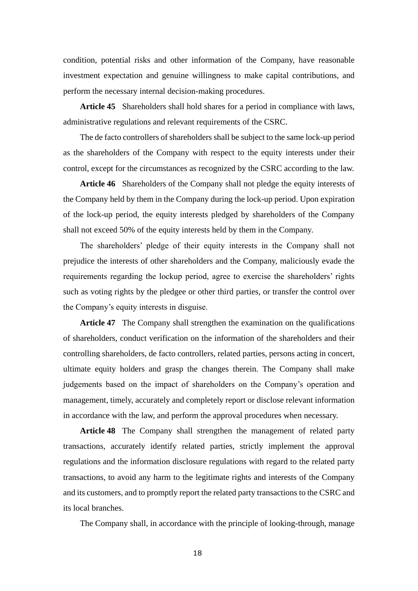condition, potential risks and other information of the Company, have reasonable investment expectation and genuine willingness to make capital contributions, and perform the necessary internal decision-making procedures.

**Article 45** Shareholders shall hold shares for a period in compliance with laws, administrative regulations and relevant requirements of the CSRC.

The de facto controllers of shareholders shall be subject to the same lock-up period as the shareholders of the Company with respect to the equity interests under their control, except for the circumstances as recognized by the CSRC according to the law.

**Article 46** Shareholders of the Company shall not pledge the equity interests of the Company held by them in the Company during the lock-up period. Upon expiration of the lock-up period, the equity interests pledged by shareholders of the Company shall not exceed 50% of the equity interests held by them in the Company.

The shareholders' pledge of their equity interests in the Company shall not prejudice the interests of other shareholders and the Company, maliciously evade the requirements regarding the lockup period, agree to exercise the shareholders' rights such as voting rights by the pledgee or other third parties, or transfer the control over the Company's equity interests in disguise.

**Article 47** The Company shall strengthen the examination on the qualifications of shareholders, conduct verification on the information of the shareholders and their controlling shareholders, de facto controllers, related parties, persons acting in concert, ultimate equity holders and grasp the changes therein. The Company shall make judgements based on the impact of shareholders on the Company's operation and management, timely, accurately and completely report or disclose relevant information in accordance with the law, and perform the approval procedures when necessary.

**Article 48** The Company shall strengthen the management of related party transactions, accurately identify related parties, strictly implement the approval regulations and the information disclosure regulations with regard to the related party transactions, to avoid any harm to the legitimate rights and interests of the Company and its customers, and to promptly report the related party transactions to the CSRC and its local branches.

The Company shall, in accordance with the principle of looking-through, manage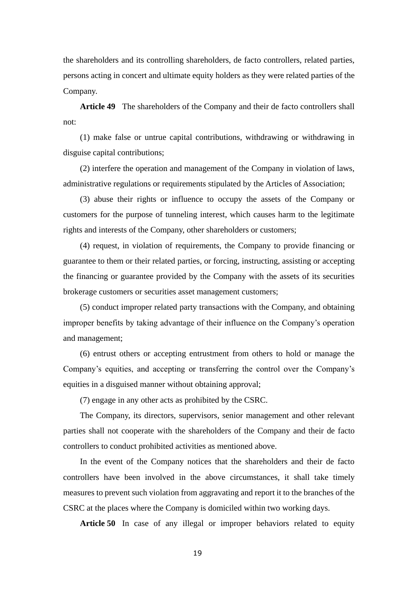the shareholders and its controlling shareholders, de facto controllers, related parties, persons acting in concert and ultimate equity holders as they were related parties of the Company.

**Article 49** The shareholders of the Company and their de facto controllers shall not:

(1) make false or untrue capital contributions, withdrawing or withdrawing in disguise capital contributions;

(2) interfere the operation and management of the Company in violation of laws, administrative regulations or requirements stipulated by the Articles of Association;

(3) abuse their rights or influence to occupy the assets of the Company or customers for the purpose of tunneling interest, which causes harm to the legitimate rights and interests of the Company, other shareholders or customers;

(4) request, in violation of requirements, the Company to provide financing or guarantee to them or their related parties, or forcing, instructing, assisting or accepting the financing or guarantee provided by the Company with the assets of its securities brokerage customers or securities asset management customers;

(5) conduct improper related party transactions with the Company, and obtaining improper benefits by taking advantage of their influence on the Company's operation and management;

(6) entrust others or accepting entrustment from others to hold or manage the Company's equities, and accepting or transferring the control over the Company's equities in a disguised manner without obtaining approval;

(7) engage in any other acts as prohibited by the CSRC.

The Company, its directors, supervisors, senior management and other relevant parties shall not cooperate with the shareholders of the Company and their de facto controllers to conduct prohibited activities as mentioned above.

In the event of the Company notices that the shareholders and their de facto controllers have been involved in the above circumstances, it shall take timely measures to prevent such violation from aggravating and report it to the branches of the CSRC at the places where the Company is domiciled within two working days.

**Article 50** In case of any illegal or improper behaviors related to equity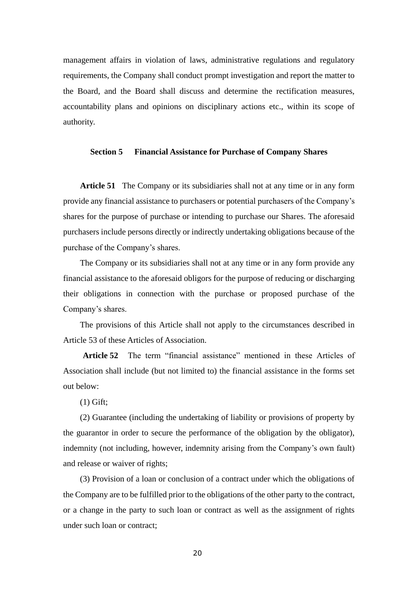management affairs in violation of laws, administrative regulations and regulatory requirements, the Company shall conduct prompt investigation and report the matter to the Board, and the Board shall discuss and determine the rectification measures, accountability plans and opinions on disciplinary actions etc., within its scope of authority.

#### **Section 5 Financial Assistance for Purchase of Company Shares**

**Article 51** The Company or its subsidiaries shall not at any time or in any form provide any financial assistance to purchasers or potential purchasers of the Company's shares for the purpose of purchase or intending to purchase our Shares. The aforesaid purchasers include persons directly or indirectly undertaking obligations because of the purchase of the Company's shares.

The Company or its subsidiaries shall not at any time or in any form provide any financial assistance to the aforesaid obligors for the purpose of reducing or discharging their obligations in connection with the purchase or proposed purchase of the Company's shares.

The provisions of this Article shall not apply to the circumstances described in Article 53 of these Articles of Association.

**Article 52** The term "financial assistance" mentioned in these Articles of Association shall include (but not limited to) the financial assistance in the forms set out below:

(1) Gift;

(2) Guarantee (including the undertaking of liability or provisions of property by the guarantor in order to secure the performance of the obligation by the obligator), indemnity (not including, however, indemnity arising from the Company's own fault) and release or waiver of rights;

(3) Provision of a loan or conclusion of a contract under which the obligations of the Company are to be fulfilled prior to the obligations of the other party to the contract, or a change in the party to such loan or contract as well as the assignment of rights under such loan or contract;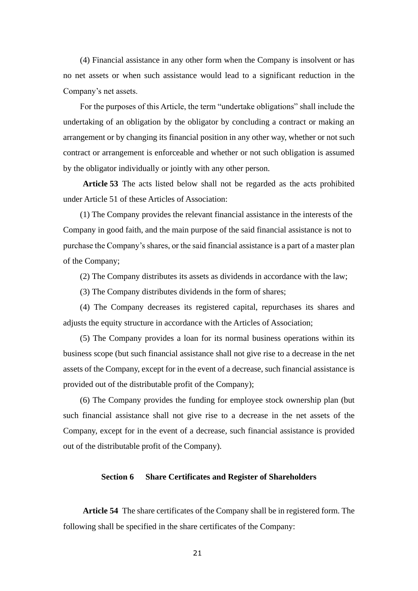(4) Financial assistance in any other form when the Company is insolvent or has no net assets or when such assistance would lead to a significant reduction in the Company's net assets.

For the purposes of this Article, the term "undertake obligations" shall include the undertaking of an obligation by the obligator by concluding a contract or making an arrangement or by changing its financial position in any other way, whether or not such contract or arrangement is enforceable and whether or not such obligation is assumed by the obligator individually or jointly with any other person.

**Article 53** The acts listed below shall not be regarded as the acts prohibited under Article 51 of these Articles of Association:

(1) The Company provides the relevant financial assistance in the interests of the Company in good faith, and the main purpose of the said financial assistance is not to purchase the Company's shares, or the said financial assistance is a part of a master plan of the Company;

(2) The Company distributes its assets as dividends in accordance with the law;

(3) The Company distributes dividends in the form of shares;

(4) The Company decreases its registered capital, repurchases its shares and adjusts the equity structure in accordance with the Articles of Association;

(5) The Company provides a loan for its normal business operations within its business scope (but such financial assistance shall not give rise to a decrease in the net assets of the Company, except for in the event of a decrease, such financial assistance is provided out of the distributable profit of the Company);

(6) The Company provides the funding for employee stock ownership plan (but such financial assistance shall not give rise to a decrease in the net assets of the Company, except for in the event of a decrease, such financial assistance is provided out of the distributable profit of the Company).

# **Section 6 Share Certificates and Register of Shareholders**

**Article 54** The share certificates of the Company shall be in registered form. The following shall be specified in the share certificates of the Company: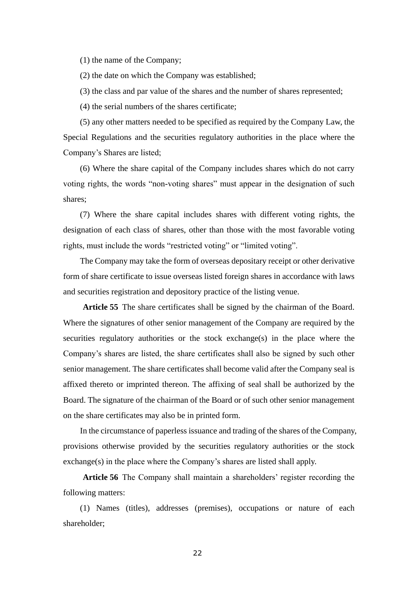(1) the name of the Company;

(2) the date on which the Company was established;

(3) the class and par value of the shares and the number of shares represented;

(4) the serial numbers of the shares certificate;

(5) any other matters needed to be specified as required by the Company Law, the Special Regulations and the securities regulatory authorities in the place where the Company's Shares are listed;

(6) Where the share capital of the Company includes shares which do not carry voting rights, the words "non-voting shares" must appear in the designation of such shares;

(7) Where the share capital includes shares with different voting rights, the designation of each class of shares, other than those with the most favorable voting rights, must include the words "restricted voting" or "limited voting".

The Company may take the form of overseas depositary receipt or other derivative form of share certificate to issue overseas listed foreign shares in accordance with laws and securities registration and depository practice of the listing venue.

**Article 55** The share certificates shall be signed by the chairman of the Board. Where the signatures of other senior management of the Company are required by the securities regulatory authorities or the stock exchange(s) in the place where the Company's shares are listed, the share certificates shall also be signed by such other senior management. The share certificates shall become valid after the Company seal is affixed thereto or imprinted thereon. The affixing of seal shall be authorized by the Board. The signature of the chairman of the Board or of such other senior management on the share certificates may also be in printed form.

In the circumstance of paperless issuance and trading of the shares of the Company, provisions otherwise provided by the securities regulatory authorities or the stock exchange(s) in the place where the Company's shares are listed shall apply.

**Article 56** The Company shall maintain a shareholders' register recording the following matters:

(1) Names (titles), addresses (premises), occupations or nature of each shareholder;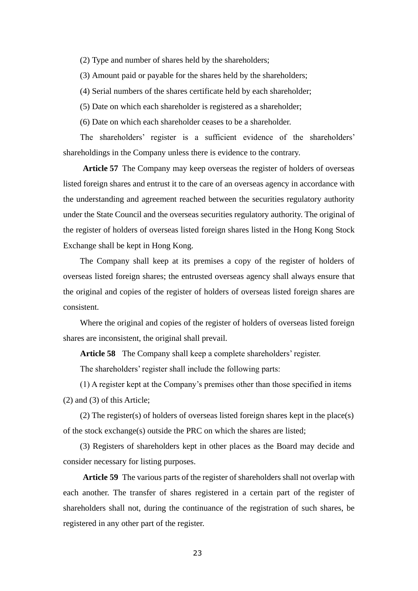- (2) Type and number of shares held by the shareholders;
- (3) Amount paid or payable for the shares held by the shareholders;
- (4) Serial numbers of the shares certificate held by each shareholder;
- (5) Date on which each shareholder is registered as a shareholder;
- (6) Date on which each shareholder ceases to be a shareholder.

The shareholders' register is a sufficient evidence of the shareholders' shareholdings in the Company unless there is evidence to the contrary.

**Article 57** The Company may keep overseas the register of holders of overseas listed foreign shares and entrust it to the care of an overseas agency in accordance with the understanding and agreement reached between the securities regulatory authority under the State Council and the overseas securities regulatory authority. The original of the register of holders of overseas listed foreign shares listed in the Hong Kong Stock Exchange shall be kept in Hong Kong.

The Company shall keep at its premises a copy of the register of holders of overseas listed foreign shares; the entrusted overseas agency shall always ensure that the original and copies of the register of holders of overseas listed foreign shares are consistent.

Where the original and copies of the register of holders of overseas listed foreign shares are inconsistent, the original shall prevail.

**Article 58** The Company shall keep a complete shareholders' register.

The shareholders' register shall include the following parts:

(1) A register kept at the Company's premises other than those specified in items (2) and (3) of this Article;

(2) The register(s) of holders of overseas listed foreign shares kept in the place(s) of the stock exchange(s) outside the PRC on which the shares are listed;

(3) Registers of shareholders kept in other places as the Board may decide and consider necessary for listing purposes.

**Article 59** The various parts of the register of shareholders shall not overlap with each another. The transfer of shares registered in a certain part of the register of shareholders shall not, during the continuance of the registration of such shares, be registered in any other part of the register.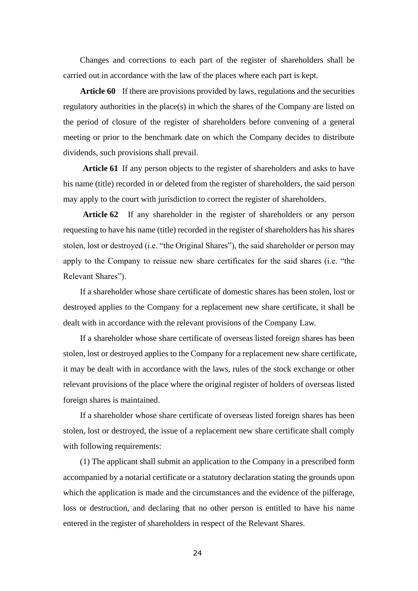Changes and corrections to each part of the register of shareholders shall be carried out in accordance with the law of the places where each part is kept.

**Article 60** If there are provisions provided by laws, regulations and the securities regulatory authorities in the place(s) in which the shares of the Company are listed on the period of closure of the register of shareholders before convening of a general meeting or prior to the benchmark date on which the Company decides to distribute dividends, such provisions shall prevail.

**Article 61** If any person objects to the register of shareholders and asks to have his name (title) recorded in or deleted from the register of shareholders, the said person may apply to the court with jurisdiction to correct the register of shareholders.

**Article 62** If any shareholder in the register of shareholders or any person requesting to have his name (title) recorded in the register of shareholders has his shares stolen, lost or destroyed (i.e. "the Original Shares"), the said shareholder or person may apply to the Company to reissue new share certificates for the said shares (i.e. "the Relevant Shares").

If a shareholder whose share certificate of domestic shares has been stolen, lost or destroyed applies to the Company for a replacement new share certificate, it shall be dealt with in accordance with the relevant provisions of the Company Law.

If a shareholder whose share certificate of overseas listed foreign shares has been stolen, lost or destroyed applies to the Company for a replacement new share certificate, it may be dealt with in accordance with the laws, rules of the stock exchange or other relevant provisions of the place where the original register of holders of overseas listed foreign shares is maintained.

If a shareholder whose share certificate of overseas listed foreign shares has been stolen, lost or destroyed, the issue of a replacement new share certificate shall comply with following requirements:

(1) The applicant shall submit an application to the Company in a prescribed form accompanied by a notarial certificate or a statutory declaration stating the grounds upon which the application is made and the circumstances and the evidence of the pilferage, loss or destruction, and declaring that no other person is entitled to have his name entered in the register of shareholders in respect of the Relevant Shares.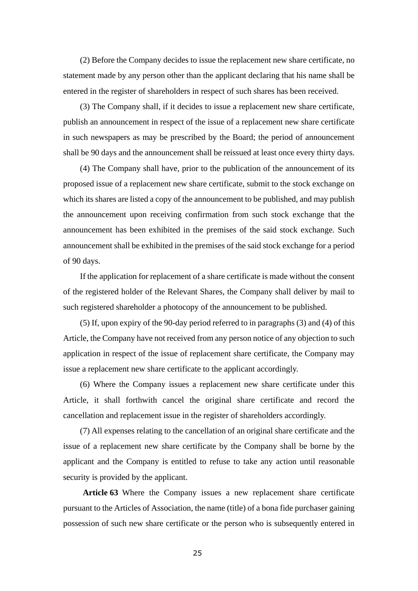(2) Before the Company decides to issue the replacement new share certificate, no statement made by any person other than the applicant declaring that his name shall be entered in the register of shareholders in respect of such shares has been received.

(3) The Company shall, if it decides to issue a replacement new share certificate, publish an announcement in respect of the issue of a replacement new share certificate in such newspapers as may be prescribed by the Board; the period of announcement shall be 90 days and the announcement shall be reissued at least once every thirty days.

(4) The Company shall have, prior to the publication of the announcement of its proposed issue of a replacement new share certificate, submit to the stock exchange on which its shares are listed a copy of the announcement to be published, and may publish the announcement upon receiving confirmation from such stock exchange that the announcement has been exhibited in the premises of the said stock exchange. Such announcement shall be exhibited in the premises of the said stock exchange for a period of 90 days.

If the application for replacement of a share certificate is made without the consent of the registered holder of the Relevant Shares, the Company shall deliver by mail to such registered shareholder a photocopy of the announcement to be published.

(5) If, upon expiry of the 90-day period referred to in paragraphs (3) and (4) of this Article, the Company have not received from any person notice of any objection to such application in respect of the issue of replacement share certificate, the Company may issue a replacement new share certificate to the applicant accordingly.

(6) Where the Company issues a replacement new share certificate under this Article, it shall forthwith cancel the original share certificate and record the cancellation and replacement issue in the register of shareholders accordingly.

(7) All expenses relating to the cancellation of an original share certificate and the issue of a replacement new share certificate by the Company shall be borne by the applicant and the Company is entitled to refuse to take any action until reasonable security is provided by the applicant.

**Article 63** Where the Company issues a new replacement share certificate pursuant to the Articles of Association, the name (title) of a bona fide purchaser gaining possession of such new share certificate or the person who is subsequently entered in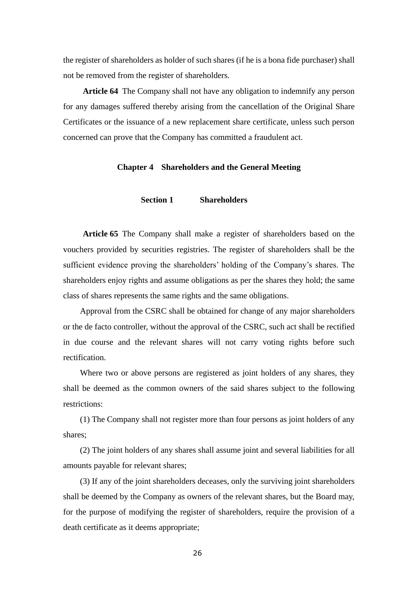the register of shareholders as holder of such shares (if he is a bona fide purchaser) shall not be removed from the register of shareholders.

**Article 64** The Company shall not have any obligation to indemnify any person for any damages suffered thereby arising from the cancellation of the Original Share Certificates or the issuance of a new replacement share certificate, unless such person concerned can prove that the Company has committed a fraudulent act.

# **Chapter 4 Shareholders and the General Meeting**

# **Section 1 Shareholders**

**Article 65** The Company shall make a register of shareholders based on the vouchers provided by securities registries. The register of shareholders shall be the sufficient evidence proving the shareholders' holding of the Company's shares. The shareholders enjoy rights and assume obligations as per the shares they hold; the same class of shares represents the same rights and the same obligations.

Approval from the CSRC shall be obtained for change of any major shareholders or the de facto controller, without the approval of the CSRC, such act shall be rectified in due course and the relevant shares will not carry voting rights before such rectification.

Where two or above persons are registered as joint holders of any shares, they shall be deemed as the common owners of the said shares subject to the following restrictions:

(1) The Company shall not register more than four persons as joint holders of any shares;

(2) The joint holders of any shares shall assume joint and several liabilities for all amounts payable for relevant shares;

(3) If any of the joint shareholders deceases, only the surviving joint shareholders shall be deemed by the Company as owners of the relevant shares, but the Board may, for the purpose of modifying the register of shareholders, require the provision of a death certificate as it deems appropriate;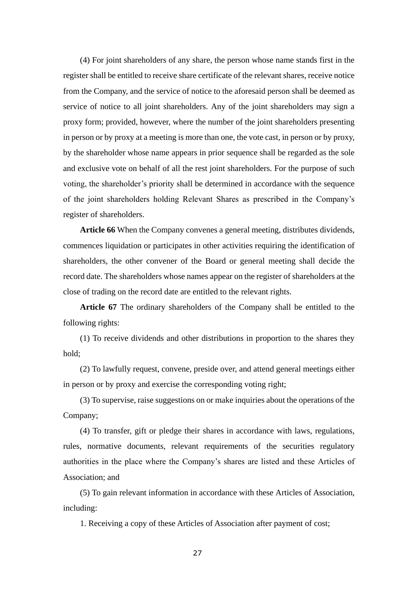(4) For joint shareholders of any share, the person whose name stands first in the register shall be entitled to receive share certificate of the relevant shares, receive notice from the Company, and the service of notice to the aforesaid person shall be deemed as service of notice to all joint shareholders. Any of the joint shareholders may sign a proxy form; provided, however, where the number of the joint shareholders presenting in person or by proxy at a meeting is more than one, the vote cast, in person or by proxy, by the shareholder whose name appears in prior sequence shall be regarded as the sole and exclusive vote on behalf of all the rest joint shareholders. For the purpose of such voting, the shareholder's priority shall be determined in accordance with the sequence of the joint shareholders holding Relevant Shares as prescribed in the Company's register of shareholders.

**Article 66** When the Company convenes a general meeting, distributes dividends, commences liquidation or participates in other activities requiring the identification of shareholders, the other convener of the Board or general meeting shall decide the record date. The shareholders whose names appear on the register of shareholders at the close of trading on the record date are entitled to the relevant rights.

**Article 67** The ordinary shareholders of the Company shall be entitled to the following rights:

(1) To receive dividends and other distributions in proportion to the shares they hold;

(2) To lawfully request, convene, preside over, and attend general meetings either in person or by proxy and exercise the corresponding voting right;

(3) To supervise, raise suggestions on or make inquiries about the operations of the Company;

(4) To transfer, gift or pledge their shares in accordance with laws, regulations, rules, normative documents, relevant requirements of the securities regulatory authorities in the place where the Company's shares are listed and these Articles of Association; and

(5) To gain relevant information in accordance with these Articles of Association, including:

1. Receiving a copy of these Articles of Association after payment of cost;

27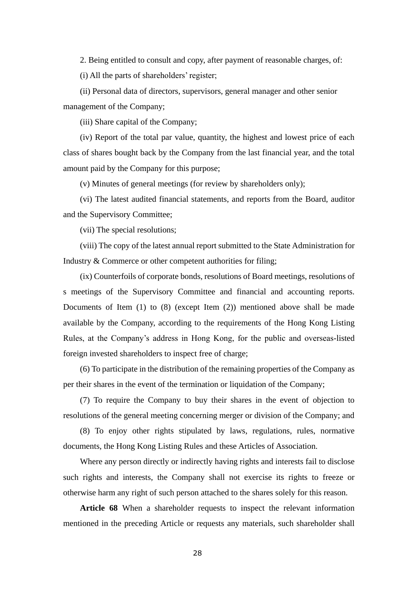2. Being entitled to consult and copy, after payment of reasonable charges, of:

(i) All the parts of shareholders' register;

(ii) Personal data of directors, supervisors, general manager and other senior management of the Company;

(iii) Share capital of the Company;

(iv) Report of the total par value, quantity, the highest and lowest price of each class of shares bought back by the Company from the last financial year, and the total amount paid by the Company for this purpose;

(v) Minutes of general meetings (for review by shareholders only);

(vi) The latest audited financial statements, and reports from the Board, auditor and the Supervisory Committee;

(vii) The special resolutions;

(viii) The copy of the latest annual report submitted to the State Administration for Industry & Commerce or other competent authorities for filing;

(ix) Counterfoils of corporate bonds, resolutions of Board meetings, resolutions of s meetings of the Supervisory Committee and financial and accounting reports. Documents of Item (1) to (8) (except Item (2)) mentioned above shall be made available by the Company, according to the requirements of the Hong Kong Listing Rules, at the Company's address in Hong Kong, for the public and overseas-listed foreign invested shareholders to inspect free of charge;

(6) To participate in the distribution of the remaining properties of the Company as per their shares in the event of the termination or liquidation of the Company;

(7) To require the Company to buy their shares in the event of objection to resolutions of the general meeting concerning merger or division of the Company; and

(8) To enjoy other rights stipulated by laws, regulations, rules, normative documents, the Hong Kong Listing Rules and these Articles of Association.

Where any person directly or indirectly having rights and interests fail to disclose such rights and interests, the Company shall not exercise its rights to freeze or otherwise harm any right of such person attached to the shares solely for this reason.

**Article 68** When a shareholder requests to inspect the relevant information mentioned in the preceding Article or requests any materials, such shareholder shall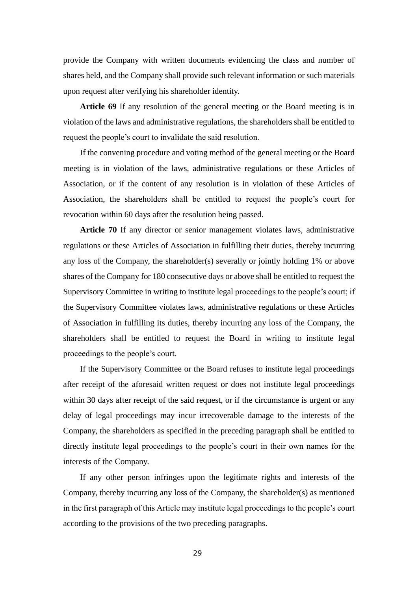provide the Company with written documents evidencing the class and number of shares held, and the Company shall provide such relevant information or such materials upon request after verifying his shareholder identity.

**Article 69** If any resolution of the general meeting or the Board meeting is in violation of the laws and administrative regulations, the shareholders shall be entitled to request the people's court to invalidate the said resolution.

If the convening procedure and voting method of the general meeting or the Board meeting is in violation of the laws, administrative regulations or these Articles of Association, or if the content of any resolution is in violation of these Articles of Association, the shareholders shall be entitled to request the people's court for revocation within 60 days after the resolution being passed.

**Article 70** If any director or senior management violates laws, administrative regulations or these Articles of Association in fulfilling their duties, thereby incurring any loss of the Company, the shareholder(s) severally or jointly holding 1% or above shares of the Company for 180 consecutive days or above shall be entitled to request the Supervisory Committee in writing to institute legal proceedings to the people's court; if the Supervisory Committee violates laws, administrative regulations or these Articles of Association in fulfilling its duties, thereby incurring any loss of the Company, the shareholders shall be entitled to request the Board in writing to institute legal proceedings to the people's court.

If the Supervisory Committee or the Board refuses to institute legal proceedings after receipt of the aforesaid written request or does not institute legal proceedings within 30 days after receipt of the said request, or if the circumstance is urgent or any delay of legal proceedings may incur irrecoverable damage to the interests of the Company, the shareholders as specified in the preceding paragraph shall be entitled to directly institute legal proceedings to the people's court in their own names for the interests of the Company.

If any other person infringes upon the legitimate rights and interests of the Company, thereby incurring any loss of the Company, the shareholder(s) as mentioned in the first paragraph of this Article may institute legal proceedings to the people's court according to the provisions of the two preceding paragraphs.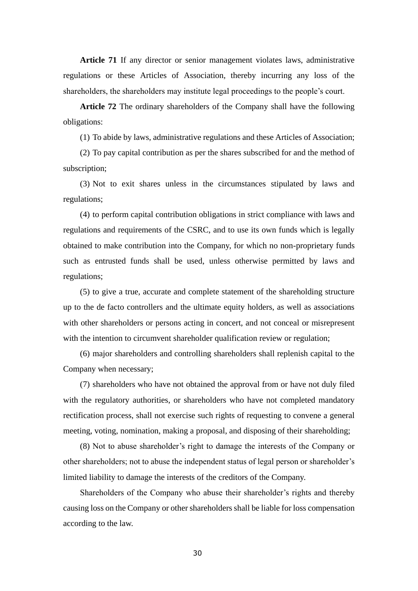**Article 71** If any director or senior management violates laws, administrative regulations or these Articles of Association, thereby incurring any loss of the shareholders, the shareholders may institute legal proceedings to the people's court.

**Article 72** The ordinary shareholders of the Company shall have the following obligations:

(1) To abide by laws, administrative regulations and these Articles of Association;

(2) To pay capital contribution as per the shares subscribed for and the method of subscription;

(3) Not to exit shares unless in the circumstances stipulated by laws and regulations;

(4) to perform capital contribution obligations in strict compliance with laws and regulations and requirements of the CSRC, and to use its own funds which is legally obtained to make contribution into the Company, for which no non-proprietary funds such as entrusted funds shall be used, unless otherwise permitted by laws and regulations;

(5) to give a true, accurate and complete statement of the shareholding structure up to the de facto controllers and the ultimate equity holders, as well as associations with other shareholders or persons acting in concert, and not conceal or misrepresent with the intention to circumvent shareholder qualification review or regulation;

(6) major shareholders and controlling shareholders shall replenish capital to the Company when necessary;

(7) shareholders who have not obtained the approval from or have not duly filed with the regulatory authorities, or shareholders who have not completed mandatory rectification process, shall not exercise such rights of requesting to convene a general meeting, voting, nomination, making a proposal, and disposing of their shareholding;

(8) Not to abuse shareholder's right to damage the interests of the Company or other shareholders; not to abuse the independent status of legal person or shareholder's limited liability to damage the interests of the creditors of the Company.

Shareholders of the Company who abuse their shareholder's rights and thereby causing loss on the Company or other shareholders shall be liable for loss compensation according to the law.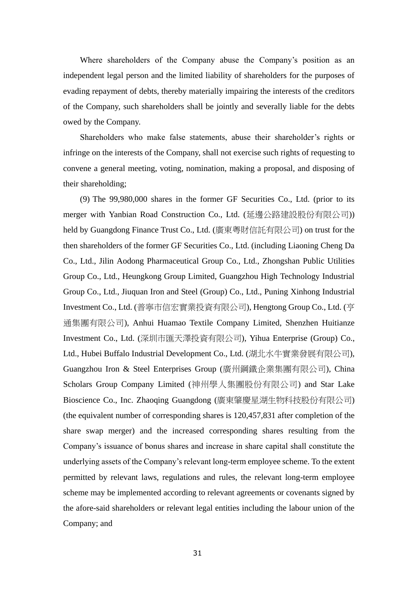Where shareholders of the Company abuse the Company's position as an independent legal person and the limited liability of shareholders for the purposes of evading repayment of debts, thereby materially impairing the interests of the creditors of the Company, such shareholders shall be jointly and severally liable for the debts owed by the Company.

Shareholders who make false statements, abuse their shareholder's rights or infringe on the interests of the Company, shall not exercise such rights of requesting to convene a general meeting, voting, nomination, making a proposal, and disposing of their shareholding;

(9) The 99,980,000 shares in the former GF Securities Co., Ltd. (prior to its merger with Yanbian Road Construction Co., Ltd. (延邊公路建設股份有限公司)) held by Guangdong Finance Trust Co., Ltd. (廣東粵財信託有限公司) on trust for the then shareholders of the former GF Securities Co., Ltd. (including Liaoning Cheng Da Co., Ltd., Jilin Aodong Pharmaceutical Group Co., Ltd., Zhongshan Public Utilities Group Co., Ltd., Heungkong Group Limited, Guangzhou High Technology Industrial Group Co., Ltd., Jiuquan Iron and Steel (Group) Co., Ltd., Puning Xinhong Industrial Investment Co., Ltd. (普寧市信宏實業投資有限公司), Hengtong Group Co., Ltd. (亨 通集團有限公司), Anhui Huamao Textile Company Limited, Shenzhen Huitianze Investment Co., Ltd. (深圳市匯天澤投資有限公司), Yihua Enterprise (Group) Co., Ltd., Hubei Buffalo Industrial Development Co., Ltd. (湖北水牛實業發展有限公司), Guangzhou Iron & Steel Enterprises Group (廣州鋼鐵企業集團有限公司), China Scholars Group Company Limited (神州學人集團股份有限公司) and Star Lake Bioscience Co., Inc. Zhaoqing Guangdong (廣東肇慶星湖生物科技股份有限公司) (the equivalent number of corresponding shares is 120,457,831 after completion of the share swap merger) and the increased corresponding shares resulting from the Company's issuance of bonus shares and increase in share capital shall constitute the underlying assets of the Company's relevant long-term employee scheme. To the extent permitted by relevant laws, regulations and rules, the relevant long-term employee scheme may be implemented according to relevant agreements or covenants signed by the afore-said shareholders or relevant legal entities including the labour union of the Company; and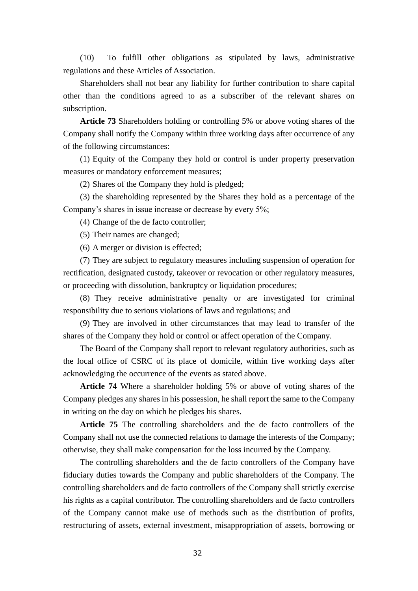(10) To fulfill other obligations as stipulated by laws, administrative regulations and these Articles of Association.

Shareholders shall not bear any liability for further contribution to share capital other than the conditions agreed to as a subscriber of the relevant shares on subscription.

**Article 73** Shareholders holding or controlling 5% or above voting shares of the Company shall notify the Company within three working days after occurrence of any of the following circumstances:

(1) Equity of the Company they hold or control is under property preservation measures or mandatory enforcement measures;

(2) Shares of the Company they hold is pledged;

(3) the shareholding represented by the Shares they hold as a percentage of the Company's shares in issue increase or decrease by every 5%;

(4) Change of the de facto controller;

(5) Their names are changed;

(6) A merger or division is effected;

(7) They are subject to regulatory measures including suspension of operation for rectification, designated custody, takeover or revocation or other regulatory measures, or proceeding with dissolution, bankruptcy or liquidation procedures;

(8) They receive administrative penalty or are investigated for criminal responsibility due to serious violations of laws and regulations; and

(9) They are involved in other circumstances that may lead to transfer of the shares of the Company they hold or control or affect operation of the Company.

The Board of the Company shall report to relevant regulatory authorities, such as the local office of CSRC of its place of domicile, within five working days after acknowledging the occurrence of the events as stated above.

**Article 74** Where a shareholder holding 5% or above of voting shares of the Company pledges any shares in his possession, he shall report the same to the Company in writing on the day on which he pledges his shares.

**Article 75** The controlling shareholders and the de facto controllers of the Company shall not use the connected relations to damage the interests of the Company; otherwise, they shall make compensation for the loss incurred by the Company.

The controlling shareholders and the de facto controllers of the Company have fiduciary duties towards the Company and public shareholders of the Company. The controlling shareholders and de facto controllers of the Company shall strictly exercise his rights as a capital contributor. The controlling shareholders and de facto controllers of the Company cannot make use of methods such as the distribution of profits, restructuring of assets, external investment, misappropriation of assets, borrowing or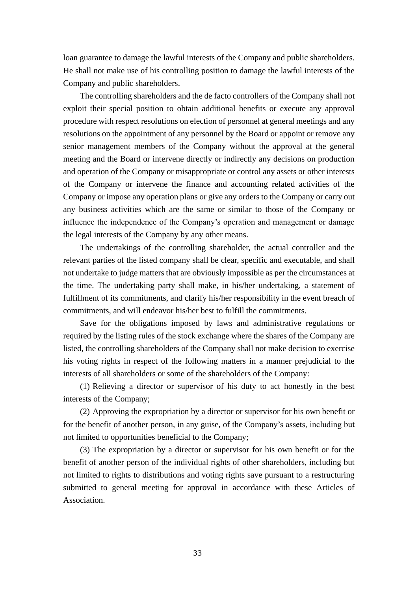loan guarantee to damage the lawful interests of the Company and public shareholders. He shall not make use of his controlling position to damage the lawful interests of the Company and public shareholders.

The controlling shareholders and the de facto controllers of the Company shall not exploit their special position to obtain additional benefits or execute any approval procedure with respect resolutions on election of personnel at general meetings and any resolutions on the appointment of any personnel by the Board or appoint or remove any senior management members of the Company without the approval at the general meeting and the Board or intervene directly or indirectly any decisions on production and operation of the Company or misappropriate or control any assets or other interests of the Company or intervene the finance and accounting related activities of the Company or impose any operation plans or give any orders to the Company or carry out any business activities which are the same or similar to those of the Company or influence the independence of the Company's operation and management or damage the legal interests of the Company by any other means.

The undertakings of the controlling shareholder, the actual controller and the relevant parties of the listed company shall be clear, specific and executable, and shall not undertake to judge matters that are obviously impossible as per the circumstances at the time. The undertaking party shall make, in his/her undertaking, a statement of fulfillment of its commitments, and clarify his/her responsibility in the event breach of commitments, and will endeavor his/her best to fulfill the commitments.

Save for the obligations imposed by laws and administrative regulations or required by the listing rules of the stock exchange where the shares of the Company are listed, the controlling shareholders of the Company shall not make decision to exercise his voting rights in respect of the following matters in a manner prejudicial to the interests of all shareholders or some of the shareholders of the Company:

(1) Relieving a director or supervisor of his duty to act honestly in the best interests of the Company;

(2) Approving the expropriation by a director or supervisor for his own benefit or for the benefit of another person, in any guise, of the Company's assets, including but not limited to opportunities beneficial to the Company;

(3) The expropriation by a director or supervisor for his own benefit or for the benefit of another person of the individual rights of other shareholders, including but not limited to rights to distributions and voting rights save pursuant to a restructuring submitted to general meeting for approval in accordance with these Articles of Association.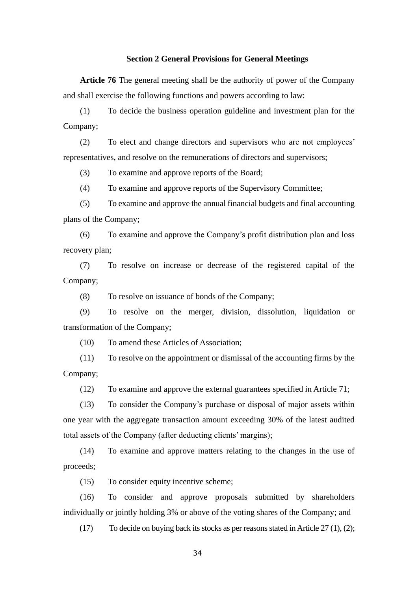#### **Section 2 General Provisions for General Meetings**

**Article 76** The general meeting shall be the authority of power of the Company and shall exercise the following functions and powers according to law:

(1) To decide the business operation guideline and investment plan for the Company;

(2) To elect and change directors and supervisors who are not employees' representatives, and resolve on the remunerations of directors and supervisors;

(3) To examine and approve reports of the Board;

(4) To examine and approve reports of the Supervisory Committee;

(5) To examine and approve the annual financial budgets and final accounting plans of the Company;

(6) To examine and approve the Company's profit distribution plan and loss recovery plan;

(7) To resolve on increase or decrease of the registered capital of the Company;

(8) To resolve on issuance of bonds of the Company;

(9) To resolve on the merger, division, dissolution, liquidation or transformation of the Company;

(10) To amend these Articles of Association;

(11) To resolve on the appointment or dismissal of the accounting firms by the Company;

(12) To examine and approve the external guarantees specified in Article 71;

(13) To consider the Company's purchase or disposal of major assets within one year with the aggregate transaction amount exceeding 30% of the latest audited total assets of the Company (after deducting clients' margins);

(14) To examine and approve matters relating to the changes in the use of proceeds;

(15) To consider equity incentive scheme;

(16) To consider and approve proposals submitted by shareholders individually or jointly holding 3% or above of the voting shares of the Company; and

(17) To decide on buying back its stocks as per reasons stated in Article 27 (1), (2);

34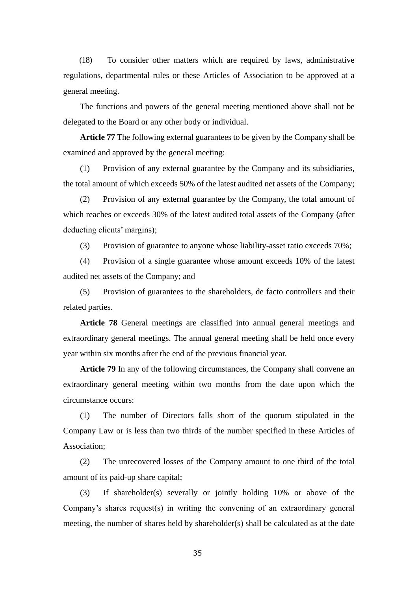(18) To consider other matters which are required by laws, administrative regulations, departmental rules or these Articles of Association to be approved at a general meeting.

The functions and powers of the general meeting mentioned above shall not be delegated to the Board or any other body or individual.

**Article 77** The following external guarantees to be given by the Company shall be examined and approved by the general meeting:

(1) Provision of any external guarantee by the Company and its subsidiaries, the total amount of which exceeds 50% of the latest audited net assets of the Company;

(2) Provision of any external guarantee by the Company, the total amount of which reaches or exceeds 30% of the latest audited total assets of the Company (after deducting clients' margins);

(3) Provision of guarantee to anyone whose liability-asset ratio exceeds 70%;

(4) Provision of a single guarantee whose amount exceeds 10% of the latest audited net assets of the Company; and

(5) Provision of guarantees to the shareholders, de facto controllers and their related parties.

**Article 78** General meetings are classified into annual general meetings and extraordinary general meetings. The annual general meeting shall be held once every year within six months after the end of the previous financial year.

**Article 79** In any of the following circumstances, the Company shall convene an extraordinary general meeting within two months from the date upon which the circumstance occurs:

(1) The number of Directors falls short of the quorum stipulated in the Company Law or is less than two thirds of the number specified in these Articles of Association;

(2) The unrecovered losses of the Company amount to one third of the total amount of its paid-up share capital;

(3) If shareholder(s) severally or jointly holding 10% or above of the Company's shares request(s) in writing the convening of an extraordinary general meeting, the number of shares held by shareholder(s) shall be calculated as at the date

35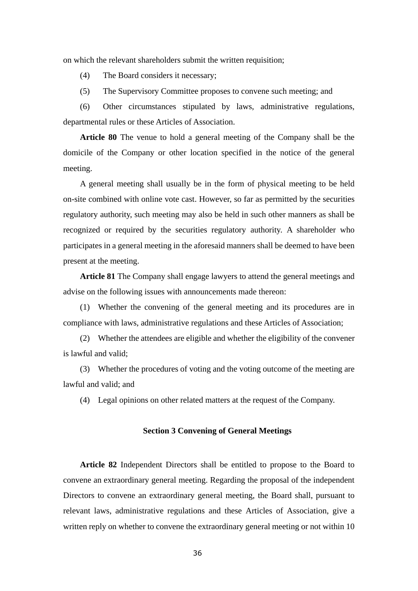on which the relevant shareholders submit the written requisition;

(4) The Board considers it necessary;

(5) The Supervisory Committee proposes to convene such meeting; and

(6) Other circumstances stipulated by laws, administrative regulations, departmental rules or these Articles of Association.

**Article 80** The venue to hold a general meeting of the Company shall be the domicile of the Company or other location specified in the notice of the general meeting.

A general meeting shall usually be in the form of physical meeting to be held on-site combined with online vote cast. However, so far as permitted by the securities regulatory authority, such meeting may also be held in such other manners as shall be recognized or required by the securities regulatory authority. A shareholder who participates in a general meeting in the aforesaid manners shall be deemed to have been present at the meeting.

**Article 81** The Company shall engage lawyers to attend the general meetings and advise on the following issues with announcements made thereon:

(1) Whether the convening of the general meeting and its procedures are in compliance with laws, administrative regulations and these Articles of Association;

(2) Whether the attendees are eligible and whether the eligibility of the convener is lawful and valid;

(3) Whether the procedures of voting and the voting outcome of the meeting are lawful and valid; and

(4) Legal opinions on other related matters at the request of the Company.

### **Section 3 Convening of General Meetings**

**Article 82** Independent Directors shall be entitled to propose to the Board to convene an extraordinary general meeting. Regarding the proposal of the independent Directors to convene an extraordinary general meeting, the Board shall, pursuant to relevant laws, administrative regulations and these Articles of Association, give a written reply on whether to convene the extraordinary general meeting or not within 10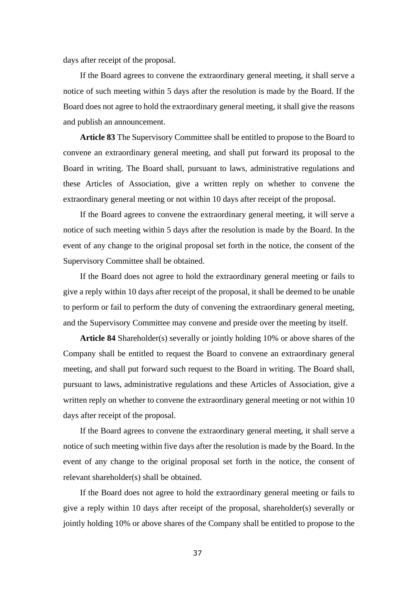days after receipt of the proposal.

If the Board agrees to convene the extraordinary general meeting, it shall serve a notice of such meeting within 5 days after the resolution is made by the Board. If the Board does not agree to hold the extraordinary general meeting, it shall give the reasons and publish an announcement.

**Article 83** The Supervisory Committee shall be entitled to propose to the Board to convene an extraordinary general meeting, and shall put forward its proposal to the Board in writing. The Board shall, pursuant to laws, administrative regulations and these Articles of Association, give a written reply on whether to convene the extraordinary general meeting or not within 10 days after receipt of the proposal.

If the Board agrees to convene the extraordinary general meeting, it will serve a notice of such meeting within 5 days after the resolution is made by the Board. In the event of any change to the original proposal set forth in the notice, the consent of the Supervisory Committee shall be obtained.

If the Board does not agree to hold the extraordinary general meeting or fails to give a reply within 10 days after receipt of the proposal, it shall be deemed to be unable to perform or fail to perform the duty of convening the extraordinary general meeting, and the Supervisory Committee may convene and preside over the meeting by itself.

**Article 84** Shareholder(s) severally or jointly holding 10% or above shares of the Company shall be entitled to request the Board to convene an extraordinary general meeting, and shall put forward such request to the Board in writing. The Board shall, pursuant to laws, administrative regulations and these Articles of Association, give a written reply on whether to convene the extraordinary general meeting or not within 10 days after receipt of the proposal.

If the Board agrees to convene the extraordinary general meeting, it shall serve a notice of such meeting within five days after the resolution is made by the Board. In the event of any change to the original proposal set forth in the notice, the consent of relevant shareholder(s) shall be obtained.

If the Board does not agree to hold the extraordinary general meeting or fails to give a reply within 10 days after receipt of the proposal, shareholder(s) severally or jointly holding 10% or above shares of the Company shall be entitled to propose to the

37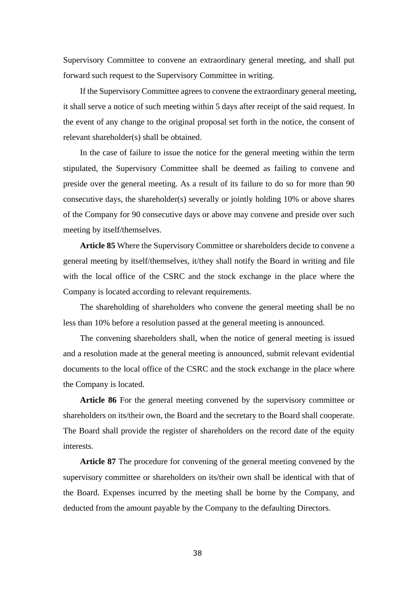Supervisory Committee to convene an extraordinary general meeting, and shall put forward such request to the Supervisory Committee in writing.

If the Supervisory Committee agrees to convene the extraordinary general meeting, it shall serve a notice of such meeting within 5 days after receipt of the said request. In the event of any change to the original proposal set forth in the notice, the consent of relevant shareholder(s) shall be obtained.

In the case of failure to issue the notice for the general meeting within the term stipulated, the Supervisory Committee shall be deemed as failing to convene and preside over the general meeting. As a result of its failure to do so for more than 90 consecutive days, the shareholder(s) severally or jointly holding 10% or above shares of the Company for 90 consecutive days or above may convene and preside over such meeting by itself/themselves.

**Article 85** Where the Supervisory Committee or shareholders decide to convene a general meeting by itself/themselves, it/they shall notify the Board in writing and file with the local office of the CSRC and the stock exchange in the place where the Company is located according to relevant requirements.

The shareholding of shareholders who convene the general meeting shall be no less than 10% before a resolution passed at the general meeting is announced.

The convening shareholders shall, when the notice of general meeting is issued and a resolution made at the general meeting is announced, submit relevant evidential documents to the local office of the CSRC and the stock exchange in the place where the Company is located.

**Article 86** For the general meeting convened by the supervisory committee or shareholders on its/their own, the Board and the secretary to the Board shall cooperate. The Board shall provide the register of shareholders on the record date of the equity interests.

**Article 87** The procedure for convening of the general meeting convened by the supervisory committee or shareholders on its/their own shall be identical with that of the Board. Expenses incurred by the meeting shall be borne by the Company, and deducted from the amount payable by the Company to the defaulting Directors.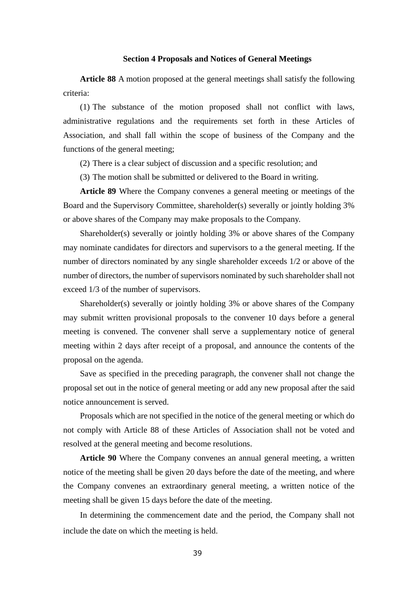### **Section 4 Proposals and Notices of General Meetings**

**Article 88** A motion proposed at the general meetings shall satisfy the following criteria:

(1) The substance of the motion proposed shall not conflict with laws, administrative regulations and the requirements set forth in these Articles of Association, and shall fall within the scope of business of the Company and the functions of the general meeting;

(2) There is a clear subject of discussion and a specific resolution; and

(3) The motion shall be submitted or delivered to the Board in writing.

**Article 89** Where the Company convenes a general meeting or meetings of the Board and the Supervisory Committee, shareholder(s) severally or jointly holding 3% or above shares of the Company may make proposals to the Company.

Shareholder(s) severally or jointly holding 3% or above shares of the Company may nominate candidates for directors and supervisors to a the general meeting. If the number of directors nominated by any single shareholder exceeds 1/2 or above of the number of directors, the number of supervisors nominated by such shareholder shall not exceed 1/3 of the number of supervisors.

Shareholder(s) severally or jointly holding 3% or above shares of the Company may submit written provisional proposals to the convener 10 days before a general meeting is convened. The convener shall serve a supplementary notice of general meeting within 2 days after receipt of a proposal, and announce the contents of the proposal on the agenda.

Save as specified in the preceding paragraph, the convener shall not change the proposal set out in the notice of general meeting or add any new proposal after the said notice announcement is served.

Proposals which are not specified in the notice of the general meeting or which do not comply with Article 88 of these Articles of Association shall not be voted and resolved at the general meeting and become resolutions.

**Article 90** Where the Company convenes an annual general meeting, a written notice of the meeting shall be given 20 days before the date of the meeting, and where the Company convenes an extraordinary general meeting, a written notice of the meeting shall be given 15 days before the date of the meeting.

In determining the commencement date and the period, the Company shall not include the date on which the meeting is held.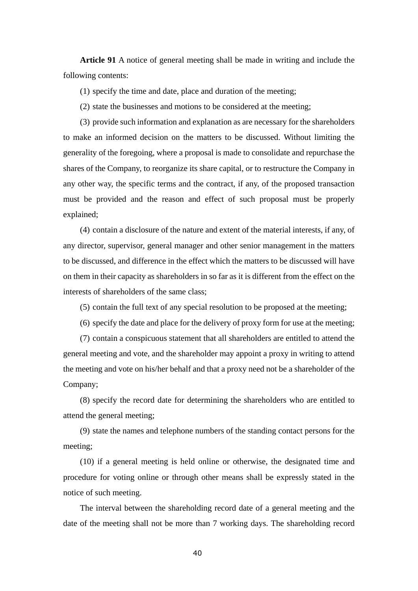**Article 91** A notice of general meeting shall be made in writing and include the following contents:

(1) specify the time and date, place and duration of the meeting;

(2) state the businesses and motions to be considered at the meeting;

(3) provide such information and explanation as are necessary for the shareholders to make an informed decision on the matters to be discussed. Without limiting the generality of the foregoing, where a proposal is made to consolidate and repurchase the shares of the Company, to reorganize its share capital, or to restructure the Company in any other way, the specific terms and the contract, if any, of the proposed transaction must be provided and the reason and effect of such proposal must be properly explained;

(4) contain a disclosure of the nature and extent of the material interests, if any, of any director, supervisor, general manager and other senior management in the matters to be discussed, and difference in the effect which the matters to be discussed will have on them in their capacity as shareholders in so far as it is different from the effect on the interests of shareholders of the same class;

(5) contain the full text of any special resolution to be proposed at the meeting;

(6) specify the date and place for the delivery of proxy form for use at the meeting;

(7) contain a conspicuous statement that all shareholders are entitled to attend the general meeting and vote, and the shareholder may appoint a proxy in writing to attend the meeting and vote on his/her behalf and that a proxy need not be a shareholder of the Company;

(8) specify the record date for determining the shareholders who are entitled to attend the general meeting;

(9) state the names and telephone numbers of the standing contact persons for the meeting;

(10) if a general meeting is held online or otherwise, the designated time and procedure for voting online or through other means shall be expressly stated in the notice of such meeting.

The interval between the shareholding record date of a general meeting and the date of the meeting shall not be more than 7 working days. The shareholding record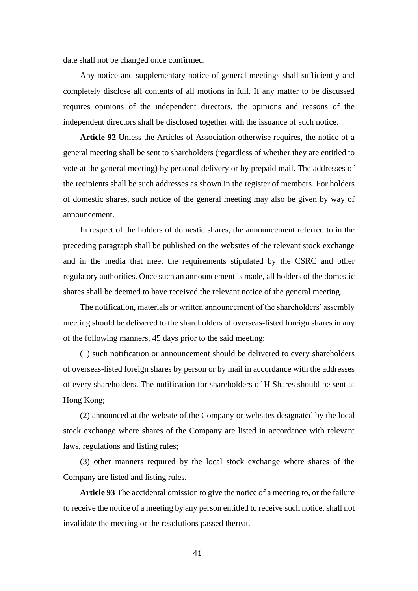date shall not be changed once confirmed.

Any notice and supplementary notice of general meetings shall sufficiently and completely disclose all contents of all motions in full. If any matter to be discussed requires opinions of the independent directors, the opinions and reasons of the independent directors shall be disclosed together with the issuance of such notice.

**Article 92** Unless the Articles of Association otherwise requires, the notice of a general meeting shall be sent to shareholders (regardless of whether they are entitled to vote at the general meeting) by personal delivery or by prepaid mail. The addresses of the recipients shall be such addresses as shown in the register of members. For holders of domestic shares, such notice of the general meeting may also be given by way of announcement.

In respect of the holders of domestic shares, the announcement referred to in the preceding paragraph shall be published on the websites of the relevant stock exchange and in the media that meet the requirements stipulated by the CSRC and other regulatory authorities. Once such an announcement is made, all holders of the domestic shares shall be deemed to have received the relevant notice of the general meeting.

The notification, materials or written announcement of the shareholders' assembly meeting should be delivered to the shareholders of overseas-listed foreign shares in any of the following manners, 45 days prior to the said meeting:

(1) such notification or announcement should be delivered to every shareholders of overseas-listed foreign shares by person or by mail in accordance with the addresses of every shareholders. The notification for shareholders of H Shares should be sent at Hong Kong;

(2) announced at the website of the Company or websites designated by the local stock exchange where shares of the Company are listed in accordance with relevant laws, regulations and listing rules;

(3) other manners required by the local stock exchange where shares of the Company are listed and listing rules.

**Article 93** The accidental omission to give the notice of a meeting to, or the failure to receive the notice of a meeting by any person entitled to receive such notice, shall not invalidate the meeting or the resolutions passed thereat.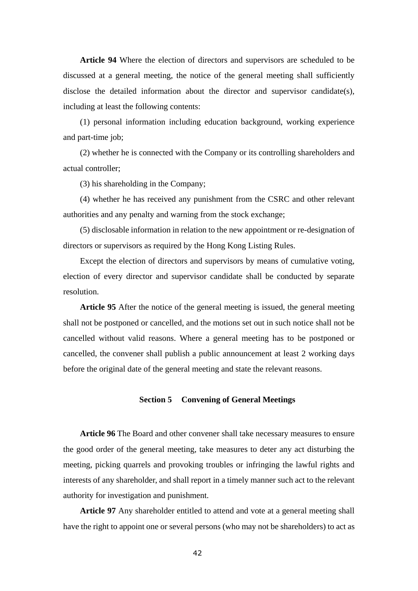**Article 94** Where the election of directors and supervisors are scheduled to be discussed at a general meeting, the notice of the general meeting shall sufficiently disclose the detailed information about the director and supervisor candidate(s), including at least the following contents:

(1) personal information including education background, working experience and part-time job;

(2) whether he is connected with the Company or its controlling shareholders and actual controller;

(3) his shareholding in the Company;

(4) whether he has received any punishment from the CSRC and other relevant authorities and any penalty and warning from the stock exchange;

(5) disclosable information in relation to the new appointment or re-designation of directors or supervisors as required by the Hong Kong Listing Rules.

Except the election of directors and supervisors by means of cumulative voting, election of every director and supervisor candidate shall be conducted by separate resolution.

**Article 95** After the notice of the general meeting is issued, the general meeting shall not be postponed or cancelled, and the motions set out in such notice shall not be cancelled without valid reasons. Where a general meeting has to be postponed or cancelled, the convener shall publish a public announcement at least 2 working days before the original date of the general meeting and state the relevant reasons.

## **Section 5 Convening of General Meetings**

**Article 96** The Board and other convener shall take necessary measures to ensure the good order of the general meeting, take measures to deter any act disturbing the meeting, picking quarrels and provoking troubles or infringing the lawful rights and interests of any shareholder, and shall report in a timely manner such act to the relevant authority for investigation and punishment.

**Article 97** Any shareholder entitled to attend and vote at a general meeting shall have the right to appoint one or several persons (who may not be shareholders) to act as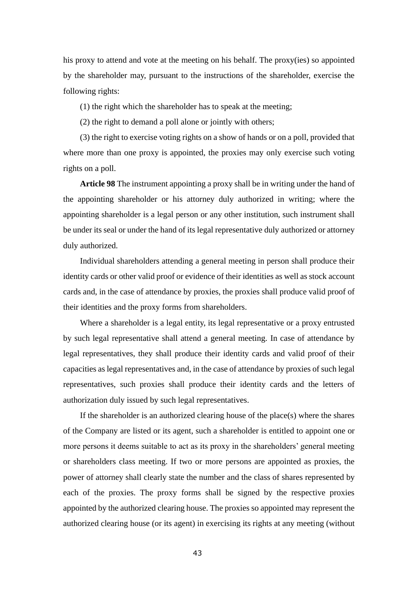his proxy to attend and vote at the meeting on his behalf. The proxy(ies) so appointed by the shareholder may, pursuant to the instructions of the shareholder, exercise the following rights:

(1) the right which the shareholder has to speak at the meeting;

(2) the right to demand a poll alone or jointly with others;

(3) the right to exercise voting rights on a show of hands or on a poll, provided that where more than one proxy is appointed, the proxies may only exercise such voting rights on a poll.

**Article 98** The instrument appointing a proxy shall be in writing under the hand of the appointing shareholder or his attorney duly authorized in writing; where the appointing shareholder is a legal person or any other institution, such instrument shall be under its seal or under the hand of its legal representative duly authorized or attorney duly authorized.

Individual shareholders attending a general meeting in person shall produce their identity cards or other valid proof or evidence of their identities as well as stock account cards and, in the case of attendance by proxies, the proxies shall produce valid proof of their identities and the proxy forms from shareholders.

Where a shareholder is a legal entity, its legal representative or a proxy entrusted by such legal representative shall attend a general meeting. In case of attendance by legal representatives, they shall produce their identity cards and valid proof of their capacities as legal representatives and, in the case of attendance by proxies of such legal representatives, such proxies shall produce their identity cards and the letters of authorization duly issued by such legal representatives.

If the shareholder is an authorized clearing house of the place(s) where the shares of the Company are listed or its agent, such a shareholder is entitled to appoint one or more persons it deems suitable to act as its proxy in the shareholders' general meeting or shareholders class meeting. If two or more persons are appointed as proxies, the power of attorney shall clearly state the number and the class of shares represented by each of the proxies. The proxy forms shall be signed by the respective proxies appointed by the authorized clearing house. The proxies so appointed may represent the authorized clearing house (or its agent) in exercising its rights at any meeting (without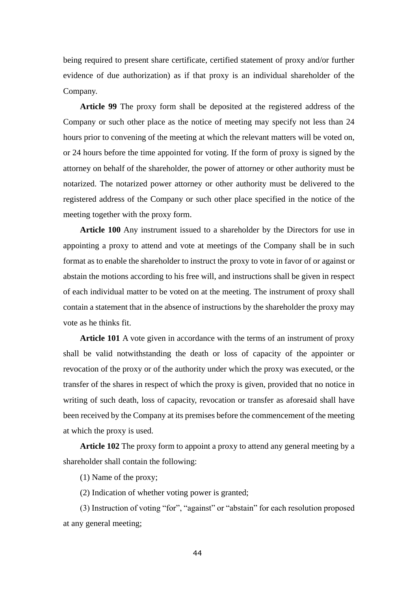being required to present share certificate, certified statement of proxy and/or further evidence of due authorization) as if that proxy is an individual shareholder of the Company.

**Article 99** The proxy form shall be deposited at the registered address of the Company or such other place as the notice of meeting may specify not less than 24 hours prior to convening of the meeting at which the relevant matters will be voted on, or 24 hours before the time appointed for voting. If the form of proxy is signed by the attorney on behalf of the shareholder, the power of attorney or other authority must be notarized. The notarized power attorney or other authority must be delivered to the registered address of the Company or such other place specified in the notice of the meeting together with the proxy form.

**Article 100** Any instrument issued to a shareholder by the Directors for use in appointing a proxy to attend and vote at meetings of the Company shall be in such format as to enable the shareholder to instruct the proxy to vote in favor of or against or abstain the motions according to his free will, and instructions shall be given in respect of each individual matter to be voted on at the meeting. The instrument of proxy shall contain a statement that in the absence of instructions by the shareholder the proxy may vote as he thinks fit.

**Article 101** A vote given in accordance with the terms of an instrument of proxy shall be valid notwithstanding the death or loss of capacity of the appointer or revocation of the proxy or of the authority under which the proxy was executed, or the transfer of the shares in respect of which the proxy is given, provided that no notice in writing of such death, loss of capacity, revocation or transfer as aforesaid shall have been received by the Company at its premises before the commencement of the meeting at which the proxy is used.

**Article 102** The proxy form to appoint a proxy to attend any general meeting by a shareholder shall contain the following:

(1) Name of the proxy;

(2) Indication of whether voting power is granted;

(3) Instruction of voting "for", "against" or "abstain" for each resolution proposed at any general meeting;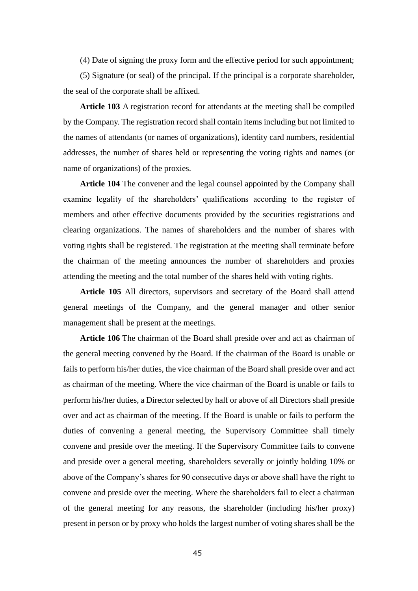(4) Date of signing the proxy form and the effective period for such appointment;

(5) Signature (or seal) of the principal. If the principal is a corporate shareholder, the seal of the corporate shall be affixed.

**Article 103** A registration record for attendants at the meeting shall be compiled by the Company. The registration record shall contain items including but not limited to the names of attendants (or names of organizations), identity card numbers, residential addresses, the number of shares held or representing the voting rights and names (or name of organizations) of the proxies.

**Article 104** The convener and the legal counsel appointed by the Company shall examine legality of the shareholders' qualifications according to the register of members and other effective documents provided by the securities registrations and clearing organizations. The names of shareholders and the number of shares with voting rights shall be registered. The registration at the meeting shall terminate before the chairman of the meeting announces the number of shareholders and proxies attending the meeting and the total number of the shares held with voting rights.

**Article 105** All directors, supervisors and secretary of the Board shall attend general meetings of the Company, and the general manager and other senior management shall be present at the meetings.

**Article 106** The chairman of the Board shall preside over and act as chairman of the general meeting convened by the Board. If the chairman of the Board is unable or fails to perform his/her duties, the vice chairman of the Board shall preside over and act as chairman of the meeting. Where the vice chairman of the Board is unable or fails to perform his/her duties, a Director selected by half or above of all Directors shall preside over and act as chairman of the meeting. If the Board is unable or fails to perform the duties of convening a general meeting, the Supervisory Committee shall timely convene and preside over the meeting. If the Supervisory Committee fails to convene and preside over a general meeting, shareholders severally or jointly holding 10% or above of the Company's shares for 90 consecutive days or above shall have the right to convene and preside over the meeting. Where the shareholders fail to elect a chairman of the general meeting for any reasons, the shareholder (including his/her proxy) present in person or by proxy who holds the largest number of voting shares shall be the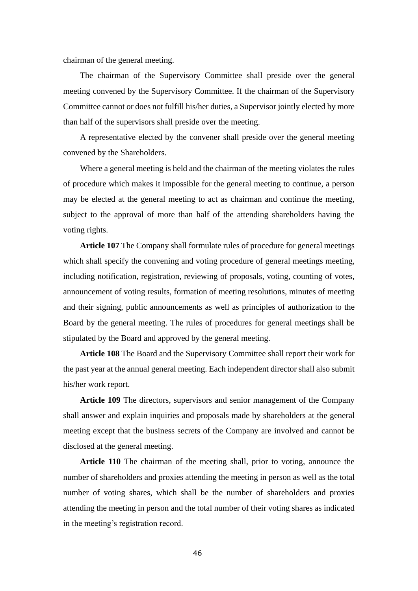chairman of the general meeting.

The chairman of the Supervisory Committee shall preside over the general meeting convened by the Supervisory Committee. If the chairman of the Supervisory Committee cannot or does not fulfill his/her duties, a Supervisor jointly elected by more than half of the supervisors shall preside over the meeting.

A representative elected by the convener shall preside over the general meeting convened by the Shareholders.

Where a general meeting is held and the chairman of the meeting violates the rules of procedure which makes it impossible for the general meeting to continue, a person may be elected at the general meeting to act as chairman and continue the meeting, subject to the approval of more than half of the attending shareholders having the voting rights.

**Article 107** The Company shall formulate rules of procedure for general meetings which shall specify the convening and voting procedure of general meetings meeting, including notification, registration, reviewing of proposals, voting, counting of votes, announcement of voting results, formation of meeting resolutions, minutes of meeting and their signing, public announcements as well as principles of authorization to the Board by the general meeting. The rules of procedures for general meetings shall be stipulated by the Board and approved by the general meeting.

**Article 108** The Board and the Supervisory Committee shall report their work for the past year at the annual general meeting. Each independent director shall also submit his/her work report.

**Article 109** The directors, supervisors and senior management of the Company shall answer and explain inquiries and proposals made by shareholders at the general meeting except that the business secrets of the Company are involved and cannot be disclosed at the general meeting.

**Article 110** The chairman of the meeting shall, prior to voting, announce the number of shareholders and proxies attending the meeting in person as well as the total number of voting shares, which shall be the number of shareholders and proxies attending the meeting in person and the total number of their voting shares as indicated in the meeting's registration record.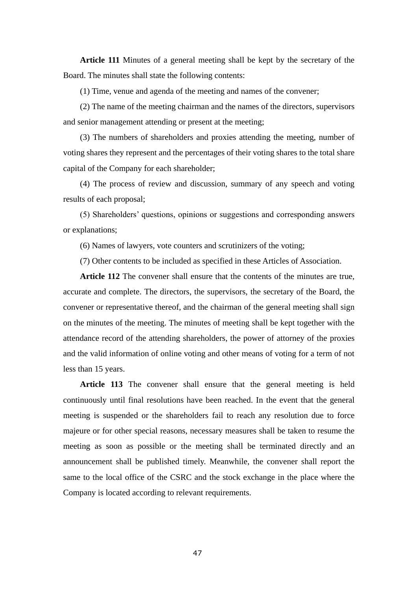**Article 111** Minutes of a general meeting shall be kept by the secretary of the Board. The minutes shall state the following contents:

(1) Time, venue and agenda of the meeting and names of the convener;

(2) The name of the meeting chairman and the names of the directors, supervisors and senior management attending or present at the meeting;

(3) The numbers of shareholders and proxies attending the meeting, number of voting shares they represent and the percentages of their voting shares to the total share capital of the Company for each shareholder;

(4) The process of review and discussion, summary of any speech and voting results of each proposal;

(5) Shareholders' questions, opinions or suggestions and corresponding answers or explanations;

(6) Names of lawyers, vote counters and scrutinizers of the voting;

(7) Other contents to be included as specified in these Articles of Association.

**Article 112** The convener shall ensure that the contents of the minutes are true, accurate and complete. The directors, the supervisors, the secretary of the Board, the convener or representative thereof, and the chairman of the general meeting shall sign on the minutes of the meeting. The minutes of meeting shall be kept together with the attendance record of the attending shareholders, the power of attorney of the proxies and the valid information of online voting and other means of voting for a term of not less than 15 years.

**Article 113** The convener shall ensure that the general meeting is held continuously until final resolutions have been reached. In the event that the general meeting is suspended or the shareholders fail to reach any resolution due to force majeure or for other special reasons, necessary measures shall be taken to resume the meeting as soon as possible or the meeting shall be terminated directly and an announcement shall be published timely. Meanwhile, the convener shall report the same to the local office of the CSRC and the stock exchange in the place where the Company is located according to relevant requirements.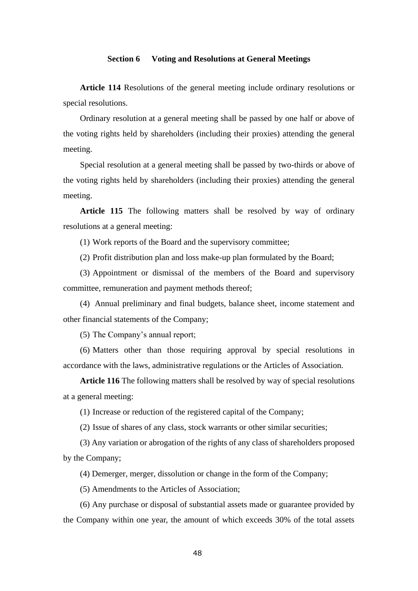## **Section 6 Voting and Resolutions at General Meetings**

**Article 114** Resolutions of the general meeting include ordinary resolutions or special resolutions.

Ordinary resolution at a general meeting shall be passed by one half or above of the voting rights held by shareholders (including their proxies) attending the general meeting.

Special resolution at a general meeting shall be passed by two-thirds or above of the voting rights held by shareholders (including their proxies) attending the general meeting.

Article 115 The following matters shall be resolved by way of ordinary resolutions at a general meeting:

(1) Work reports of the Board and the supervisory committee;

(2) Profit distribution plan and loss make-up plan formulated by the Board;

(3) Appointment or dismissal of the members of the Board and supervisory committee, remuneration and payment methods thereof;

(4) Annual preliminary and final budgets, balance sheet, income statement and other financial statements of the Company;

(5) The Company's annual report;

(6) Matters other than those requiring approval by special resolutions in accordance with the laws, administrative regulations or the Articles of Association.

**Article 116** The following matters shall be resolved by way of special resolutions at a general meeting:

(1) Increase or reduction of the registered capital of the Company;

(2) Issue of shares of any class, stock warrants or other similar securities;

(3) Any variation or abrogation of the rights of any class of shareholders proposed by the Company;

(4) Demerger, merger, dissolution or change in the form of the Company;

(5) Amendments to the Articles of Association;

(6) Any purchase or disposal of substantial assets made or guarantee provided by the Company within one year, the amount of which exceeds 30% of the total assets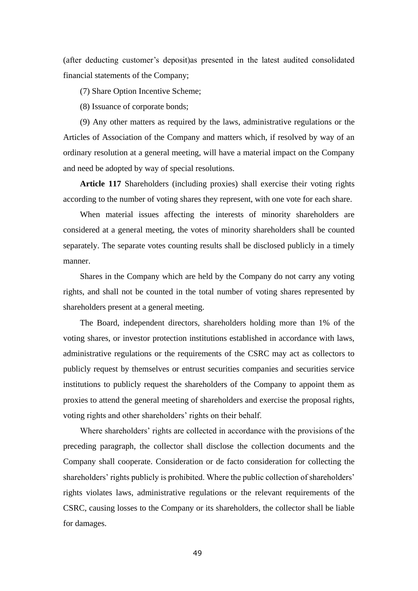(after deducting customer's deposit)as presented in the latest audited consolidated financial statements of the Company;

(7) Share Option Incentive Scheme;

(8) Issuance of corporate bonds;

(9) Any other matters as required by the laws, administrative regulations or the Articles of Association of the Company and matters which, if resolved by way of an ordinary resolution at a general meeting, will have a material impact on the Company and need be adopted by way of special resolutions.

**Article 117** Shareholders (including proxies) shall exercise their voting rights according to the number of voting shares they represent, with one vote for each share.

When material issues affecting the interests of minority shareholders are considered at a general meeting, the votes of minority shareholders shall be counted separately. The separate votes counting results shall be disclosed publicly in a timely manner.

Shares in the Company which are held by the Company do not carry any voting rights, and shall not be counted in the total number of voting shares represented by shareholders present at a general meeting.

The Board, independent directors, shareholders holding more than 1% of the voting shares, or investor protection institutions established in accordance with laws, administrative regulations or the requirements of the CSRC may act as collectors to publicly request by themselves or entrust securities companies and securities service institutions to publicly request the shareholders of the Company to appoint them as proxies to attend the general meeting of shareholders and exercise the proposal rights, voting rights and other shareholders' rights on their behalf.

Where shareholders' rights are collected in accordance with the provisions of the preceding paragraph, the collector shall disclose the collection documents and the Company shall cooperate. Consideration or de facto consideration for collecting the shareholders' rights publicly is prohibited. Where the public collection of shareholders' rights violates laws, administrative regulations or the relevant requirements of the CSRC, causing losses to the Company or its shareholders, the collector shall be liable for damages.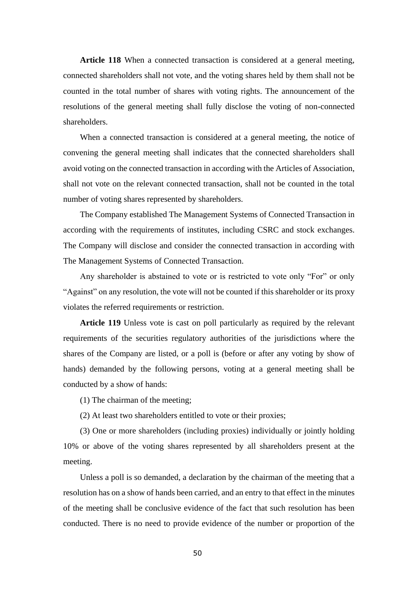**Article 118** When a connected transaction is considered at a general meeting, connected shareholders shall not vote, and the voting shares held by them shall not be counted in the total number of shares with voting rights. The announcement of the resolutions of the general meeting shall fully disclose the voting of non-connected shareholders.

When a connected transaction is considered at a general meeting, the notice of convening the general meeting shall indicates that the connected shareholders shall avoid voting on the connected transaction in according with the Articles of Association, shall not vote on the relevant connected transaction, shall not be counted in the total number of voting shares represented by shareholders.

The Company established The Management Systems of Connected Transaction in according with the requirements of institutes, including CSRC and stock exchanges. The Company will disclose and consider the connected transaction in according with The Management Systems of Connected Transaction.

Any shareholder is abstained to vote or is restricted to vote only "For" or only "Against" on any resolution, the vote will not be counted if this shareholder or its proxy violates the referred requirements or restriction.

**Article 119** Unless vote is cast on poll particularly as required by the relevant requirements of the securities regulatory authorities of the jurisdictions where the shares of the Company are listed, or a poll is (before or after any voting by show of hands) demanded by the following persons, voting at a general meeting shall be conducted by a show of hands:

(1) The chairman of the meeting;

(2) At least two shareholders entitled to vote or their proxies;

(3) One or more shareholders (including proxies) individually or jointly holding 10% or above of the voting shares represented by all shareholders present at the meeting.

Unless a poll is so demanded, a declaration by the chairman of the meeting that a resolution has on a show of hands been carried, and an entry to that effect in the minutes of the meeting shall be conclusive evidence of the fact that such resolution has been conducted. There is no need to provide evidence of the number or proportion of the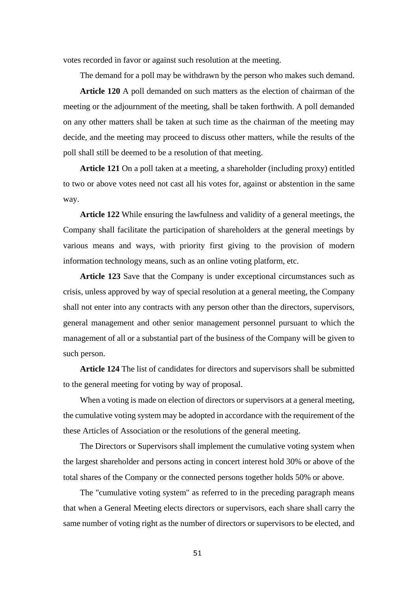votes recorded in favor or against such resolution at the meeting.

The demand for a poll may be withdrawn by the person who makes such demand.

**Article 120** A poll demanded on such matters as the election of chairman of the meeting or the adjournment of the meeting, shall be taken forthwith. A poll demanded on any other matters shall be taken at such time as the chairman of the meeting may decide, and the meeting may proceed to discuss other matters, while the results of the poll shall still be deemed to be a resolution of that meeting.

**Article 121** On a poll taken at a meeting, a shareholder (including proxy) entitled to two or above votes need not cast all his votes for, against or abstention in the same way.

**Article 122** While ensuring the lawfulness and validity of a general meetings, the Company shall facilitate the participation of shareholders at the general meetings by various means and ways, with priority first giving to the provision of modern information technology means, such as an online voting platform, etc.

**Article 123** Save that the Company is under exceptional circumstances such as crisis, unless approved by way of special resolution at a general meeting, the Company shall not enter into any contracts with any person other than the directors, supervisors, general management and other senior management personnel pursuant to which the management of all or a substantial part of the business of the Company will be given to such person.

**Article 124** The list of candidates for directors and supervisors shall be submitted to the general meeting for voting by way of proposal.

When a voting is made on election of directors or supervisors at a general meeting, the cumulative voting system may be adopted in accordance with the requirement of the these Articles of Association or the resolutions of the general meeting.

The Directors or Supervisors shall implement the cumulative voting system when the largest shareholder and persons acting in concert interest hold 30% or above of the total shares of the Company or the connected persons together holds 50% or above.

The "cumulative voting system" as referred to in the preceding paragraph means that when a General Meeting elects directors or supervisors, each share shall carry the same number of voting right as the number of directors or supervisors to be elected, and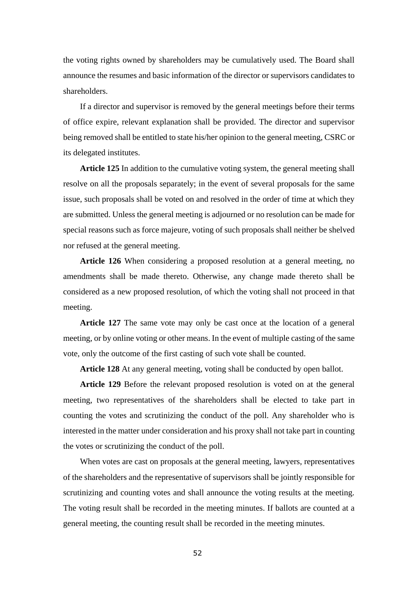the voting rights owned by shareholders may be cumulatively used. The Board shall announce the resumes and basic information of the director or supervisors candidates to shareholders.

If a director and supervisor is removed by the general meetings before their terms of office expire, relevant explanation shall be provided. The director and supervisor being removed shall be entitled to state his/her opinion to the general meeting, CSRC or its delegated institutes.

**Article 125** In addition to the cumulative voting system, the general meeting shall resolve on all the proposals separately; in the event of several proposals for the same issue, such proposals shall be voted on and resolved in the order of time at which they are submitted. Unless the general meeting is adjourned or no resolution can be made for special reasons such as force majeure, voting of such proposals shall neither be shelved nor refused at the general meeting.

**Article 126** When considering a proposed resolution at a general meeting, no amendments shall be made thereto. Otherwise, any change made thereto shall be considered as a new proposed resolution, of which the voting shall not proceed in that meeting.

**Article 127** The same vote may only be cast once at the location of a general meeting, or by online voting or other means. In the event of multiple casting of the same vote, only the outcome of the first casting of such vote shall be counted.

**Article 128** At any general meeting, voting shall be conducted by open ballot.

**Article 129** Before the relevant proposed resolution is voted on at the general meeting, two representatives of the shareholders shall be elected to take part in counting the votes and scrutinizing the conduct of the poll. Any shareholder who is interested in the matter under consideration and his proxy shall not take part in counting the votes or scrutinizing the conduct of the poll.

When votes are cast on proposals at the general meeting, lawyers, representatives of the shareholders and the representative of supervisors shall be jointly responsible for scrutinizing and counting votes and shall announce the voting results at the meeting. The voting result shall be recorded in the meeting minutes. If ballots are counted at a general meeting, the counting result shall be recorded in the meeting minutes.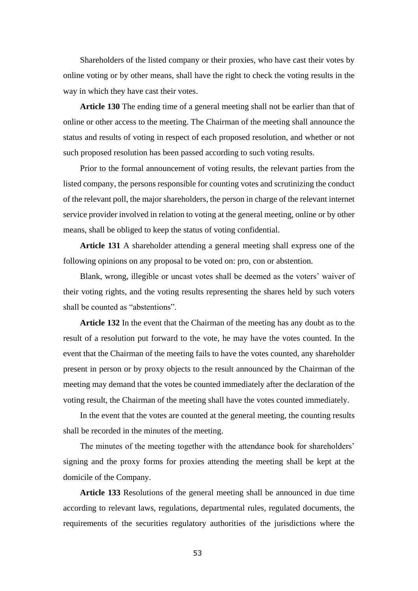Shareholders of the listed company or their proxies, who have cast their votes by online voting or by other means, shall have the right to check the voting results in the way in which they have cast their votes.

**Article 130** The ending time of a general meeting shall not be earlier than that of online or other access to the meeting. The Chairman of the meeting shall announce the status and results of voting in respect of each proposed resolution, and whether or not such proposed resolution has been passed according to such voting results.

Prior to the formal announcement of voting results, the relevant parties from the listed company, the persons responsible for counting votes and scrutinizing the conduct of the relevant poll, the major shareholders, the person in charge of the relevant internet service provider involved in relation to voting at the general meeting, online or by other means, shall be obliged to keep the status of voting confidential.

**Article 131** A shareholder attending a general meeting shall express one of the following opinions on any proposal to be voted on: pro, con or abstention.

Blank, wrong, illegible or uncast votes shall be deemed as the voters' waiver of their voting rights, and the voting results representing the shares held by such voters shall be counted as "abstentions".

**Article 132** In the event that the Chairman of the meeting has any doubt as to the result of a resolution put forward to the vote, he may have the votes counted. In the event that the Chairman of the meeting fails to have the votes counted, any shareholder present in person or by proxy objects to the result announced by the Chairman of the meeting may demand that the votes be counted immediately after the declaration of the voting result, the Chairman of the meeting shall have the votes counted immediately.

In the event that the votes are counted at the general meeting, the counting results shall be recorded in the minutes of the meeting.

The minutes of the meeting together with the attendance book for shareholders' signing and the proxy forms for proxies attending the meeting shall be kept at the domicile of the Company.

**Article 133** Resolutions of the general meeting shall be announced in due time according to relevant laws, regulations, departmental rules, regulated documents, the requirements of the securities regulatory authorities of the jurisdictions where the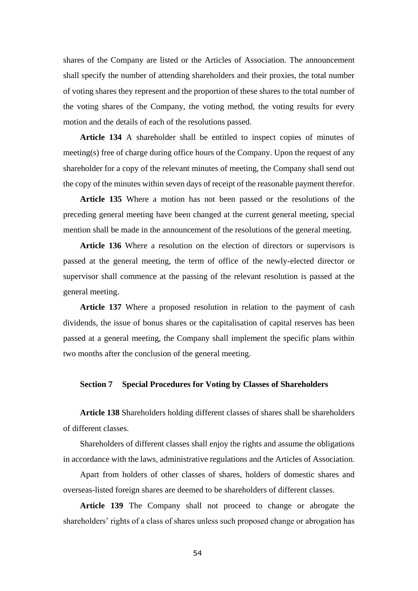shares of the Company are listed or the Articles of Association. The announcement shall specify the number of attending shareholders and their proxies, the total number of voting shares they represent and the proportion of these shares to the total number of the voting shares of the Company, the voting method, the voting results for every motion and the details of each of the resolutions passed.

**Article 134** A shareholder shall be entitled to inspect copies of minutes of meeting(s) free of charge during office hours of the Company. Upon the request of any shareholder for a copy of the relevant minutes of meeting, the Company shall send out the copy of the minutes within seven days of receipt of the reasonable payment therefor.

**Article 135** Where a motion has not been passed or the resolutions of the preceding general meeting have been changed at the current general meeting, special mention shall be made in the announcement of the resolutions of the general meeting.

**Article 136** Where a resolution on the election of directors or supervisors is passed at the general meeting, the term of office of the newly-elected director or supervisor shall commence at the passing of the relevant resolution is passed at the general meeting.

**Article 137** Where a proposed resolution in relation to the payment of cash dividends, the issue of bonus shares or the capitalisation of capital reserves has been passed at a general meeting, the Company shall implement the specific plans within two months after the conclusion of the general meeting.

## **Section 7 Special Procedures for Voting by Classes of Shareholders**

**Article 138** Shareholders holding different classes of shares shall be shareholders of different classes.

Shareholders of different classes shall enjoy the rights and assume the obligations in accordance with the laws, administrative regulations and the Articles of Association.

Apart from holders of other classes of shares, holders of domestic shares and overseas-listed foreign shares are deemed to be shareholders of different classes.

**Article 139** The Company shall not proceed to change or abrogate the shareholders' rights of a class of shares unless such proposed change or abrogation has

54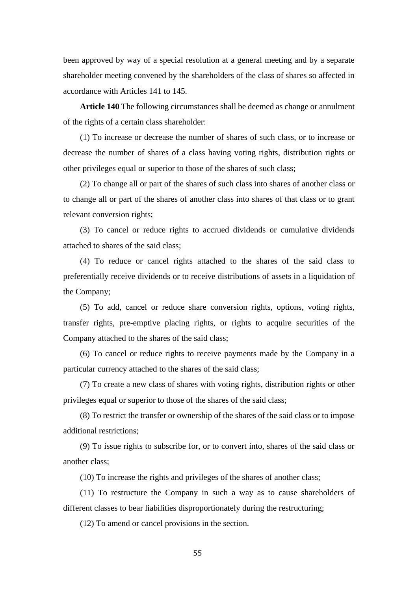been approved by way of a special resolution at a general meeting and by a separate shareholder meeting convened by the shareholders of the class of shares so affected in accordance with Articles 141 to 145.

**Article 140** The following circumstances shall be deemed as change or annulment of the rights of a certain class shareholder:

(1) To increase or decrease the number of shares of such class, or to increase or decrease the number of shares of a class having voting rights, distribution rights or other privileges equal or superior to those of the shares of such class;

(2) To change all or part of the shares of such class into shares of another class or to change all or part of the shares of another class into shares of that class or to grant relevant conversion rights;

(3) To cancel or reduce rights to accrued dividends or cumulative dividends attached to shares of the said class;

(4) To reduce or cancel rights attached to the shares of the said class to preferentially receive dividends or to receive distributions of assets in a liquidation of the Company;

(5) To add, cancel or reduce share conversion rights, options, voting rights, transfer rights, pre-emptive placing rights, or rights to acquire securities of the Company attached to the shares of the said class;

(6) To cancel or reduce rights to receive payments made by the Company in a particular currency attached to the shares of the said class;

(7) To create a new class of shares with voting rights, distribution rights or other privileges equal or superior to those of the shares of the said class;

(8) To restrict the transfer or ownership of the shares of the said class or to impose additional restrictions;

(9) To issue rights to subscribe for, or to convert into, shares of the said class or another class;

(10) To increase the rights and privileges of the shares of another class;

(11) To restructure the Company in such a way as to cause shareholders of different classes to bear liabilities disproportionately during the restructuring;

(12) To amend or cancel provisions in the section.

55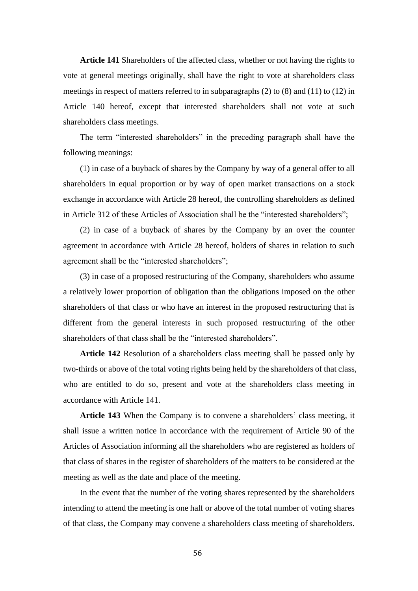**Article 141** Shareholders of the affected class, whether or not having the rights to vote at general meetings originally, shall have the right to vote at shareholders class meetings in respect of matters referred to in subparagraphs (2) to (8) and (11) to (12) in Article 140 hereof, except that interested shareholders shall not vote at such shareholders class meetings.

The term "interested shareholders" in the preceding paragraph shall have the following meanings:

(1) in case of a buyback of shares by the Company by way of a general offer to all shareholders in equal proportion or by way of open market transactions on a stock exchange in accordance with Article 28 hereof, the controlling shareholders as defined in Article 312 of these Articles of Association shall be the "interested shareholders";

(2) in case of a buyback of shares by the Company by an over the counter agreement in accordance with Article 28 hereof, holders of shares in relation to such agreement shall be the "interested shareholders";

(3) in case of a proposed restructuring of the Company, shareholders who assume a relatively lower proportion of obligation than the obligations imposed on the other shareholders of that class or who have an interest in the proposed restructuring that is different from the general interests in such proposed restructuring of the other shareholders of that class shall be the "interested shareholders".

**Article 142** Resolution of a shareholders class meeting shall be passed only by two-thirds or above of the total voting rights being held by the shareholders of that class, who are entitled to do so, present and vote at the shareholders class meeting in accordance with Article 141.

**Article 143** When the Company is to convene a shareholders' class meeting, it shall issue a written notice in accordance with the requirement of Article 90 of the Articles of Association informing all the shareholders who are registered as holders of that class of shares in the register of shareholders of the matters to be considered at the meeting as well as the date and place of the meeting.

In the event that the number of the voting shares represented by the shareholders intending to attend the meeting is one half or above of the total number of voting shares of that class, the Company may convene a shareholders class meeting of shareholders.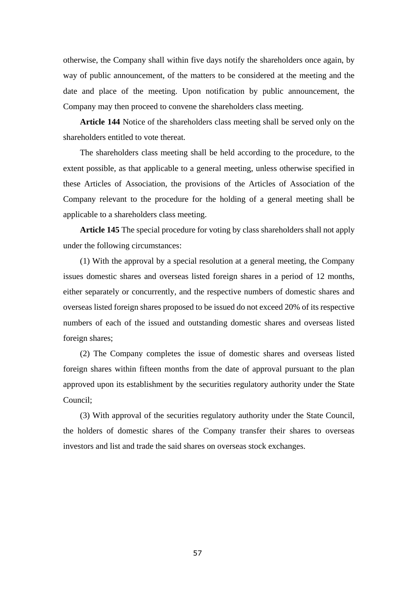otherwise, the Company shall within five days notify the shareholders once again, by way of public announcement, of the matters to be considered at the meeting and the date and place of the meeting. Upon notification by public announcement, the Company may then proceed to convene the shareholders class meeting.

**Article 144** Notice of the shareholders class meeting shall be served only on the shareholders entitled to vote thereat.

The shareholders class meeting shall be held according to the procedure, to the extent possible, as that applicable to a general meeting, unless otherwise specified in these Articles of Association, the provisions of the Articles of Association of the Company relevant to the procedure for the holding of a general meeting shall be applicable to a shareholders class meeting.

**Article 145** The special procedure for voting by class shareholders shall not apply under the following circumstances:

(1) With the approval by a special resolution at a general meeting, the Company issues domestic shares and overseas listed foreign shares in a period of 12 months, either separately or concurrently, and the respective numbers of domestic shares and overseas listed foreign shares proposed to be issued do not exceed 20% of its respective numbers of each of the issued and outstanding domestic shares and overseas listed foreign shares;

(2) The Company completes the issue of domestic shares and overseas listed foreign shares within fifteen months from the date of approval pursuant to the plan approved upon its establishment by the securities regulatory authority under the State Council;

(3) With approval of the securities regulatory authority under the State Council, the holders of domestic shares of the Company transfer their shares to overseas investors and list and trade the said shares on overseas stock exchanges.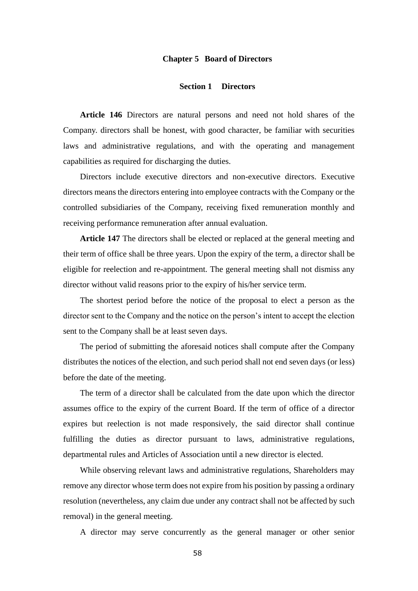#### **Chapter 5 Board of Directors**

#### **Section 1 Directors**

**Article 146** Directors are natural persons and need not hold shares of the Company. directors shall be honest, with good character, be familiar with securities laws and administrative regulations, and with the operating and management capabilities as required for discharging the duties.

Directors include executive directors and non-executive directors. Executive directors means the directors entering into employee contracts with the Company or the controlled subsidiaries of the Company, receiving fixed remuneration monthly and receiving performance remuneration after annual evaluation.

**Article 147** The directors shall be elected or replaced at the general meeting and their term of office shall be three years. Upon the expiry of the term, a director shall be eligible for reelection and re-appointment. The general meeting shall not dismiss any director without valid reasons prior to the expiry of his/her service term.

The shortest period before the notice of the proposal to elect a person as the director sent to the Company and the notice on the person's intent to accept the election sent to the Company shall be at least seven days.

The period of submitting the aforesaid notices shall compute after the Company distributes the notices of the election, and such period shall not end seven days (or less) before the date of the meeting.

The term of a director shall be calculated from the date upon which the director assumes office to the expiry of the current Board. If the term of office of a director expires but reelection is not made responsively, the said director shall continue fulfilling the duties as director pursuant to laws, administrative regulations, departmental rules and Articles of Association until a new director is elected.

While observing relevant laws and administrative regulations, Shareholders may remove any director whose term does not expire from his position by passing a ordinary resolution (nevertheless, any claim due under any contract shall not be affected by such removal) in the general meeting.

A director may serve concurrently as the general manager or other senior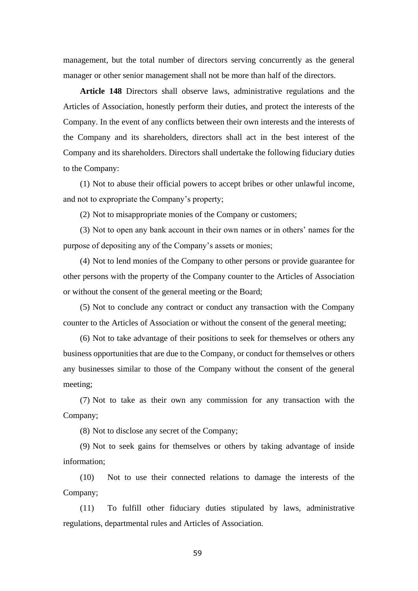management, but the total number of directors serving concurrently as the general manager or other senior management shall not be more than half of the directors.

**Article 148** Directors shall observe laws, administrative regulations and the Articles of Association, honestly perform their duties, and protect the interests of the Company. In the event of any conflicts between their own interests and the interests of the Company and its shareholders, directors shall act in the best interest of the Company and its shareholders. Directors shall undertake the following fiduciary duties to the Company:

(1) Not to abuse their official powers to accept bribes or other unlawful income, and not to expropriate the Company's property;

(2) Not to misappropriate monies of the Company or customers;

(3) Not to open any bank account in their own names or in others' names for the purpose of depositing any of the Company's assets or monies;

(4) Not to lend monies of the Company to other persons or provide guarantee for other persons with the property of the Company counter to the Articles of Association or without the consent of the general meeting or the Board;

(5) Not to conclude any contract or conduct any transaction with the Company counter to the Articles of Association or without the consent of the general meeting;

(6) Not to take advantage of their positions to seek for themselves or others any business opportunities that are due to the Company, or conduct for themselves or others any businesses similar to those of the Company without the consent of the general meeting;

(7) Not to take as their own any commission for any transaction with the Company;

(8) Not to disclose any secret of the Company;

(9) Not to seek gains for themselves or others by taking advantage of inside information;

(10) Not to use their connected relations to damage the interests of the Company;

(11) To fulfill other fiduciary duties stipulated by laws, administrative regulations, departmental rules and Articles of Association.

59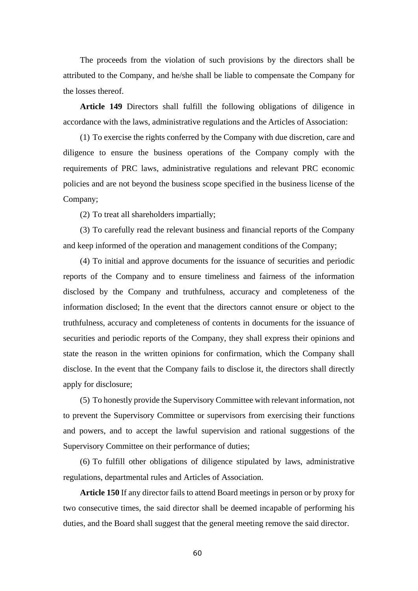The proceeds from the violation of such provisions by the directors shall be attributed to the Company, and he/she shall be liable to compensate the Company for the losses thereof.

**Article 149** Directors shall fulfill the following obligations of diligence in accordance with the laws, administrative regulations and the Articles of Association:

(1) To exercise the rights conferred by the Company with due discretion, care and diligence to ensure the business operations of the Company comply with the requirements of PRC laws, administrative regulations and relevant PRC economic policies and are not beyond the business scope specified in the business license of the Company;

(2) To treat all shareholders impartially;

(3) To carefully read the relevant business and financial reports of the Company and keep informed of the operation and management conditions of the Company;

(4) To initial and approve documents for the issuance of securities and periodic reports of the Company and to ensure timeliness and fairness of the information disclosed by the Company and truthfulness, accuracy and completeness of the information disclosed; In the event that the directors cannot ensure or object to the truthfulness, accuracy and completeness of contents in documents for the issuance of securities and periodic reports of the Company, they shall express their opinions and state the reason in the written opinions for confirmation, which the Company shall disclose. In the event that the Company fails to disclose it, the directors shall directly apply for disclosure;

(5) To honestly provide the Supervisory Committee with relevant information, not to prevent the Supervisory Committee or supervisors from exercising their functions and powers, and to accept the lawful supervision and rational suggestions of the Supervisory Committee on their performance of duties;

(6) To fulfill other obligations of diligence stipulated by laws, administrative regulations, departmental rules and Articles of Association.

**Article 150** If any director fails to attend Board meetings in person or by proxy for two consecutive times, the said director shall be deemed incapable of performing his duties, and the Board shall suggest that the general meeting remove the said director.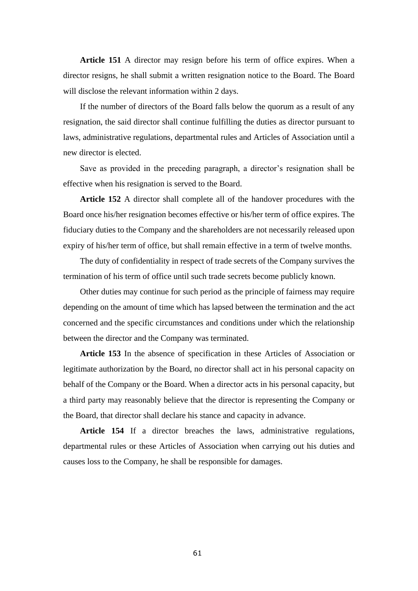**Article 151** A director may resign before his term of office expires. When a director resigns, he shall submit a written resignation notice to the Board. The Board will disclose the relevant information within 2 days.

If the number of directors of the Board falls below the quorum as a result of any resignation, the said director shall continue fulfilling the duties as director pursuant to laws, administrative regulations, departmental rules and Articles of Association until a new director is elected.

Save as provided in the preceding paragraph, a director's resignation shall be effective when his resignation is served to the Board.

**Article 152** A director shall complete all of the handover procedures with the Board once his/her resignation becomes effective or his/her term of office expires. The fiduciary duties to the Company and the shareholders are not necessarily released upon expiry of his/her term of office, but shall remain effective in a term of twelve months.

The duty of confidentiality in respect of trade secrets of the Company survives the termination of his term of office until such trade secrets become publicly known.

Other duties may continue for such period as the principle of fairness may require depending on the amount of time which has lapsed between the termination and the act concerned and the specific circumstances and conditions under which the relationship between the director and the Company was terminated.

**Article 153** In the absence of specification in these Articles of Association or legitimate authorization by the Board, no director shall act in his personal capacity on behalf of the Company or the Board. When a director acts in his personal capacity, but a third party may reasonably believe that the director is representing the Company or the Board, that director shall declare his stance and capacity in advance.

**Article 154** If a director breaches the laws, administrative regulations, departmental rules or these Articles of Association when carrying out his duties and causes loss to the Company, he shall be responsible for damages.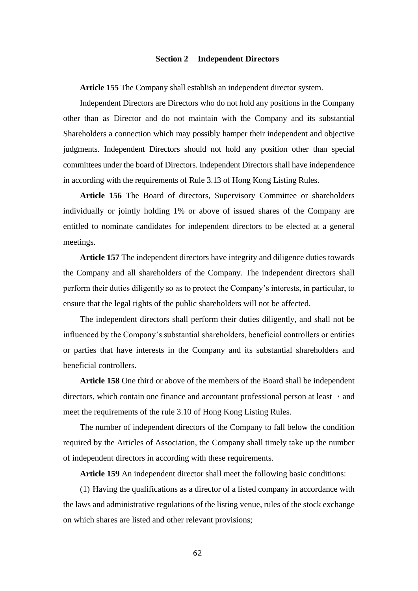#### **Section 2 Independent Directors**

**Article 155** The Company shall establish an independent director system.

Independent Directors are Directors who do not hold any positions in the Company other than as Director and do not maintain with the Company and its substantial Shareholders a connection which may possibly hamper their independent and objective judgments. Independent Directors should not hold any position other than special committees under the board of Directors. Independent Directors shall have independence in according with the requirements of Rule 3.13 of Hong Kong Listing Rules.

**Article 156** The Board of directors, Supervisory Committee or shareholders individually or jointly holding 1% or above of issued shares of the Company are entitled to nominate candidates for independent directors to be elected at a general meetings.

**Article 157** The independent directors have integrity and diligence duties towards the Company and all shareholders of the Company. The independent directors shall perform their duties diligently so as to protect the Company's interests, in particular, to ensure that the legal rights of the public shareholders will not be affected.

The independent directors shall perform their duties diligently, and shall not be influenced by the Company's substantial shareholders, beneficial controllers or entities or parties that have interests in the Company and its substantial shareholders and beneficial controllers.

**Article 158** One third or above of the members of the Board shall be independent directors, which contain one finance and accountant professional person at least  $\cdot$  and meet the requirements of the rule 3.10 of Hong Kong Listing Rules.

The number of independent directors of the Company to fall below the condition required by the Articles of Association, the Company shall timely take up the number of independent directors in according with these requirements.

**Article 159** An independent director shall meet the following basic conditions:

(1) Having the qualifications as a director of a listed company in accordance with the laws and administrative regulations of the listing venue, rules of the stock exchange on which shares are listed and other relevant provisions;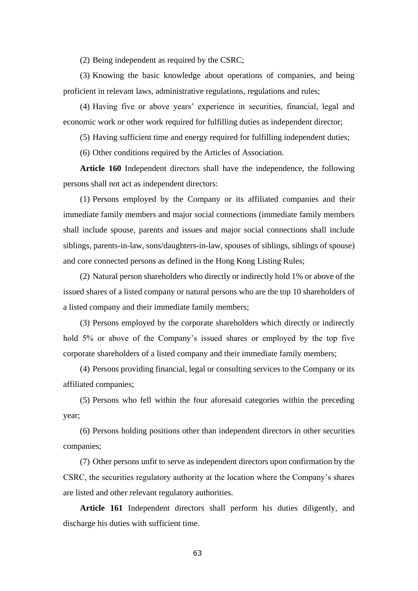(2) Being independent as required by the CSRC;

(3) Knowing the basic knowledge about operations of companies, and being proficient in relevant laws, administrative regulations, regulations and rules;

(4) Having five or above years' experience in securities, financial, legal and economic work or other work required for fulfilling duties as independent director;

(5) Having sufficient time and energy required for fulfilling independent duties;

(6) Other conditions required by the Articles of Association.

**Article 160** Independent directors shall have the independence, the following persons shall not act as independent directors:

(1) Persons employed by the Company or its affiliated companies and their immediate family members and major social connections (immediate family members shall include spouse, parents and issues and major social connections shall include siblings, parents-in-law, sons/daughters-in-law, spouses of siblings, siblings of spouse) and core connected persons as defined in the Hong Kong Listing Rules;

(2) Natural person shareholders who directly or indirectly hold 1% or above of the issued shares of a listed company or natural persons who are the top 10 shareholders of a listed company and their immediate family members;

(3) Persons employed by the corporate shareholders which directly or indirectly hold 5% or above of the Company's issued shares or employed by the top five corporate shareholders of a listed company and their immediate family members;

(4) Persons providing financial, legal or consulting services to the Company or its affiliated companies;

(5) Persons who fell within the four aforesaid categories within the preceding year;

(6) Persons holding positions other than independent directors in other securities companies;

(7) Other persons unfit to serve as independent directors upon confirmation by the CSRC, the securities regulatory authority at the location where the Company's shares are listed and other relevant regulatory authorities.

**Article 161** Independent directors shall perform his duties diligently, and discharge his duties with sufficient time.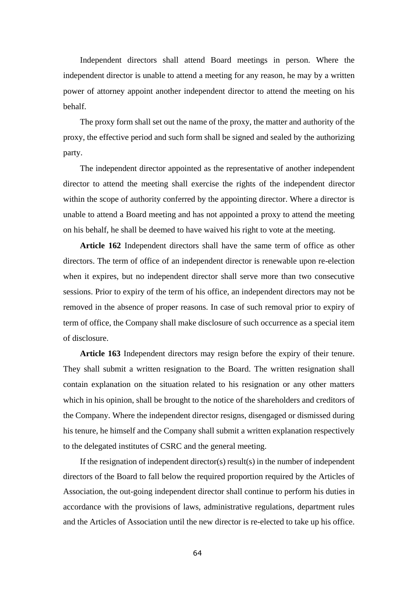Independent directors shall attend Board meetings in person. Where the independent director is unable to attend a meeting for any reason, he may by a written power of attorney appoint another independent director to attend the meeting on his behalf.

The proxy form shall set out the name of the proxy, the matter and authority of the proxy, the effective period and such form shall be signed and sealed by the authorizing party.

The independent director appointed as the representative of another independent director to attend the meeting shall exercise the rights of the independent director within the scope of authority conferred by the appointing director. Where a director is unable to attend a Board meeting and has not appointed a proxy to attend the meeting on his behalf, he shall be deemed to have waived his right to vote at the meeting.

**Article 162** Independent directors shall have the same term of office as other directors. The term of office of an independent director is renewable upon re-election when it expires, but no independent director shall serve more than two consecutive sessions. Prior to expiry of the term of his office, an independent directors may not be removed in the absence of proper reasons. In case of such removal prior to expiry of term of office, the Company shall make disclosure of such occurrence as a special item of disclosure.

**Article 163** Independent directors may resign before the expiry of their tenure. They shall submit a written resignation to the Board. The written resignation shall contain explanation on the situation related to his resignation or any other matters which in his opinion, shall be brought to the notice of the shareholders and creditors of the Company. Where the independent director resigns, disengaged or dismissed during his tenure, he himself and the Company shall submit a written explanation respectively to the delegated institutes of CSRC and the general meeting.

If the resignation of independent director(s) result(s) in the number of independent directors of the Board to fall below the required proportion required by the Articles of Association, the out-going independent director shall continue to perform his duties in accordance with the provisions of laws, administrative regulations, department rules and the Articles of Association until the new director is re-elected to take up his office.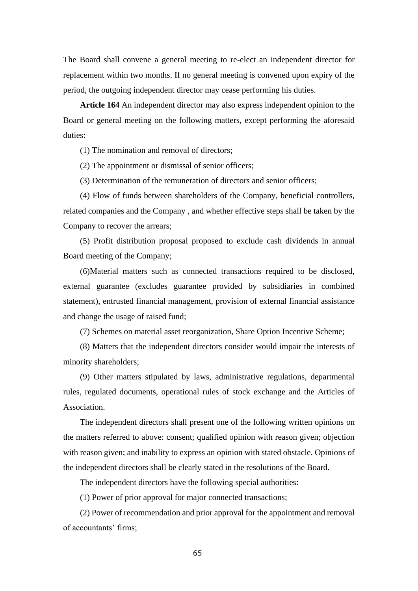The Board shall convene a general meeting to re-elect an independent director for replacement within two months. If no general meeting is convened upon expiry of the period, the outgoing independent director may cease performing his duties.

**Article 164** An independent director may also express independent opinion to the Board or general meeting on the following matters, except performing the aforesaid duties:

(1) The nomination and removal of directors;

(2) The appointment or dismissal of senior officers;

(3) Determination of the remuneration of directors and senior officers;

(4) Flow of funds between shareholders of the Company, beneficial controllers, related companies and the Company , and whether effective steps shall be taken by the Company to recover the arrears;

(5) Profit distribution proposal proposed to exclude cash dividends in annual Board meeting of the Company;

(6)Material matters such as connected transactions required to be disclosed, external guarantee (excludes guarantee provided by subsidiaries in combined statement), entrusted financial management, provision of external financial assistance and change the usage of raised fund;

(7) Schemes on material asset reorganization, Share Option Incentive Scheme;

(8) Matters that the independent directors consider would impair the interests of minority shareholders;

(9) Other matters stipulated by laws, administrative regulations, departmental rules, regulated documents, operational rules of stock exchange and the Articles of Association.

The independent directors shall present one of the following written opinions on the matters referred to above: consent; qualified opinion with reason given; objection with reason given; and inability to express an opinion with stated obstacle. Opinions of the independent directors shall be clearly stated in the resolutions of the Board.

The independent directors have the following special authorities:

(1) Power of prior approval for major connected transactions;

(2) Power of recommendation and prior approval for the appointment and removal of accountants' firms;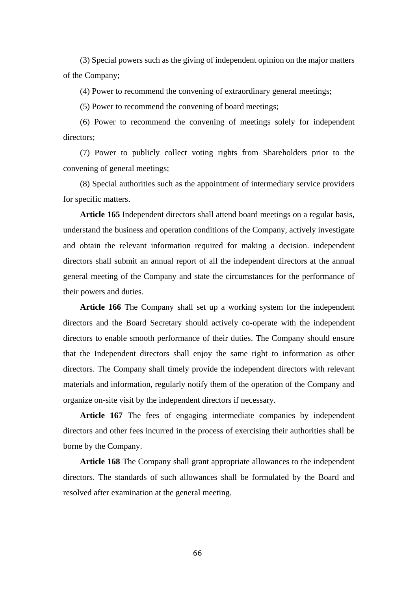(3) Special powers such as the giving of independent opinion on the major matters of the Company;

(4) Power to recommend the convening of extraordinary general meetings;

(5) Power to recommend the convening of board meetings;

(6) Power to recommend the convening of meetings solely for independent directors;

(7) Power to publicly collect voting rights from Shareholders prior to the convening of general meetings;

(8) Special authorities such as the appointment of intermediary service providers for specific matters.

**Article 165** Independent directors shall attend board meetings on a regular basis, understand the business and operation conditions of the Company, actively investigate and obtain the relevant information required for making a decision. independent directors shall submit an annual report of all the independent directors at the annual general meeting of the Company and state the circumstances for the performance of their powers and duties.

**Article 166** The Company shall set up a working system for the independent directors and the Board Secretary should actively co-operate with the independent directors to enable smooth performance of their duties. The Company should ensure that the Independent directors shall enjoy the same right to information as other directors. The Company shall timely provide the independent directors with relevant materials and information, regularly notify them of the operation of the Company and organize on-site visit by the independent directors if necessary.

**Article 167** The fees of engaging intermediate companies by independent directors and other fees incurred in the process of exercising their authorities shall be borne by the Company.

**Article 168** The Company shall grant appropriate allowances to the independent directors. The standards of such allowances shall be formulated by the Board and resolved after examination at the general meeting.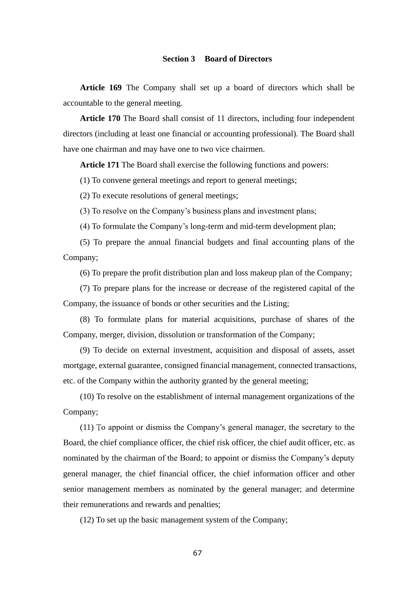# **Section 3 Board of Directors**

**Article 169** The Company shall set up a board of directors which shall be accountable to the general meeting.

**Article 170** The Board shall consist of 11 directors, including four independent directors (including at least one financial or accounting professional). The Board shall have one chairman and may have one to two vice chairmen.

**Article 171** The Board shall exercise the following functions and powers:

(1) To convene general meetings and report to general meetings;

(2) To execute resolutions of general meetings;

(3) To resolve on the Company's business plans and investment plans;

(4) To formulate the Company's long-term and mid-term development plan;

(5) To prepare the annual financial budgets and final accounting plans of the Company;

(6) To prepare the profit distribution plan and loss makeup plan of the Company;

(7) To prepare plans for the increase or decrease of the registered capital of the Company, the issuance of bonds or other securities and the Listing;

(8) To formulate plans for material acquisitions, purchase of shares of the Company, merger, division, dissolution or transformation of the Company;

(9) To decide on external investment, acquisition and disposal of assets, asset mortgage, external guarantee, consigned financial management, connected transactions, etc. of the Company within the authority granted by the general meeting;

(10) To resolve on the establishment of internal management organizations of the Company;

(11) To appoint or dismiss the Company's general manager, the secretary to the Board, the chief compliance officer, the chief risk officer, the chief audit officer, etc. as nominated by the chairman of the Board; to appoint or dismiss the Company's deputy general manager, the chief financial officer, the chief information officer and other senior management members as nominated by the general manager; and determine their remunerations and rewards and penalties;

(12) To set up the basic management system of the Company;

67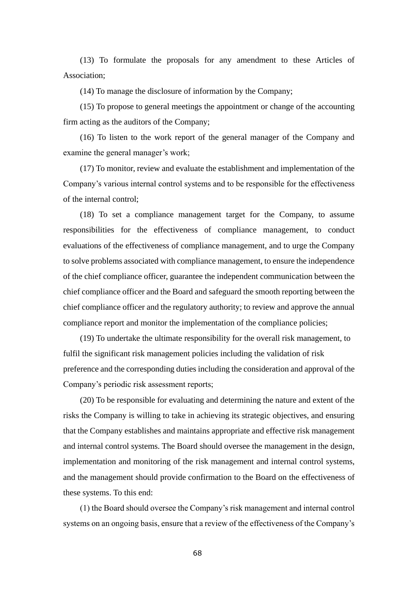(13) To formulate the proposals for any amendment to these Articles of Association;

(14) To manage the disclosure of information by the Company;

(15) To propose to general meetings the appointment or change of the accounting firm acting as the auditors of the Company;

(16) To listen to the work report of the general manager of the Company and examine the general manager's work;

(17) To monitor, review and evaluate the establishment and implementation of the Company's various internal control systems and to be responsible for the effectiveness of the internal control;

(18) To set a compliance management target for the Company, to assume responsibilities for the effectiveness of compliance management, to conduct evaluations of the effectiveness of compliance management, and to urge the Company to solve problems associated with compliance management, to ensure the independence of the chief compliance officer, guarantee the independent communication between the chief compliance officer and the Board and safeguard the smooth reporting between the chief compliance officer and the regulatory authority; to review and approve the annual compliance report and monitor the implementation of the compliance policies;

(19) To undertake the ultimate responsibility for the overall risk management, to fulfil the significant risk management policies including the validation of risk preference and the corresponding duties including the consideration and approval of the Company's periodic risk assessment reports;

(20) To be responsible for evaluating and determining the nature and extent of the risks the Company is willing to take in achieving its strategic objectives, and ensuring that the Company establishes and maintains appropriate and effective risk management and internal control systems. The Board should oversee the management in the design, implementation and monitoring of the risk management and internal control systems, and the management should provide confirmation to the Board on the effectiveness of these systems. To this end:

(1) the Board should oversee the Company's risk management and internal control systems on an ongoing basis, ensure that a review of the effectiveness of the Company's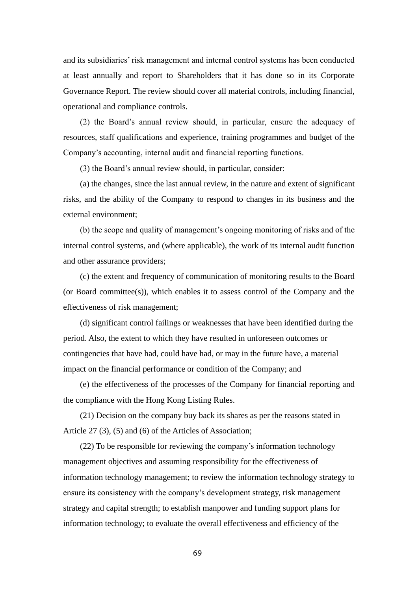and its subsidiaries' risk management and internal control systems has been conducted at least annually and report to Shareholders that it has done so in its Corporate Governance Report. The review should cover all material controls, including financial, operational and compliance controls.

(2) the Board's annual review should, in particular, ensure the adequacy of resources, staff qualifications and experience, training programmes and budget of the Company's accounting, internal audit and financial reporting functions.

(3) the Board's annual review should, in particular, consider:

(a) the changes, since the last annual review, in the nature and extent of significant risks, and the ability of the Company to respond to changes in its business and the external environment;

(b) the scope and quality of management's ongoing monitoring of risks and of the internal control systems, and (where applicable), the work of its internal audit function and other assurance providers;

(c) the extent and frequency of communication of monitoring results to the Board (or Board committee(s)), which enables it to assess control of the Company and the effectiveness of risk management;

(d) significant control failings or weaknesses that have been identified during the period. Also, the extent to which they have resulted in unforeseen outcomes or contingencies that have had, could have had, or may in the future have, a material impact on the financial performance or condition of the Company; and

(e) the effectiveness of the processes of the Company for financial reporting and the compliance with the Hong Kong Listing Rules.

(21) Decision on the company buy back its shares as per the reasons stated in Article 27 (3), (5) and (6) of the Articles of Association;

(22) To be responsible for reviewing the company's information technology management objectives and assuming responsibility for the effectiveness of information technology management; to review the information technology strategy to ensure its consistency with the company's development strategy, risk management strategy and capital strength; to establish manpower and funding support plans for information technology; to evaluate the overall effectiveness and efficiency of the

69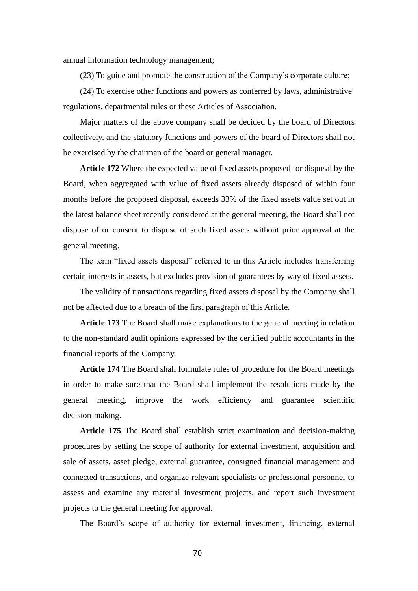annual information technology management;

(23) To guide and promote the construction of the Company's corporate culture;

(24) To exercise other functions and powers as conferred by laws, administrative regulations, departmental rules or these Articles of Association.

Major matters of the above company shall be decided by the board of Directors collectively, and the statutory functions and powers of the board of Directors shall not be exercised by the chairman of the board or general manager.

**Article 172** Where the expected value of fixed assets proposed for disposal by the Board, when aggregated with value of fixed assets already disposed of within four months before the proposed disposal, exceeds 33% of the fixed assets value set out in the latest balance sheet recently considered at the general meeting, the Board shall not dispose of or consent to dispose of such fixed assets without prior approval at the general meeting.

The term "fixed assets disposal" referred to in this Article includes transferring certain interests in assets, but excludes provision of guarantees by way of fixed assets.

The validity of transactions regarding fixed assets disposal by the Company shall not be affected due to a breach of the first paragraph of this Article.

**Article 173** The Board shall make explanations to the general meeting in relation to the non-standard audit opinions expressed by the certified public accountants in the financial reports of the Company.

**Article 174** The Board shall formulate rules of procedure for the Board meetings in order to make sure that the Board shall implement the resolutions made by the general meeting, improve the work efficiency and guarantee scientific decision-making.

**Article 175** The Board shall establish strict examination and decision-making procedures by setting the scope of authority for external investment, acquisition and sale of assets, asset pledge, external guarantee, consigned financial management and connected transactions, and organize relevant specialists or professional personnel to assess and examine any material investment projects, and report such investment projects to the general meeting for approval.

The Board's scope of authority for external investment, financing, external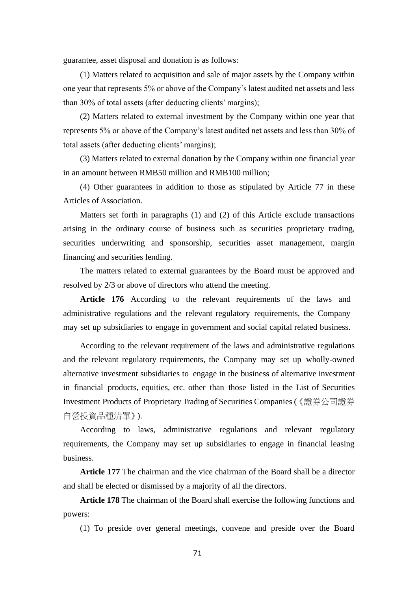guarantee, asset disposal and donation is as follows:

(1) Matters related to acquisition and sale of major assets by the Company within one year that represents 5% or above of the Company's latest audited net assets and less than 30% of total assets (after deducting clients' margins);

(2) Matters related to external investment by the Company within one year that represents 5% or above of the Company's latest audited net assets and less than 30% of total assets (after deducting clients' margins);

(3) Matters related to external donation by the Company within one financial year in an amount between RMB50 million and RMB100 million;

(4) Other guarantees in addition to those as stipulated by Article 77 in these Articles of Association.

Matters set forth in paragraphs (1) and (2) of this Article exclude transactions arising in the ordinary course of business such as securities proprietary trading, securities underwriting and sponsorship, securities asset management, margin financing and securities lending.

The matters related to external guarantees by the Board must be approved and resolved by 2/3 or above of directors who attend the meeting.

**Article 176** According to the relevant requirements of the laws and administrative regulations and the relevant regulatory requirements, the Company may set up subsidiaries to engage in government and social capital related business.

According to the relevant requirement of the laws and administrative regulations and the relevant regulatory requirements, the Company may set up wholly-owned alternative investment subsidiaries to engage in the business of alternative investment in financial products, equities, etc. other than those listed in the List of Securities Investment Products of Proprietary Trading of Securities Companies (《證券公司證券 自營投資品種清單》).

According to laws, administrative regulations and relevant regulatory requirements, the Company may set up subsidiaries to engage in financial leasing business.

**Article 177** The chairman and the vice chairman of the Board shall be a director and shall be elected or dismissed by a majority of all the directors.

**Article 178** The chairman of the Board shall exercise the following functions and powers:

(1) To preside over general meetings, convene and preside over the Board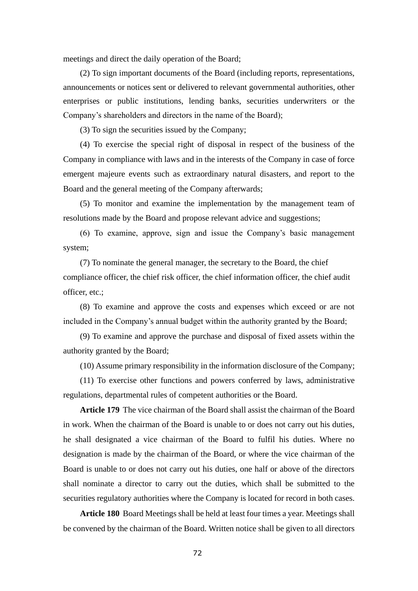meetings and direct the daily operation of the Board;

(2) To sign important documents of the Board (including reports, representations, announcements or notices sent or delivered to relevant governmental authorities, other enterprises or public institutions, lending banks, securities underwriters or the Company's shareholders and directors in the name of the Board);

(3) To sign the securities issued by the Company;

(4) To exercise the special right of disposal in respect of the business of the Company in compliance with laws and in the interests of the Company in case of force emergent majeure events such as extraordinary natural disasters, and report to the Board and the general meeting of the Company afterwards;

(5) To monitor and examine the implementation by the management team of resolutions made by the Board and propose relevant advice and suggestions;

(6) To examine, approve, sign and issue the Company's basic management system;

(7) To nominate the general manager, the secretary to the Board, the chief compliance officer, the chief risk officer, the chief information officer, the chief audit officer, etc.;

(8) To examine and approve the costs and expenses which exceed or are not included in the Company's annual budget within the authority granted by the Board;

(9) To examine and approve the purchase and disposal of fixed assets within the authority granted by the Board;

(10) Assume primary responsibility in the information disclosure of the Company;

(11) To exercise other functions and powers conferred by laws, administrative regulations, departmental rules of competent authorities or the Board.

**Article 179** The vice chairman of the Board shall assist the chairman of the Board in work. When the chairman of the Board is unable to or does not carry out his duties, he shall designated a vice chairman of the Board to fulfil his duties. Where no designation is made by the chairman of the Board, or where the vice chairman of the Board is unable to or does not carry out his duties, one half or above of the directors shall nominate a director to carry out the duties, which shall be submitted to the securities regulatory authorities where the Company is located for record in both cases.

**Article 180** Board Meetings shall be held at least four times a year. Meetings shall be convened by the chairman of the Board. Written notice shall be given to all directors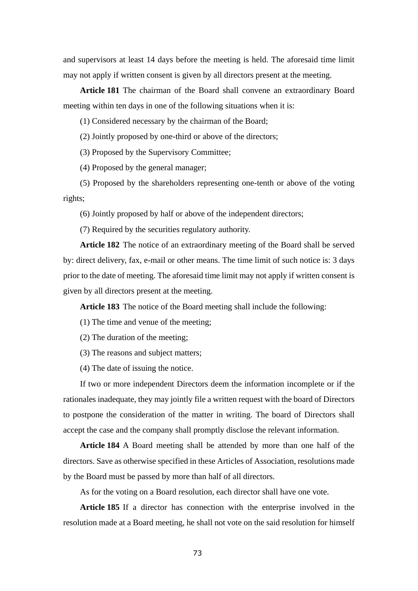and supervisors at least 14 days before the meeting is held. The aforesaid time limit may not apply if written consent is given by all directors present at the meeting.

**Article 181** The chairman of the Board shall convene an extraordinary Board meeting within ten days in one of the following situations when it is:

(1) Considered necessary by the chairman of the Board;

(2) Jointly proposed by one-third or above of the directors;

(3) Proposed by the Supervisory Committee;

(4) Proposed by the general manager;

(5) Proposed by the shareholders representing one-tenth or above of the voting rights;

(6) Jointly proposed by half or above of the independent directors;

(7) Required by the securities regulatory authority.

**Article 182** The notice of an extraordinary meeting of the Board shall be served by: direct delivery, fax, e-mail or other means. The time limit of such notice is: 3 days prior to the date of meeting. The aforesaid time limit may not apply if written consent is given by all directors present at the meeting.

**Article 183** The notice of the Board meeting shall include the following:

(1) The time and venue of the meeting;

(2) The duration of the meeting;

(3) The reasons and subject matters;

(4) The date of issuing the notice.

If two or more independent Directors deem the information incomplete or if the rationales inadequate, they may jointly file a written request with the board of Directors to postpone the consideration of the matter in writing. The board of Directors shall accept the case and the company shall promptly disclose the relevant information.

**Article 184** A Board meeting shall be attended by more than one half of the directors. Save as otherwise specified in these Articles of Association, resolutions made by the Board must be passed by more than half of all directors.

As for the voting on a Board resolution, each director shall have one vote.

**Article 185** If a director has connection with the enterprise involved in the resolution made at a Board meeting, he shall not vote on the said resolution for himself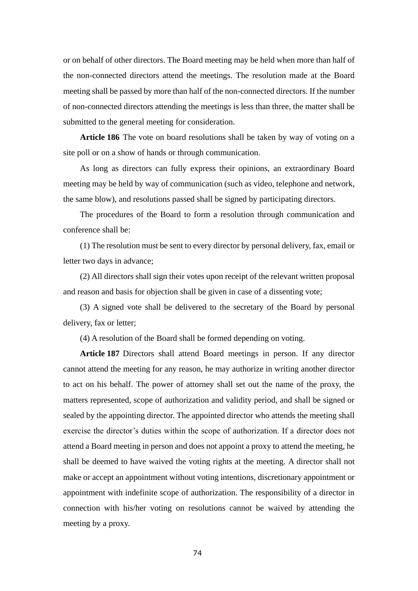or on behalf of other directors. The Board meeting may be held when more than half of the non-connected directors attend the meetings. The resolution made at the Board meeting shall be passed by more than half of the non-connected directors. If the number of non-connected directors attending the meetings is less than three, the matter shall be submitted to the general meeting for consideration.

**Article 186** The vote on board resolutions shall be taken by way of voting on a site poll or on a show of hands or through communication.

As long as directors can fully express their opinions, an extraordinary Board meeting may be held by way of communication (such as video, telephone and network, the same blow), and resolutions passed shall be signed by participating directors.

The procedures of the Board to form a resolution through communication and conference shall be:

(1) The resolution must be sent to every director by personal delivery, fax, email or letter two days in advance;

(2) All directors shall sign their votes upon receipt of the relevant written proposal and reason and basis for objection shall be given in case of a dissenting vote;

(3) A signed vote shall be delivered to the secretary of the Board by personal delivery, fax or letter;

(4) A resolution of the Board shall be formed depending on voting.

**Article 187** Directors shall attend Board meetings in person. If any director cannot attend the meeting for any reason, he may authorize in writing another director to act on his behalf. The power of attorney shall set out the name of the proxy, the matters represented, scope of authorization and validity period, and shall be signed or sealed by the appointing director. The appointed director who attends the meeting shall exercise the director's duties within the scope of authorization. If a director does not attend a Board meeting in person and does not appoint a proxy to attend the meeting, he shall be deemed to have waived the voting rights at the meeting. A director shall not make or accept an appointment without voting intentions, discretionary appointment or appointment with indefinite scope of authorization. The responsibility of a director in connection with his/her voting on resolutions cannot be waived by attending the meeting by a proxy.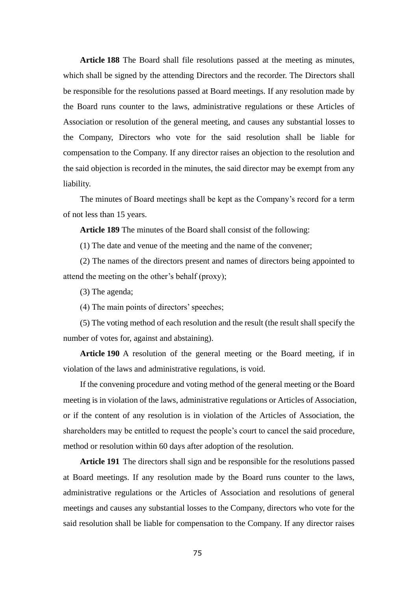**Article 188** The Board shall file resolutions passed at the meeting as minutes, which shall be signed by the attending Directors and the recorder. The Directors shall be responsible for the resolutions passed at Board meetings. If any resolution made by the Board runs counter to the laws, administrative regulations or these Articles of Association or resolution of the general meeting, and causes any substantial losses to the Company, Directors who vote for the said resolution shall be liable for compensation to the Company. If any director raises an objection to the resolution and the said objection is recorded in the minutes, the said director may be exempt from any liability.

The minutes of Board meetings shall be kept as the Company's record for a term of not less than 15 years.

**Article 189** The minutes of the Board shall consist of the following:

(1) The date and venue of the meeting and the name of the convener;

(2) The names of the directors present and names of directors being appointed to attend the meeting on the other's behalf (proxy);

(3) The agenda;

(4) The main points of directors' speeches;

(5) The voting method of each resolution and the result (the result shall specify the number of votes for, against and abstaining).

**Article 190** A resolution of the general meeting or the Board meeting, if in violation of the laws and administrative regulations, is void.

If the convening procedure and voting method of the general meeting or the Board meeting is in violation of the laws, administrative regulations or Articles of Association, or if the content of any resolution is in violation of the Articles of Association, the shareholders may be entitled to request the people's court to cancel the said procedure, method or resolution within 60 days after adoption of the resolution.

**Article 191** The directors shall sign and be responsible for the resolutions passed at Board meetings. If any resolution made by the Board runs counter to the laws, administrative regulations or the Articles of Association and resolutions of general meetings and causes any substantial losses to the Company, directors who vote for the said resolution shall be liable for compensation to the Company. If any director raises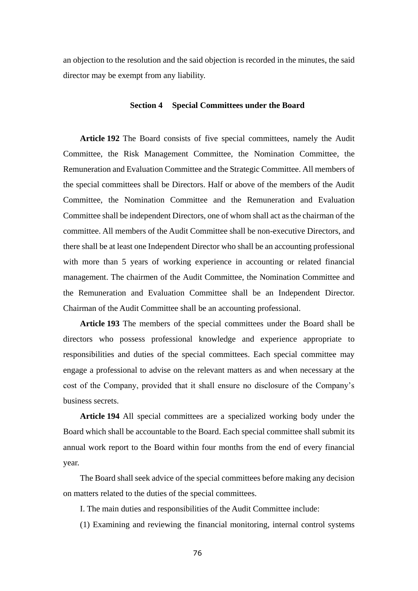an objection to the resolution and the said objection is recorded in the minutes, the said director may be exempt from any liability.

## **Section 4 Special Committees under the Board**

**Article 192** The Board consists of five special committees, namely the Audit Committee, the Risk Management Committee, the Nomination Committee, the Remuneration and Evaluation Committee and the Strategic Committee. All members of the special committees shall be Directors. Half or above of the members of the Audit Committee, the Nomination Committee and the Remuneration and Evaluation Committee shall be independent Directors, one of whom shall act as the chairman of the committee. All members of the Audit Committee shall be non-executive Directors, and there shall be at least one Independent Director who shall be an accounting professional with more than 5 years of working experience in accounting or related financial management. The chairmen of the Audit Committee, the Nomination Committee and the Remuneration and Evaluation Committee shall be an Independent Director. Chairman of the Audit Committee shall be an accounting professional.

**Article 193** The members of the special committees under the Board shall be directors who possess professional knowledge and experience appropriate to responsibilities and duties of the special committees. Each special committee may engage a professional to advise on the relevant matters as and when necessary at the cost of the Company, provided that it shall ensure no disclosure of the Company's business secrets.

**Article 194** All special committees are a specialized working body under the Board which shall be accountable to the Board. Each special committee shall submit its annual work report to the Board within four months from the end of every financial year.

The Board shall seek advice of the special committees before making any decision on matters related to the duties of the special committees.

I. The main duties and responsibilities of the Audit Committee include:

(1) Examining and reviewing the financial monitoring, internal control systems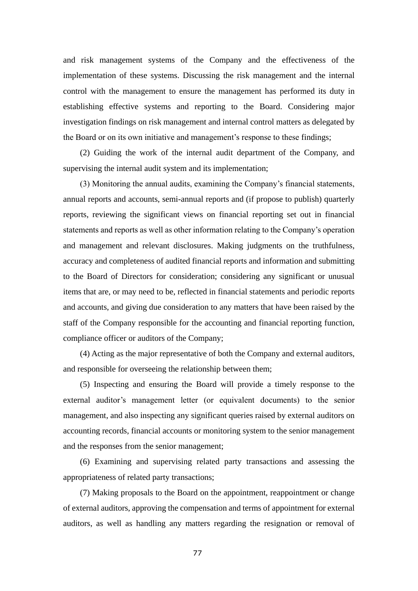and risk management systems of the Company and the effectiveness of the implementation of these systems. Discussing the risk management and the internal control with the management to ensure the management has performed its duty in establishing effective systems and reporting to the Board. Considering major investigation findings on risk management and internal control matters as delegated by the Board or on its own initiative and management's response to these findings;

(2) Guiding the work of the internal audit department of the Company, and supervising the internal audit system and its implementation;

(3) Monitoring the annual audits, examining the Company's financial statements, annual reports and accounts, semi-annual reports and (if propose to publish) quarterly reports, reviewing the significant views on financial reporting set out in financial statements and reports as well as other information relating to the Company's operation and management and relevant disclosures. Making judgments on the truthfulness, accuracy and completeness of audited financial reports and information and submitting to the Board of Directors for consideration; considering any significant or unusual items that are, or may need to be, reflected in financial statements and periodic reports and accounts, and giving due consideration to any matters that have been raised by the staff of the Company responsible for the accounting and financial reporting function, compliance officer or auditors of the Company;

(4) Acting as the major representative of both the Company and external auditors, and responsible for overseeing the relationship between them;

(5) Inspecting and ensuring the Board will provide a timely response to the external auditor's management letter (or equivalent documents) to the senior management, and also inspecting any significant queries raised by external auditors on accounting records, financial accounts or monitoring system to the senior management and the responses from the senior management;

(6) Examining and supervising related party transactions and assessing the appropriateness of related party transactions;

(7) Making proposals to the Board on the appointment, reappointment or change of external auditors, approving the compensation and terms of appointment for external auditors, as well as handling any matters regarding the resignation or removal of

77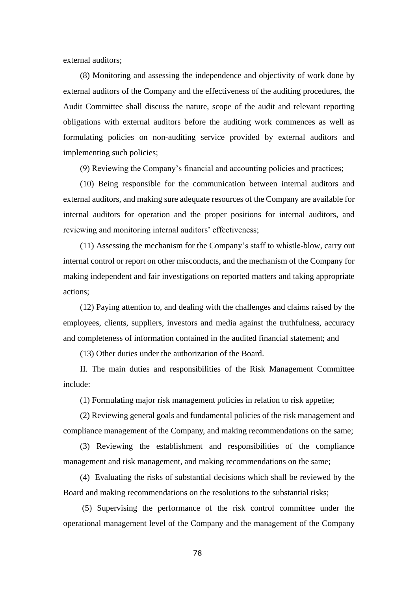external auditors;

(8) Monitoring and assessing the independence and objectivity of work done by external auditors of the Company and the effectiveness of the auditing procedures, the Audit Committee shall discuss the nature, scope of the audit and relevant reporting obligations with external auditors before the auditing work commences as well as formulating policies on non-auditing service provided by external auditors and implementing such policies;

(9) Reviewing the Company's financial and accounting policies and practices;

(10) Being responsible for the communication between internal auditors and external auditors, and making sure adequate resources of the Company are available for internal auditors for operation and the proper positions for internal auditors, and reviewing and monitoring internal auditors' effectiveness;

(11) Assessing the mechanism for the Company's staff to whistle-blow, carry out internal control or report on other misconducts, and the mechanism of the Company for making independent and fair investigations on reported matters and taking appropriate actions;

(12) Paying attention to, and dealing with the challenges and claims raised by the employees, clients, suppliers, investors and media against the truthfulness, accuracy and completeness of information contained in the audited financial statement; and

(13) Other duties under the authorization of the Board.

II. The main duties and responsibilities of the Risk Management Committee include:

(1) Formulating major risk management policies in relation to risk appetite;

(2) Reviewing general goals and fundamental policies of the risk management and compliance management of the Company, and making recommendations on the same;

(3) Reviewing the establishment and responsibilities of the compliance management and risk management, and making recommendations on the same;

(4) Evaluating the risks of substantial decisions which shall be reviewed by the Board and making recommendations on the resolutions to the substantial risks;

(5) Supervising the performance of the risk control committee under the operational management level of the Company and the management of the Company

78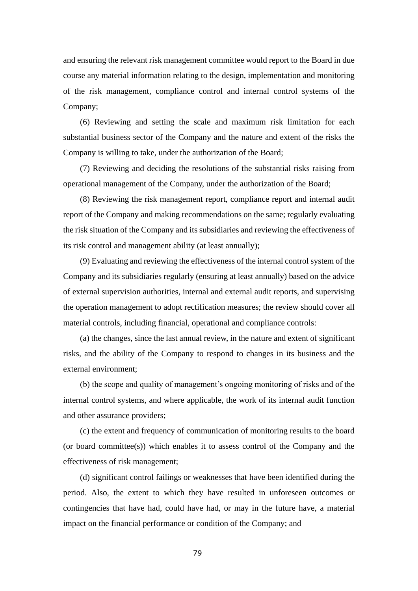and ensuring the relevant risk management committee would report to the Board in due course any material information relating to the design, implementation and monitoring of the risk management, compliance control and internal control systems of the Company;

(6) Reviewing and setting the scale and maximum risk limitation for each substantial business sector of the Company and the nature and extent of the risks the Company is willing to take, under the authorization of the Board;

(7) Reviewing and deciding the resolutions of the substantial risks raising from operational management of the Company, under the authorization of the Board;

(8) Reviewing the risk management report, compliance report and internal audit report of the Company and making recommendations on the same; regularly evaluating the risk situation of the Company and its subsidiaries and reviewing the effectiveness of its risk control and management ability (at least annually);

(9) Evaluating and reviewing the effectiveness of the internal control system of the Company and its subsidiaries regularly (ensuring at least annually) based on the advice of external supervision authorities, internal and external audit reports, and supervising the operation management to adopt rectification measures; the review should cover all material controls, including financial, operational and compliance controls:

(a) the changes, since the last annual review, in the nature and extent of significant risks, and the ability of the Company to respond to changes in its business and the external environment;

(b) the scope and quality of management's ongoing monitoring of risks and of the internal control systems, and where applicable, the work of its internal audit function and other assurance providers;

(c) the extent and frequency of communication of monitoring results to the board (or board committee(s)) which enables it to assess control of the Company and the effectiveness of risk management;

(d) significant control failings or weaknesses that have been identified during the period. Also, the extent to which they have resulted in unforeseen outcomes or contingencies that have had, could have had, or may in the future have, a material impact on the financial performance or condition of the Company; and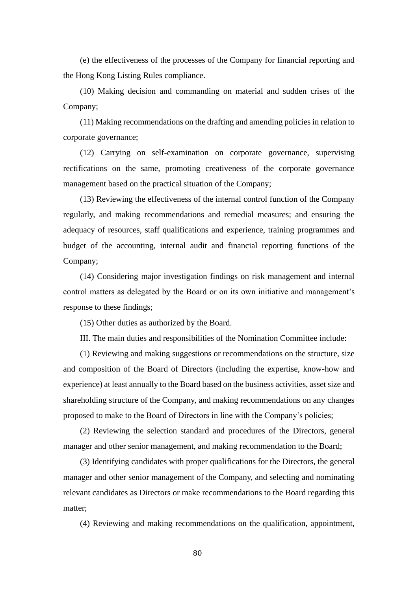(e) the effectiveness of the processes of the Company for financial reporting and the Hong Kong Listing Rules compliance.

(10) Making decision and commanding on material and sudden crises of the Company;

(11) Making recommendations on the drafting and amending policies in relation to corporate governance;

(12) Carrying on self-examination on corporate governance, supervising rectifications on the same, promoting creativeness of the corporate governance management based on the practical situation of the Company;

(13) Reviewing the effectiveness of the internal control function of the Company regularly, and making recommendations and remedial measures; and ensuring the adequacy of resources, staff qualifications and experience, training programmes and budget of the accounting, internal audit and financial reporting functions of the Company;

(14) Considering major investigation findings on risk management and internal control matters as delegated by the Board or on its own initiative and management's response to these findings;

(15) Other duties as authorized by the Board.

III. The main duties and responsibilities of the Nomination Committee include:

(1) Reviewing and making suggestions or recommendations on the structure, size and composition of the Board of Directors (including the expertise, know-how and experience) at least annually to the Board based on the business activities, asset size and shareholding structure of the Company, and making recommendations on any changes proposed to make to the Board of Directors in line with the Company's policies;

(2) Reviewing the selection standard and procedures of the Directors, general manager and other senior management, and making recommendation to the Board;

(3) Identifying candidates with proper qualifications for the Directors, the general manager and other senior management of the Company, and selecting and nominating relevant candidates as Directors or make recommendations to the Board regarding this matter;

(4) Reviewing and making recommendations on the qualification, appointment,

80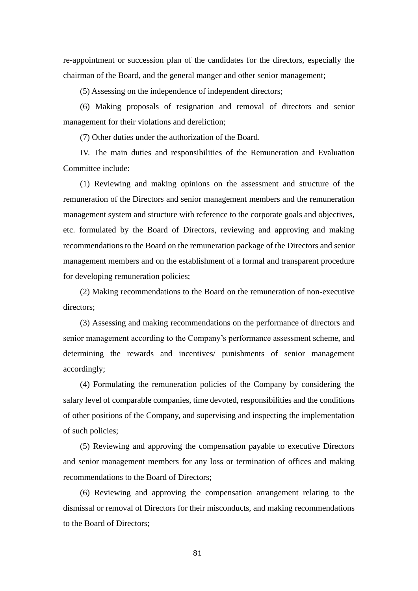re-appointment or succession plan of the candidates for the directors, especially the chairman of the Board, and the general manger and other senior management;

(5) Assessing on the independence of independent directors;

(6) Making proposals of resignation and removal of directors and senior management for their violations and dereliction;

(7) Other duties under the authorization of the Board.

IV. The main duties and responsibilities of the Remuneration and Evaluation Committee include:

(1) Reviewing and making opinions on the assessment and structure of the remuneration of the Directors and senior management members and the remuneration management system and structure with reference to the corporate goals and objectives, etc. formulated by the Board of Directors, reviewing and approving and making recommendations to the Board on the remuneration package of the Directors and senior management members and on the establishment of a formal and transparent procedure for developing remuneration policies;

(2) Making recommendations to the Board on the remuneration of non-executive directors;

(3) Assessing and making recommendations on the performance of directors and senior management according to the Company's performance assessment scheme, and determining the rewards and incentives/ punishments of senior management accordingly;

(4) Formulating the remuneration policies of the Company by considering the salary level of comparable companies, time devoted, responsibilities and the conditions of other positions of the Company, and supervising and inspecting the implementation of such policies;

(5) Reviewing and approving the compensation payable to executive Directors and senior management members for any loss or termination of offices and making recommendations to the Board of Directors;

(6) Reviewing and approving the compensation arrangement relating to the dismissal or removal of Directors for their misconducts, and making recommendations to the Board of Directors;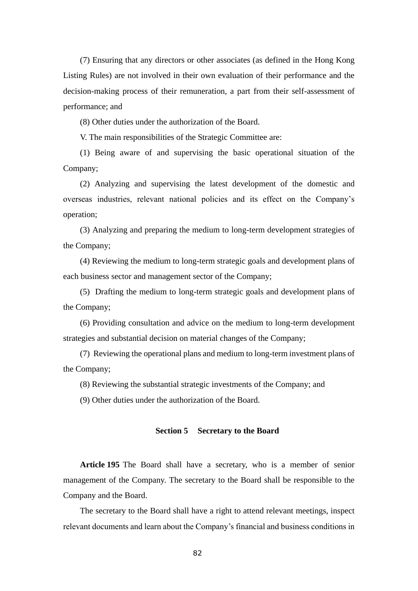(7) Ensuring that any directors or other associates (as defined in the Hong Kong Listing Rules) are not involved in their own evaluation of their performance and the decision-making process of their remuneration, a part from their self-assessment of performance; and

(8) Other duties under the authorization of the Board.

V. The main responsibilities of the Strategic Committee are:

(1) Being aware of and supervising the basic operational situation of the Company;

(2) Analyzing and supervising the latest development of the domestic and overseas industries, relevant national policies and its effect on the Company's operation;

(3) Analyzing and preparing the medium to long-term development strategies of the Company;

(4) Reviewing the medium to long-term strategic goals and development plans of each business sector and management sector of the Company;

(5) Drafting the medium to long-term strategic goals and development plans of the Company;

(6) Providing consultation and advice on the medium to long-term development strategies and substantial decision on material changes of the Company;

(7) Reviewing the operational plans and medium to long-term investment plans of the Company;

(8) Reviewing the substantial strategic investments of the Company; and

(9) Other duties under the authorization of the Board.

# **Section 5 Secretary to the Board**

**Article 195** The Board shall have a secretary, who is a member of senior management of the Company. The secretary to the Board shall be responsible to the Company and the Board.

The secretary to the Board shall have a right to attend relevant meetings, inspect relevant documents and learn about the Company's financial and business conditions in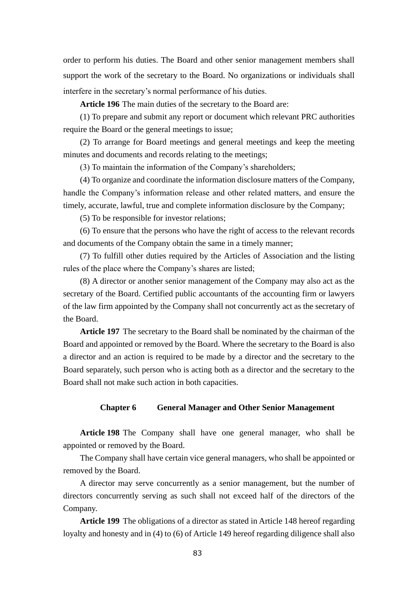order to perform his duties. The Board and other senior management members shall support the work of the secretary to the Board. No organizations or individuals shall interfere in the secretary's normal performance of his duties.

**Article 196** The main duties of the secretary to the Board are:

(1) To prepare and submit any report or document which relevant PRC authorities require the Board or the general meetings to issue;

(2) To arrange for Board meetings and general meetings and keep the meeting minutes and documents and records relating to the meetings;

(3) To maintain the information of the Company's shareholders;

(4) To organize and coordinate the information disclosure matters of the Company, handle the Company's information release and other related matters, and ensure the timely, accurate, lawful, true and complete information disclosure by the Company;

(5) To be responsible for investor relations;

(6) To ensure that the persons who have the right of access to the relevant records and documents of the Company obtain the same in a timely manner;

(7) To fulfill other duties required by the Articles of Association and the listing rules of the place where the Company's shares are listed;

(8) A director or another senior management of the Company may also act as the secretary of the Board. Certified public accountants of the accounting firm or lawyers of the law firm appointed by the Company shall not concurrently act as the secretary of the Board.

**Article 197** The secretary to the Board shall be nominated by the chairman of the Board and appointed or removed by the Board. Where the secretary to the Board is also a director and an action is required to be made by a director and the secretary to the Board separately, such person who is acting both as a director and the secretary to the Board shall not make such action in both capacities.

#### **Chapter 6 General Manager and Other Senior Management**

**Article 198** The Company shall have one general manager, who shall be appointed or removed by the Board.

The Company shall have certain vice general managers, who shall be appointed or removed by the Board.

A director may serve concurrently as a senior management, but the number of directors concurrently serving as such shall not exceed half of the directors of the Company.

**Article 199** The obligations of a director as stated in Article 148 hereof regarding loyalty and honesty and in (4) to (6) of Article 149 hereof regarding diligence shall also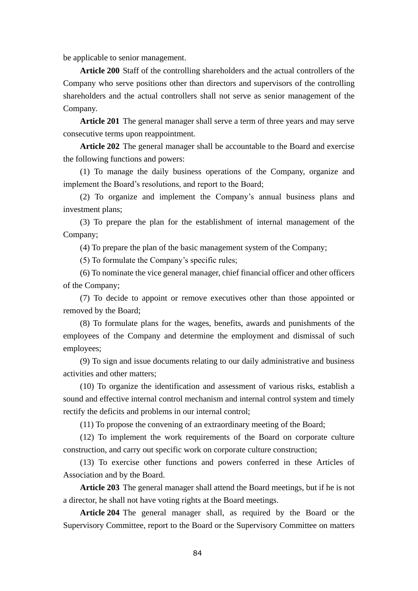be applicable to senior management.

**Article 200** Staff of the controlling shareholders and the actual controllers of the Company who serve positions other than directors and supervisors of the controlling shareholders and the actual controllers shall not serve as senior management of the Company.

**Article 201** The general manager shall serve a term of three years and may serve consecutive terms upon reappointment.

**Article 202** The general manager shall be accountable to the Board and exercise the following functions and powers:

(1) To manage the daily business operations of the Company, organize and implement the Board's resolutions, and report to the Board;

(2) To organize and implement the Company's annual business plans and investment plans;

(3) To prepare the plan for the establishment of internal management of the Company;

(4) To prepare the plan of the basic management system of the Company;

(5) To formulate the Company's specific rules;

(6) To nominate the vice general manager, chief financial officer and other officers of the Company;

(7) To decide to appoint or remove executives other than those appointed or removed by the Board;

(8) To formulate plans for the wages, benefits, awards and punishments of the employees of the Company and determine the employment and dismissal of such employees;

(9) To sign and issue documents relating to our daily administrative and business activities and other matters;

(10) To organize the identification and assessment of various risks, establish a sound and effective internal control mechanism and internal control system and timely rectify the deficits and problems in our internal control;

(11) To propose the convening of an extraordinary meeting of the Board;

(12) To implement the work requirements of the Board on corporate culture construction, and carry out specific work on corporate culture construction;

(13) To exercise other functions and powers conferred in these Articles of Association and by the Board.

**Article 203** The general manager shall attend the Board meetings, but if he is not a director, he shall not have voting rights at the Board meetings.

**Article 204** The general manager shall, as required by the Board or the Supervisory Committee, report to the Board or the Supervisory Committee on matters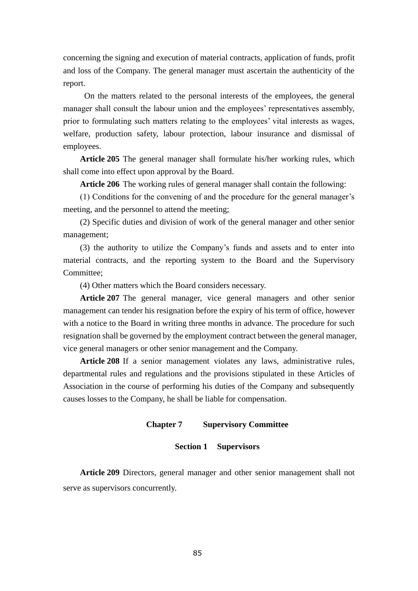concerning the signing and execution of material contracts, application of funds, profit and loss of the Company. The general manager must ascertain the authenticity of the report.

 On the matters related to the personal interests of the employees, the general manager shall consult the labour union and the employees' representatives assembly, prior to formulating such matters relating to the employees' vital interests as wages, welfare, production safety, labour protection, labour insurance and dismissal of employees.

**Article 205** The general manager shall formulate his/her working rules, which shall come into effect upon approval by the Board.

**Article 206** The working rules of general manager shall contain the following:

(1) Conditions for the convening of and the procedure for the general manager's meeting, and the personnel to attend the meeting;

(2) Specific duties and division of work of the general manager and other senior management;

(3) the authority to utilize the Company's funds and assets and to enter into material contracts, and the reporting system to the Board and the Supervisory Committee;

(4) Other matters which the Board considers necessary.

**Article 207** The general manager, vice general managers and other senior management can tender his resignation before the expiry of his term of office, however with a notice to the Board in writing three months in advance. The procedure for such resignation shall be governed by the employment contract between the general manager, vice general managers or other senior management and the Company.

**Article 208** If a senior management violates any laws, administrative rules, departmental rules and regulations and the provisions stipulated in these Articles of Association in the course of performing his duties of the Company and subsequently causes losses to the Company, he shall be liable for compensation.

#### **Chapter 7 Supervisory Committee**

## **Section 1 Supervisors**

**Article 209** Directors, general manager and other senior management shall not serve as supervisors concurrently.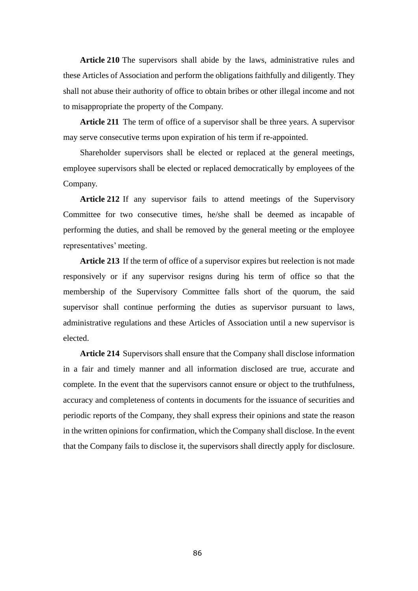**Article 210** The supervisors shall abide by the laws, administrative rules and these Articles of Association and perform the obligations faithfully and diligently. They shall not abuse their authority of office to obtain bribes or other illegal income and not to misappropriate the property of the Company.

**Article 211** The term of office of a supervisor shall be three years. A supervisor may serve consecutive terms upon expiration of his term if re-appointed.

Shareholder supervisors shall be elected or replaced at the general meetings, employee supervisors shall be elected or replaced democratically by employees of the Company.

**Article 212** If any supervisor fails to attend meetings of the Supervisory Committee for two consecutive times, he/she shall be deemed as incapable of performing the duties, and shall be removed by the general meeting or the employee representatives' meeting.

**Article 213** If the term of office of a supervisor expires but reelection is not made responsively or if any supervisor resigns during his term of office so that the membership of the Supervisory Committee falls short of the quorum, the said supervisor shall continue performing the duties as supervisor pursuant to laws, administrative regulations and these Articles of Association until a new supervisor is elected.

**Article 214** Supervisors shall ensure that the Company shall disclose information in a fair and timely manner and all information disclosed are true, accurate and complete. In the event that the supervisors cannot ensure or object to the truthfulness, accuracy and completeness of contents in documents for the issuance of securities and periodic reports of the Company, they shall express their opinions and state the reason in the written opinions for confirmation, which the Company shall disclose. In the event that the Company fails to disclose it, the supervisors shall directly apply for disclosure.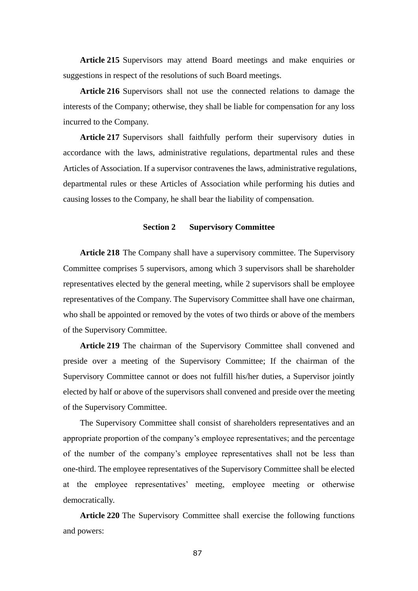**Article 215** Supervisors may attend Board meetings and make enquiries or suggestions in respect of the resolutions of such Board meetings.

**Article 216** Supervisors shall not use the connected relations to damage the interests of the Company; otherwise, they shall be liable for compensation for any loss incurred to the Company.

**Article 217** Supervisors shall faithfully perform their supervisory duties in accordance with the laws, administrative regulations, departmental rules and these Articles of Association. If a supervisor contravenes the laws, administrative regulations, departmental rules or these Articles of Association while performing his duties and causing losses to the Company, he shall bear the liability of compensation.

# **Section 2 Supervisory Committee**

**Article 218** The Company shall have a supervisory committee. The Supervisory Committee comprises 5 supervisors, among which 3 supervisors shall be shareholder representatives elected by the general meeting, while 2 supervisors shall be employee representatives of the Company. The Supervisory Committee shall have one chairman, who shall be appointed or removed by the votes of two thirds or above of the members of the Supervisory Committee.

**Article 219** The chairman of the Supervisory Committee shall convened and preside over a meeting of the Supervisory Committee; If the chairman of the Supervisory Committee cannot or does not fulfill his/her duties, a Supervisor jointly elected by half or above of the supervisors shall convened and preside over the meeting of the Supervisory Committee.

The Supervisory Committee shall consist of shareholders representatives and an appropriate proportion of the company's employee representatives; and the percentage of the number of the company's employee representatives shall not be less than one-third. The employee representatives of the Supervisory Committee shall be elected at the employee representatives' meeting, employee meeting or otherwise democratically.

**Article 220** The Supervisory Committee shall exercise the following functions and powers: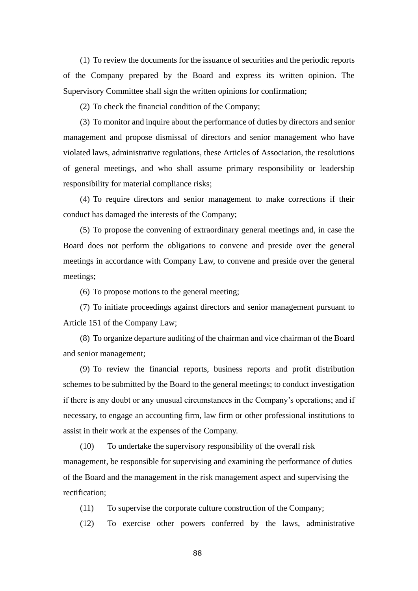(1) To review the documents for the issuance of securities and the periodic reports of the Company prepared by the Board and express its written opinion. The Supervisory Committee shall sign the written opinions for confirmation;

(2) To check the financial condition of the Company;

(3) To monitor and inquire about the performance of duties by directors and senior management and propose dismissal of directors and senior management who have violated laws, administrative regulations, these Articles of Association, the resolutions of general meetings, and who shall assume primary responsibility or leadership responsibility for material compliance risks;

(4) To require directors and senior management to make corrections if their conduct has damaged the interests of the Company;

(5) To propose the convening of extraordinary general meetings and, in case the Board does not perform the obligations to convene and preside over the general meetings in accordance with Company Law, to convene and preside over the general meetings;

(6) To propose motions to the general meeting;

(7) To initiate proceedings against directors and senior management pursuant to Article 151 of the Company Law;

(8) To organize departure auditing of the chairman and vice chairman of the Board and senior management;

(9) To review the financial reports, business reports and profit distribution schemes to be submitted by the Board to the general meetings; to conduct investigation if there is any doubt or any unusual circumstances in the Company's operations; and if necessary, to engage an accounting firm, law firm or other professional institutions to assist in their work at the expenses of the Company.

(10) To undertake the supervisory responsibility of the overall risk management, be responsible for supervising and examining the performance of duties of the Board and the management in the risk management aspect and supervising the rectification;

(11) To supervise the corporate culture construction of the Company;

(12) To exercise other powers conferred by the laws, administrative

88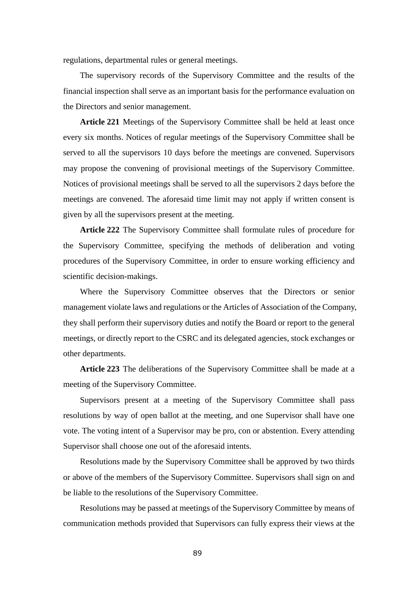regulations, departmental rules or general meetings.

The supervisory records of the Supervisory Committee and the results of the financial inspection shall serve as an important basis for the performance evaluation on the Directors and senior management.

**Article 221** Meetings of the Supervisory Committee shall be held at least once every six months. Notices of regular meetings of the Supervisory Committee shall be served to all the supervisors 10 days before the meetings are convened. Supervisors may propose the convening of provisional meetings of the Supervisory Committee. Notices of provisional meetings shall be served to all the supervisors 2 days before the meetings are convened. The aforesaid time limit may not apply if written consent is given by all the supervisors present at the meeting.

**Article 222** The Supervisory Committee shall formulate rules of procedure for the Supervisory Committee, specifying the methods of deliberation and voting procedures of the Supervisory Committee, in order to ensure working efficiency and scientific decision-makings.

Where the Supervisory Committee observes that the Directors or senior management violate laws and regulations or the Articles of Association of the Company, they shall perform their supervisory duties and notify the Board or report to the general meetings, or directly report to the CSRC and its delegated agencies, stock exchanges or other departments.

**Article 223** The deliberations of the Supervisory Committee shall be made at a meeting of the Supervisory Committee.

Supervisors present at a meeting of the Supervisory Committee shall pass resolutions by way of open ballot at the meeting, and one Supervisor shall have one vote. The voting intent of a Supervisor may be pro, con or abstention. Every attending Supervisor shall choose one out of the aforesaid intents.

Resolutions made by the Supervisory Committee shall be approved by two thirds or above of the members of the Supervisory Committee. Supervisors shall sign on and be liable to the resolutions of the Supervisory Committee.

Resolutions may be passed at meetings of the Supervisory Committee by means of communication methods provided that Supervisors can fully express their views at the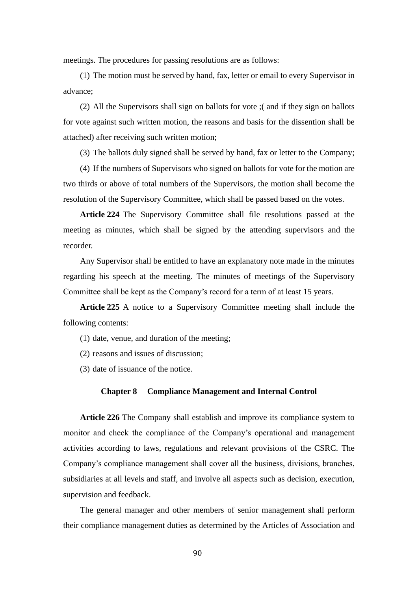meetings. The procedures for passing resolutions are as follows:

(1) The motion must be served by hand, fax, letter or email to every Supervisor in advance;

(2) All the Supervisors shall sign on ballots for vote ;( and if they sign on ballots for vote against such written motion, the reasons and basis for the dissention shall be attached) after receiving such written motion;

(3) The ballots duly signed shall be served by hand, fax or letter to the Company;

(4) If the numbers of Supervisors who signed on ballots for vote for the motion are two thirds or above of total numbers of the Supervisors, the motion shall become the resolution of the Supervisory Committee, which shall be passed based on the votes.

**Article 224** The Supervisory Committee shall file resolutions passed at the meeting as minutes, which shall be signed by the attending supervisors and the recorder.

Any Supervisor shall be entitled to have an explanatory note made in the minutes regarding his speech at the meeting. The minutes of meetings of the Supervisory Committee shall be kept as the Company's record for a term of at least 15 years.

**Article 225** A notice to a Supervisory Committee meeting shall include the following contents:

- (1) date, venue, and duration of the meeting;
- (2) reasons and issues of discussion;

(3) date of issuance of the notice.

#### **Chapter 8 Compliance Management and Internal Control**

**Article 226** The Company shall establish and improve its compliance system to monitor and check the compliance of the Company's operational and management activities according to laws, regulations and relevant provisions of the CSRC. The Company's compliance management shall cover all the business, divisions, branches, subsidiaries at all levels and staff, and involve all aspects such as decision, execution, supervision and feedback.

The general manager and other members of senior management shall perform their compliance management duties as determined by the Articles of Association and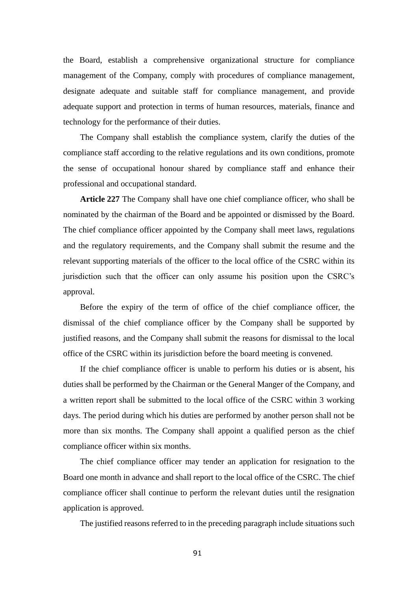the Board, establish a comprehensive organizational structure for compliance management of the Company, comply with procedures of compliance management, designate adequate and suitable staff for compliance management, and provide adequate support and protection in terms of human resources, materials, finance and technology for the performance of their duties.

The Company shall establish the compliance system, clarify the duties of the compliance staff according to the relative regulations and its own conditions, promote the sense of occupational honour shared by compliance staff and enhance their professional and occupational standard.

**Article 227** The Company shall have one chief compliance officer, who shall be nominated by the chairman of the Board and be appointed or dismissed by the Board. The chief compliance officer appointed by the Company shall meet laws, regulations and the regulatory requirements, and the Company shall submit the resume and the relevant supporting materials of the officer to the local office of the CSRC within its jurisdiction such that the officer can only assume his position upon the CSRC's approval.

Before the expiry of the term of office of the chief compliance officer, the dismissal of the chief compliance officer by the Company shall be supported by justified reasons, and the Company shall submit the reasons for dismissal to the local office of the CSRC within its jurisdiction before the board meeting is convened.

If the chief compliance officer is unable to perform his duties or is absent, his duties shall be performed by the Chairman or the General Manger of the Company, and a written report shall be submitted to the local office of the CSRC within 3 working days. The period during which his duties are performed by another person shall not be more than six months. The Company shall appoint a qualified person as the chief compliance officer within six months.

The chief compliance officer may tender an application for resignation to the Board one month in advance and shall report to the local office of the CSRC. The chief compliance officer shall continue to perform the relevant duties until the resignation application is approved.

The justified reasons referred to in the preceding paragraph include situations such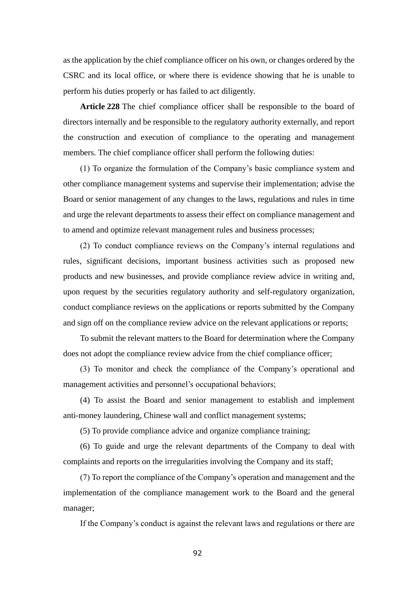as the application by the chief compliance officer on his own, or changes ordered by the CSRC and its local office, or where there is evidence showing that he is unable to perform his duties properly or has failed to act diligently.

**Article 228** The chief compliance officer shall be responsible to the board of directors internally and be responsible to the regulatory authority externally, and report the construction and execution of compliance to the operating and management members. The chief compliance officer shall perform the following duties:

(1) To organize the formulation of the Company's basic compliance system and other compliance management systems and supervise their implementation; advise the Board or senior management of any changes to the laws, regulations and rules in time and urge the relevant departments to assess their effect on compliance management and to amend and optimize relevant management rules and business processes;

(2) To conduct compliance reviews on the Company's internal regulations and rules, significant decisions, important business activities such as proposed new products and new businesses, and provide compliance review advice in writing and, upon request by the securities regulatory authority and self-regulatory organization, conduct compliance reviews on the applications or reports submitted by the Company and sign off on the compliance review advice on the relevant applications or reports;

To submit the relevant matters to the Board for determination where the Company does not adopt the compliance review advice from the chief compliance officer;

(3) To monitor and check the compliance of the Company's operational and management activities and personnel's occupational behaviors;

(4) To assist the Board and senior management to establish and implement anti-money laundering, Chinese wall and conflict management systems;

(5) To provide compliance advice and organize compliance training;

(6) To guide and urge the relevant departments of the Company to deal with complaints and reports on the irregularities involving the Company and its staff;

(7) To report the compliance of the Company's operation and management and the implementation of the compliance management work to the Board and the general manager;

If the Company's conduct is against the relevant laws and regulations or there are

92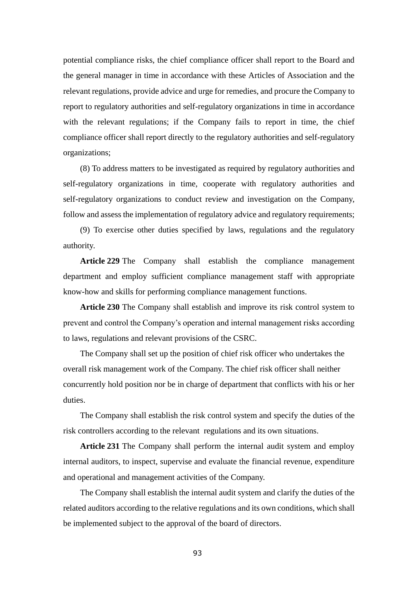potential compliance risks, the chief compliance officer shall report to the Board and the general manager in time in accordance with these Articles of Association and the relevant regulations, provide advice and urge for remedies, and procure the Company to report to regulatory authorities and self-regulatory organizations in time in accordance with the relevant regulations; if the Company fails to report in time, the chief compliance officer shall report directly to the regulatory authorities and self-regulatory organizations;

(8) To address matters to be investigated as required by regulatory authorities and self-regulatory organizations in time, cooperate with regulatory authorities and self-regulatory organizations to conduct review and investigation on the Company, follow and assess the implementation of regulatory advice and regulatory requirements;

(9) To exercise other duties specified by laws, regulations and the regulatory authority.

**Article 229** The Company shall establish the compliance management department and employ sufficient compliance management staff with appropriate know-how and skills for performing compliance management functions.

**Article 230** The Company shall establish and improve its risk control system to prevent and control the Company's operation and internal management risks according to laws, regulations and relevant provisions of the CSRC.

The Company shall set up the position of chief risk officer who undertakes the overall risk management work of the Company. The chief risk officer shall neither concurrently hold position nor be in charge of department that conflicts with his or her duties.

The Company shall establish the risk control system and specify the duties of the risk controllers according to the relevant regulations and its own situations.

**Article 231** The Company shall perform the internal audit system and employ internal auditors, to inspect, supervise and evaluate the financial revenue, expenditure and operational and management activities of the Company.

The Company shall establish the internal audit system and clarify the duties of the related auditors according to the relative regulations and its own conditions, which shall be implemented subject to the approval of the board of directors.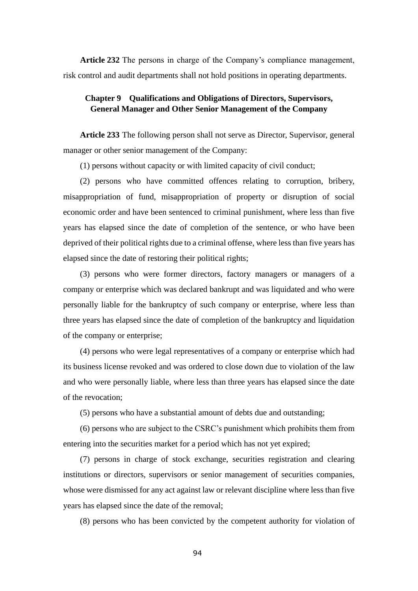**Article 232** The persons in charge of the Company's compliance management, risk control and audit departments shall not hold positions in operating departments.

# **Chapter 9 Qualifications and Obligations of Directors, Supervisors, General Manager and Other Senior Management of the Company**

**Article 233** The following person shall not serve as Director, Supervisor, general manager or other senior management of the Company:

(1) persons without capacity or with limited capacity of civil conduct;

(2) persons who have committed offences relating to corruption, bribery, misappropriation of fund, misappropriation of property or disruption of social economic order and have been sentenced to criminal punishment, where less than five years has elapsed since the date of completion of the sentence, or who have been deprived of their political rights due to a criminal offense, where less than five years has elapsed since the date of restoring their political rights;

(3) persons who were former directors, factory managers or managers of a company or enterprise which was declared bankrupt and was liquidated and who were personally liable for the bankruptcy of such company or enterprise, where less than three years has elapsed since the date of completion of the bankruptcy and liquidation of the company or enterprise;

(4) persons who were legal representatives of a company or enterprise which had its business license revoked and was ordered to close down due to violation of the law and who were personally liable, where less than three years has elapsed since the date of the revocation;

(5) persons who have a substantial amount of debts due and outstanding;

(6) persons who are subject to the CSRC's punishment which prohibits them from entering into the securities market for a period which has not yet expired;

(7) persons in charge of stock exchange, securities registration and clearing institutions or directors, supervisors or senior management of securities companies, whose were dismissed for any act against law or relevant discipline where less than five years has elapsed since the date of the removal;

(8) persons who has been convicted by the competent authority for violation of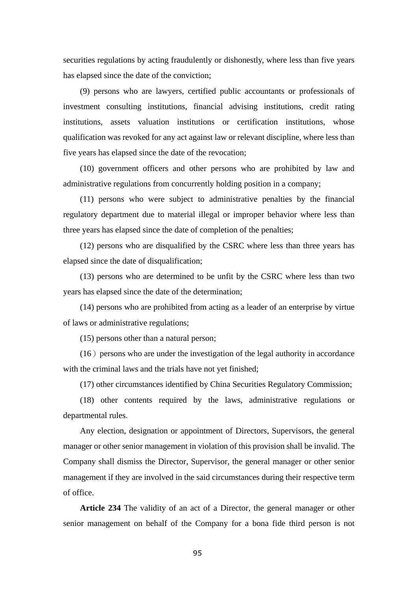securities regulations by acting fraudulently or dishonestly, where less than five years has elapsed since the date of the conviction;

(9) persons who are lawyers, certified public accountants or professionals of investment consulting institutions, financial advising institutions, credit rating institutions, assets valuation institutions or certification institutions, whose qualification was revoked for any act against law or relevant discipline, where less than five years has elapsed since the date of the revocation;

(10) government officers and other persons who are prohibited by law and administrative regulations from concurrently holding position in a company;

(11) persons who were subject to administrative penalties by the financial regulatory department due to material illegal or improper behavior where less than three years has elapsed since the date of completion of the penalties;

(12) persons who are disqualified by the CSRC where less than three years has elapsed since the date of disqualification;

(13) persons who are determined to be unfit by the CSRC where less than two years has elapsed since the date of the determination;

(14) persons who are prohibited from acting as a leader of an enterprise by virtue of laws or administrative regulations;

(15) persons other than a natural person;

 $(16)$  persons who are under the investigation of the legal authority in accordance with the criminal laws and the trials have not yet finished;

(17) other circumstances identified by China Securities Regulatory Commission;

(18) other contents required by the laws, administrative regulations or departmental rules.

Any election, designation or appointment of Directors, Supervisors, the general manager or other senior management in violation of this provision shall be invalid. The Company shall dismiss the Director, Supervisor, the general manager or other senior management if they are involved in the said circumstances during their respective term of office.

**Article 234** The validity of an act of a Director, the general manager or other senior management on behalf of the Company for a bona fide third person is not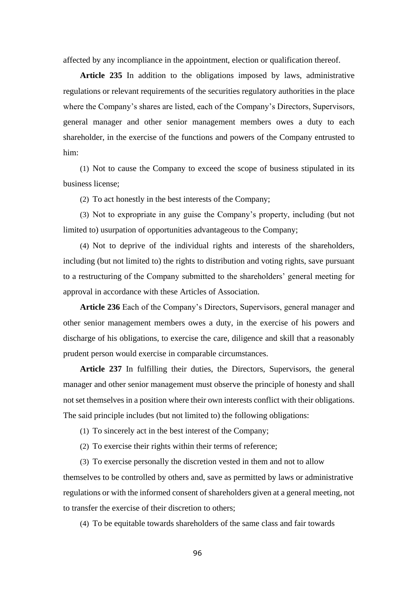affected by any incompliance in the appointment, election or qualification thereof.

**Article 235** In addition to the obligations imposed by laws, administrative regulations or relevant requirements of the securities regulatory authorities in the place where the Company's shares are listed, each of the Company's Directors, Supervisors, general manager and other senior management members owes a duty to each shareholder, in the exercise of the functions and powers of the Company entrusted to him:

(1) Not to cause the Company to exceed the scope of business stipulated in its business license;

(2) To act honestly in the best interests of the Company;

(3) Not to expropriate in any guise the Company's property, including (but not limited to) usurpation of opportunities advantageous to the Company;

(4) Not to deprive of the individual rights and interests of the shareholders, including (but not limited to) the rights to distribution and voting rights, save pursuant to a restructuring of the Company submitted to the shareholders' general meeting for approval in accordance with these Articles of Association.

**Article 236** Each of the Company's Directors, Supervisors, general manager and other senior management members owes a duty, in the exercise of his powers and discharge of his obligations, to exercise the care, diligence and skill that a reasonably prudent person would exercise in comparable circumstances.

**Article 237** In fulfilling their duties, the Directors, Supervisors, the general manager and other senior management must observe the principle of honesty and shall not set themselves in a position where their own interests conflict with their obligations. The said principle includes (but not limited to) the following obligations:

(1) To sincerely act in the best interest of the Company;

(2) To exercise their rights within their terms of reference;

(3) To exercise personally the discretion vested in them and not to allow themselves to be controlled by others and, save as permitted by laws or administrative regulations or with the informed consent of shareholders given at a general meeting, not to transfer the exercise of their discretion to others;

(4) To be equitable towards shareholders of the same class and fair towards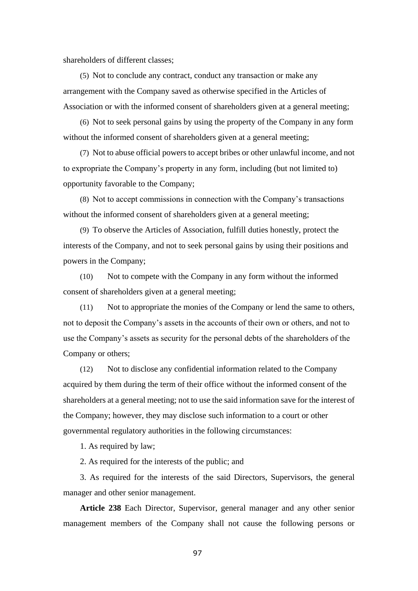shareholders of different classes;

(5) Not to conclude any contract, conduct any transaction or make any arrangement with the Company saved as otherwise specified in the Articles of Association or with the informed consent of shareholders given at a general meeting;

(6) Not to seek personal gains by using the property of the Company in any form without the informed consent of shareholders given at a general meeting;

(7) Not to abuse official powers to accept bribes or other unlawful income, and not to expropriate the Company's property in any form, including (but not limited to) opportunity favorable to the Company;

(8) Not to accept commissions in connection with the Company's transactions without the informed consent of shareholders given at a general meeting;

(9) To observe the Articles of Association, fulfill duties honestly, protect the interests of the Company, and not to seek personal gains by using their positions and powers in the Company;

(10) Not to compete with the Company in any form without the informed consent of shareholders given at a general meeting;

(11) Not to appropriate the monies of the Company or lend the same to others, not to deposit the Company's assets in the accounts of their own or others, and not to use the Company's assets as security for the personal debts of the shareholders of the Company or others;

(12) Not to disclose any confidential information related to the Company acquired by them during the term of their office without the informed consent of the shareholders at a general meeting; not to use the said information save for the interest of the Company; however, they may disclose such information to a court or other governmental regulatory authorities in the following circumstances:

1. As required by law;

2. As required for the interests of the public; and

3. As required for the interests of the said Directors, Supervisors, the general manager and other senior management.

**Article 238** Each Director, Supervisor, general manager and any other senior management members of the Company shall not cause the following persons or

97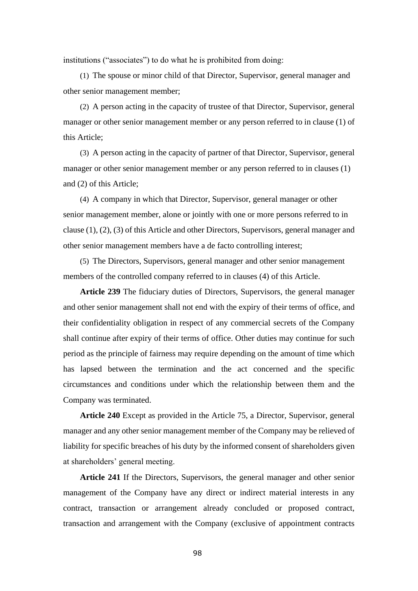institutions ("associates") to do what he is prohibited from doing:

(1) The spouse or minor child of that Director, Supervisor, general manager and other senior management member;

(2) A person acting in the capacity of trustee of that Director, Supervisor, general manager or other senior management member or any person referred to in clause (1) of this Article;

(3) A person acting in the capacity of partner of that Director, Supervisor, general manager or other senior management member or any person referred to in clauses (1) and (2) of this Article;

(4) A company in which that Director, Supervisor, general manager or other senior management member, alone or jointly with one or more persons referred to in clause (1), (2), (3) of this Article and other Directors, Supervisors, general manager and other senior management members have a de facto controlling interest;

(5) The Directors, Supervisors, general manager and other senior management members of the controlled company referred to in clauses (4) of this Article.

**Article 239** The fiduciary duties of Directors, Supervisors, the general manager and other senior management shall not end with the expiry of their terms of office, and their confidentiality obligation in respect of any commercial secrets of the Company shall continue after expiry of their terms of office. Other duties may continue for such period as the principle of fairness may require depending on the amount of time which has lapsed between the termination and the act concerned and the specific circumstances and conditions under which the relationship between them and the Company was terminated.

**Article 240** Except as provided in the Article 75, a Director, Supervisor, general manager and any other senior management member of the Company may be relieved of liability for specific breaches of his duty by the informed consent of shareholders given at shareholders' general meeting.

**Article 241** If the Directors, Supervisors, the general manager and other senior management of the Company have any direct or indirect material interests in any contract, transaction or arrangement already concluded or proposed contract, transaction and arrangement with the Company (exclusive of appointment contracts

98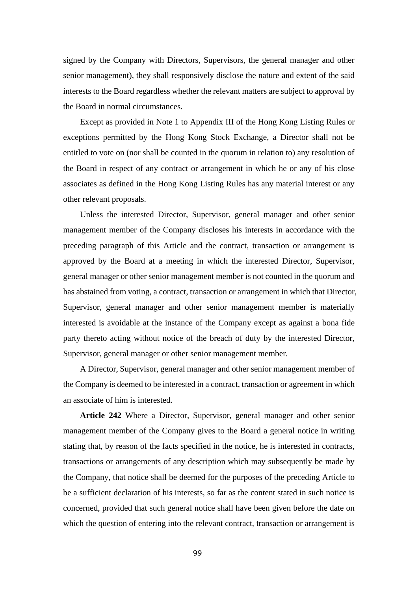signed by the Company with Directors, Supervisors, the general manager and other senior management), they shall responsively disclose the nature and extent of the said interests to the Board regardless whether the relevant matters are subject to approval by the Board in normal circumstances.

Except as provided in Note 1 to Appendix III of the Hong Kong Listing Rules or exceptions permitted by the Hong Kong Stock Exchange, a Director shall not be entitled to vote on (nor shall be counted in the quorum in relation to) any resolution of the Board in respect of any contract or arrangement in which he or any of his close associates as defined in the Hong Kong Listing Rules has any material interest or any other relevant proposals.

Unless the interested Director, Supervisor, general manager and other senior management member of the Company discloses his interests in accordance with the preceding paragraph of this Article and the contract, transaction or arrangement is approved by the Board at a meeting in which the interested Director, Supervisor, general manager or other senior management member is not counted in the quorum and has abstained from voting, a contract, transaction or arrangement in which that Director, Supervisor, general manager and other senior management member is materially interested is avoidable at the instance of the Company except as against a bona fide party thereto acting without notice of the breach of duty by the interested Director, Supervisor, general manager or other senior management member.

A Director, Supervisor, general manager and other senior management member of the Company is deemed to be interested in a contract, transaction or agreement in which an associate of him is interested.

**Article 242** Where a Director, Supervisor, general manager and other senior management member of the Company gives to the Board a general notice in writing stating that, by reason of the facts specified in the notice, he is interested in contracts, transactions or arrangements of any description which may subsequently be made by the Company, that notice shall be deemed for the purposes of the preceding Article to be a sufficient declaration of his interests, so far as the content stated in such notice is concerned, provided that such general notice shall have been given before the date on which the question of entering into the relevant contract, transaction or arrangement is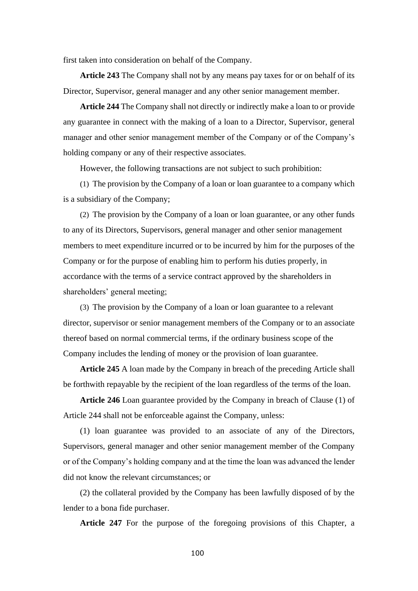first taken into consideration on behalf of the Company.

**Article 243** The Company shall not by any means pay taxes for or on behalf of its Director, Supervisor, general manager and any other senior management member.

**Article 244** The Company shall not directly or indirectly make a loan to or provide any guarantee in connect with the making of a loan to a Director, Supervisor, general manager and other senior management member of the Company or of the Company's holding company or any of their respective associates.

However, the following transactions are not subject to such prohibition:

(1) The provision by the Company of a loan or loan guarantee to a company which is a subsidiary of the Company;

(2) The provision by the Company of a loan or loan guarantee, or any other funds to any of its Directors, Supervisors, general manager and other senior management members to meet expenditure incurred or to be incurred by him for the purposes of the Company or for the purpose of enabling him to perform his duties properly, in accordance with the terms of a service contract approved by the shareholders in shareholders' general meeting;

(3) The provision by the Company of a loan or loan guarantee to a relevant director, supervisor or senior management members of the Company or to an associate thereof based on normal commercial terms, if the ordinary business scope of the Company includes the lending of money or the provision of loan guarantee.

**Article 245** A loan made by the Company in breach of the preceding Article shall be forthwith repayable by the recipient of the loan regardless of the terms of the loan.

**Article 246** Loan guarantee provided by the Company in breach of Clause (1) of Article 244 shall not be enforceable against the Company, unless:

(1) loan guarantee was provided to an associate of any of the Directors, Supervisors, general manager and other senior management member of the Company or of the Company's holding company and at the time the loan was advanced the lender did not know the relevant circumstances; or

(2) the collateral provided by the Company has been lawfully disposed of by the lender to a bona fide purchaser.

**Article 247** For the purpose of the foregoing provisions of this Chapter, a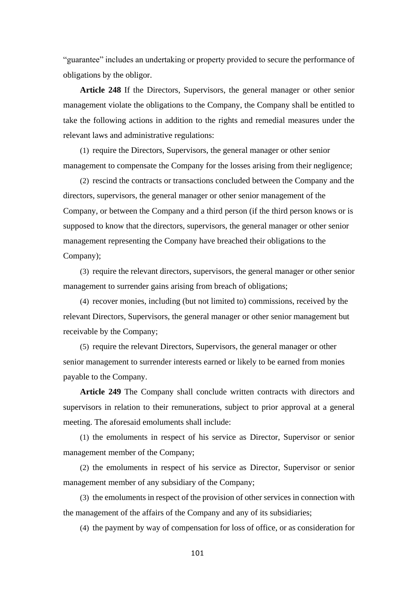"guarantee" includes an undertaking or property provided to secure the performance of obligations by the obligor.

**Article 248** If the Directors, Supervisors, the general manager or other senior management violate the obligations to the Company, the Company shall be entitled to take the following actions in addition to the rights and remedial measures under the relevant laws and administrative regulations:

(1) require the Directors, Supervisors, the general manager or other senior management to compensate the Company for the losses arising from their negligence;

(2) rescind the contracts or transactions concluded between the Company and the directors, supervisors, the general manager or other senior management of the Company, or between the Company and a third person (if the third person knows or is supposed to know that the directors, supervisors, the general manager or other senior management representing the Company have breached their obligations to the Company);

(3) require the relevant directors, supervisors, the general manager or other senior management to surrender gains arising from breach of obligations;

(4) recover monies, including (but not limited to) commissions, received by the relevant Directors, Supervisors, the general manager or other senior management but receivable by the Company;

(5) require the relevant Directors, Supervisors, the general manager or other senior management to surrender interests earned or likely to be earned from monies payable to the Company.

**Article 249** The Company shall conclude written contracts with directors and supervisors in relation to their remunerations, subject to prior approval at a general meeting. The aforesaid emoluments shall include:

(1) the emoluments in respect of his service as Director, Supervisor or senior management member of the Company;

(2) the emoluments in respect of his service as Director, Supervisor or senior management member of any subsidiary of the Company;

(3) the emoluments in respect of the provision of other services in connection with the management of the affairs of the Company and any of its subsidiaries;

(4) the payment by way of compensation for loss of office, or as consideration for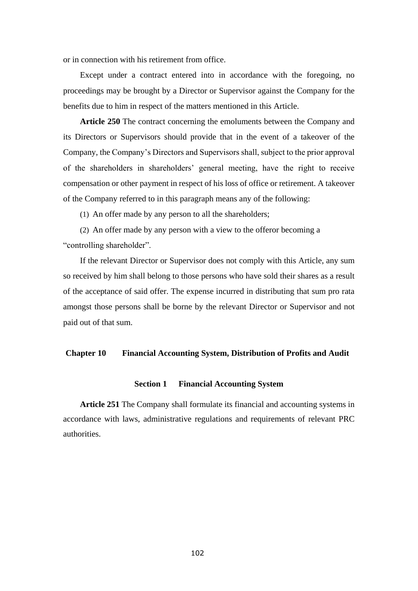or in connection with his retirement from office.

Except under a contract entered into in accordance with the foregoing, no proceedings may be brought by a Director or Supervisor against the Company for the benefits due to him in respect of the matters mentioned in this Article.

**Article 250** The contract concerning the emoluments between the Company and its Directors or Supervisors should provide that in the event of a takeover of the Company, the Company's Directors and Supervisors shall, subject to the prior approval of the shareholders in shareholders' general meeting, have the right to receive compensation or other payment in respect of his loss of office or retirement. A takeover of the Company referred to in this paragraph means any of the following:

(1) An offer made by any person to all the shareholders;

(2) An offer made by any person with a view to the offeror becoming a "controlling shareholder".

If the relevant Director or Supervisor does not comply with this Article, any sum so received by him shall belong to those persons who have sold their shares as a result of the acceptance of said offer. The expense incurred in distributing that sum pro rata amongst those persons shall be borne by the relevant Director or Supervisor and not paid out of that sum.

# **Chapter 10 Financial Accounting System, Distribution of Profits and [Audit](http://dict.youdao.com/w/audit/)**

#### **Section 1 Financial Accounting System**

**Article 251** The Company shall formulate its financial and accounting systems in accordance with laws, administrative regulations and requirements of relevant PRC authorities.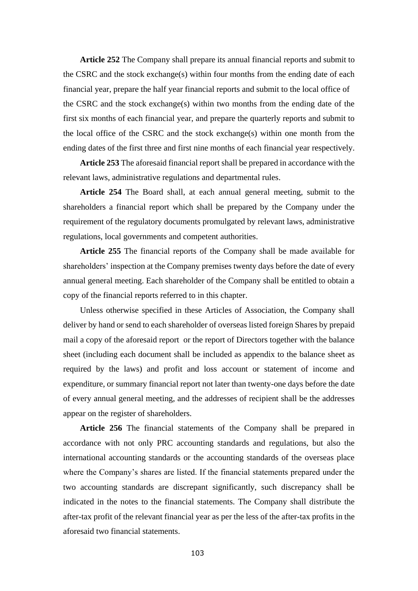**Article 252** The Company shall prepare its annual financial reports and submit to the CSRC and the stock exchange(s) within four months from the ending date of each financial year, prepare the half year financial reports and submit to the local office of the CSRC and the stock exchange(s) within two months from the ending date of the first six months of each financial year, and prepare the quarterly reports and submit to the local office of the CSRC and the stock exchange(s) within one month from the ending dates of the first three and first nine months of each financial year respectively.

**Article 253** The aforesaid financial report shall be prepared in accordance with the relevant laws, administrative regulations and departmental rules.

**Article 254** The Board shall, at each annual general meeting, submit to the shareholders a financial report which shall be prepared by the Company under the requirement of the regulatory documents promulgated by relevant laws, administrative regulations, local governments and competent authorities.

**Article 255** The financial reports of the Company shall be made available for shareholders' inspection at the Company premises twenty days before the date of every annual general meeting. Each shareholder of the Company shall be entitled to obtain a copy of the financial reports referred to in this chapter.

Unless otherwise specified in these Articles of Association, the Company shall deliver by hand or send to each shareholder of overseas listed foreign Shares by prepaid mail a copy of the aforesaid report or the report of Directors together with the balance sheet (including each document shall be included as appendix to the balance sheet as required by the laws) and profit and loss account or statement of income and expenditure, or summary financial report not later than twenty-one days before the date of every annual general meeting, and the addresses of recipient shall be the addresses appear on the register of shareholders.

**Article 256** The financial statements of the Company shall be prepared in accordance with not only PRC accounting standards and regulations, but also the international accounting standards or the accounting standards of the overseas place where the Company's shares are listed. If the financial statements prepared under the two accounting standards are discrepant significantly, such discrepancy shall be indicated in the notes to the financial statements. The Company shall distribute the after-tax profit of the relevant financial year as per the less of the after-tax profits in the aforesaid two financial statements.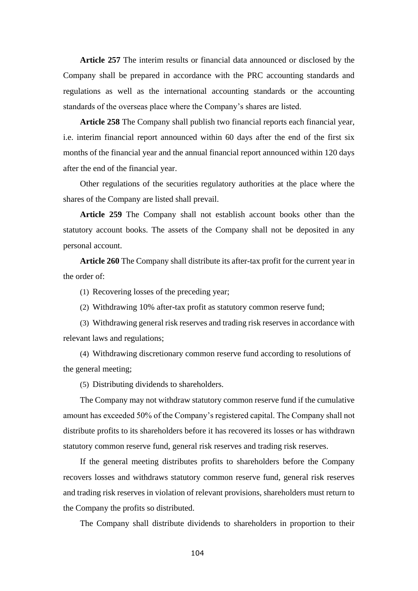**Article 257** The interim results or financial data announced or disclosed by the Company shall be prepared in accordance with the PRC accounting standards and regulations as well as the international accounting standards or the accounting standards of the overseas place where the Company's shares are listed.

**Article 258** The Company shall publish two financial reports each financial year, i.e. interim financial report announced within 60 days after the end of the first six months of the financial year and the annual financial report announced within 120 days after the end of the financial year.

Other regulations of the securities regulatory authorities at the place where the shares of the Company are listed shall prevail.

**Article 259** The Company shall not establish account books other than the statutory account books. The assets of the Company shall not be deposited in any personal account.

**Article 260** The Company shall distribute its after-tax profit for the current year in the order of:

(1) Recovering losses of the preceding year;

(2) Withdrawing 10% after-tax profit as statutory common reserve fund;

(3) Withdrawing general risk reserves and trading risk reserves in accordance with relevant laws and regulations;

(4) Withdrawing discretionary common reserve fund according to resolutions of the general meeting;

(5) Distributing dividends to shareholders.

The Company may not withdraw statutory common reserve fund if the cumulative amount has exceeded 50% of the Company's registered capital. The Company shall not distribute profits to its shareholders before it has recovered its losses or has withdrawn statutory common reserve fund, general risk reserves and trading risk reserves.

If the general meeting distributes profits to shareholders before the Company recovers losses and withdraws statutory common reserve fund, general risk reserves and trading risk reserves in violation of relevant provisions, shareholders must return to the Company the profits so distributed.

The Company shall distribute dividends to shareholders in proportion to their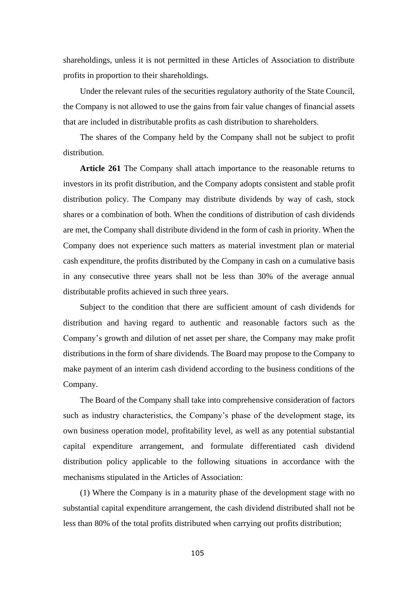shareholdings, unless it is not permitted in these Articles of Association to distribute profits in proportion to their shareholdings.

Under the relevant rules of the securities regulatory authority of the State Council, the Company is not allowed to use the gains from fair value changes of financial assets that are included in distributable profits as cash distribution to shareholders.

The shares of the Company held by the Company shall not be subject to profit distribution.

**Article 261** The Company shall attach importance to the reasonable returns to investors in its profit distribution, and the Company adopts consistent and stable profit distribution policy. The Company may distribute dividends by way of cash, stock shares or a combination of both. When the conditions of distribution of cash dividends are met, the Company shall distribute dividend in the form of cash in priority. When the Company does not experience such matters as material investment plan or material cash expenditure, the profits distributed by the Company in cash on a cumulative basis in any consecutive three years shall not be less than 30% of the average annual distributable profits achieved in such three years.

Subject to the condition that there are sufficient amount of cash dividends for distribution and having regard to authentic and reasonable factors such as the Company's growth and dilution of net asset per share, the Company may make profit distributions in the form of share dividends. The Board may propose to the Company to make payment of an interim cash dividend according to the business conditions of the Company.

The Board of the Company shall take into comprehensive consideration of factors such as industry characteristics, the Company's phase of the development stage, its own business operation model, profitability level, as well as any potential substantial capital expenditure arrangement, and formulate differentiated cash dividend distribution policy applicable to the following situations in accordance with the mechanisms stipulated in the Articles of Association:

(1) Where the Company is in a maturity phase of the development stage with no substantial capital expenditure arrangement, the cash dividend distributed shall not be less than 80% of the total profits distributed when carrying out profits distribution;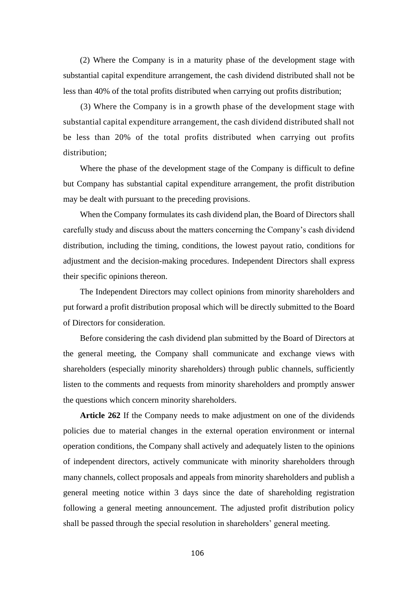(2) Where the Company is in a maturity phase of the development stage with substantial capital expenditure arrangement, the cash dividend distributed shall not be less than 40% of the total profits distributed when carrying out profits distribution;

(3) Where the Company is in a growth phase of the development stage with substantial capital expenditure arrangement, the cash dividend distributed shall not be less than 20% of the total profits distributed when carrying out profits distribution;

Where the phase of the development stage of the Company is difficult to define but Company has substantial capital expenditure arrangement, the profit distribution may be dealt with pursuant to the preceding provisions.

When the Company formulates its cash dividend plan, the Board of Directors shall carefully study and discuss about the matters concerning the Company's cash dividend distribution, including the timing, conditions, the lowest payout ratio, conditions for adjustment and the decision-making procedures. Independent Directors shall express their specific opinions thereon.

The Independent Directors may collect opinions from minority shareholders and put forward a profit distribution proposal which will be directly submitted to the Board of Directors for consideration.

Before considering the cash dividend plan submitted by the Board of Directors at the general meeting, the Company shall communicate and exchange views with shareholders (especially minority shareholders) through public channels, sufficiently listen to the comments and requests from minority shareholders and promptly answer the questions which concern minority shareholders.

**Article 262** If the Company needs to make adjustment on one of the dividends policies due to material changes in the external operation environment or internal operation conditions, the Company shall actively and adequately listen to the opinions of independent directors, actively communicate with minority shareholders through many channels, collect proposals and appeals from minority shareholders and publish a general meeting notice within 3 days since the date of shareholding registration following a general meeting announcement. The adjusted profit distribution policy shall be passed through the special resolution in shareholders' general meeting.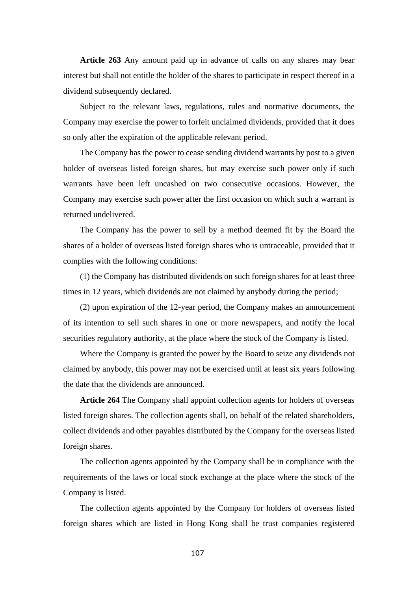**Article 263** Any amount paid up in advance of calls on any shares may bear interest but shall not entitle the holder of the shares to participate in respect thereof in a dividend subsequently declared.

Subject to the relevant laws, regulations, rules and normative documents, the Company may exercise the power to forfeit unclaimed dividends, provided that it does so only after the expiration of the applicable relevant period.

The Company has the power to cease sending dividend warrants by post to a given holder of overseas listed foreign shares, but may exercise such power only if such warrants have been left uncashed on two consecutive occasions. However, the Company may exercise such power after the first occasion on which such a warrant is returned undelivered.

The Company has the power to sell by a method deemed fit by the Board the shares of a holder of overseas listed foreign shares who is untraceable, provided that it complies with the following conditions:

(1) the Company has distributed dividends on such foreign shares for at least three times in 12 years, which dividends are not claimed by anybody during the period;

(2) upon expiration of the 12-year period, the Company makes an announcement of its intention to sell such shares in one or more newspapers, and notify the local securities regulatory authority, at the place where the stock of the Company is listed.

Where the Company is granted the power by the Board to seize any dividends not claimed by anybody, this power may not be exercised until at least six years following the date that the dividends are announced.

**Article 264** The Company shall appoint collection agents for holders of overseas listed foreign shares. The collection agents shall, on behalf of the related shareholders, collect dividends and other payables distributed by the Company for the overseas listed foreign shares.

The collection agents appointed by the Company shall be in compliance with the requirements of the laws or local stock exchange at the place where the stock of the Company is listed.

The collection agents appointed by the Company for holders of overseas listed foreign shares which are listed in Hong Kong shall be trust companies registered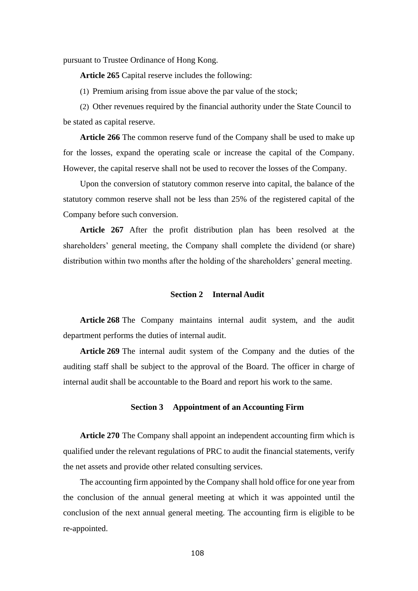pursuant to Trustee Ordinance of Hong Kong.

**Article 265** Capital reserve includes the following:

(1) Premium arising from issue above the par value of the stock;

(2) Other revenues required by the financial authority under the State Council to be stated as capital reserve.

**Article 266** The common reserve fund of the Company shall be used to make up for the losses, expand the operating scale or increase the capital of the Company. However, the capital reserve shall not be used to recover the losses of the Company.

Upon the conversion of statutory common reserve into capital, the balance of the statutory common reserve shall not be less than 25% of the registered capital of the Company before such conversion.

**Article 267** After the profit distribution plan has been resolved at the shareholders' general meeting, the Company shall complete the dividend (or share) distribution within two months after the holding of the shareholders' general meeting.

## **Section 2 Internal Audit**

**Article 268** The Company maintains internal audit system, and the audit department performs the duties of internal audit.

**Article 269** The internal audit system of the Company and the duties of the auditing staff shall be subject to the approval of the Board. The officer in charge of internal audit shall be accountable to the Board and report his work to the same.

#### **Section 3 Appointment of an Accounting Firm**

**Article 270** The Company shall appoint an independent accounting firm which is qualified under the relevant regulations of PRC to audit the financial statements, verify the net assets and provide other related consulting services.

The accounting firm appointed by the Company shall hold office for one year from the conclusion of the annual general meeting at which it was appointed until the conclusion of the next annual general meeting. The accounting firm is eligible to be re-appointed.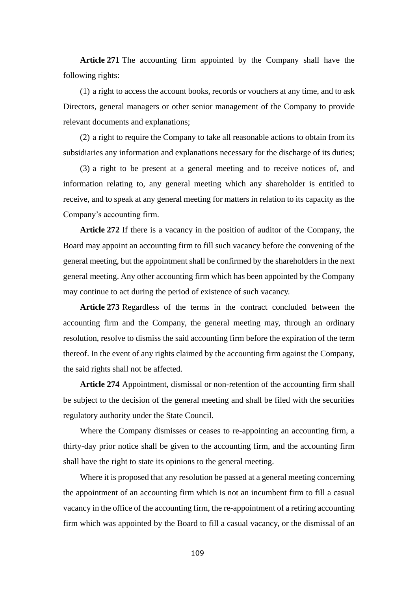**Article 271** The accounting firm appointed by the Company shall have the following rights:

(1) a right to access the account books, records or vouchers at any time, and to ask Directors, general managers or other senior management of the Company to provide relevant documents and explanations;

(2) a right to require the Company to take all reasonable actions to obtain from its subsidiaries any information and explanations necessary for the discharge of its duties;

(3) a right to be present at a general meeting and to receive notices of, and information relating to, any general meeting which any shareholder is entitled to receive, and to speak at any general meeting for matters in relation to its capacity as the Company's accounting firm.

**Article 272** If there is a vacancy in the position of auditor of the Company, the Board may appoint an accounting firm to fill such vacancy before the convening of the general meeting, but the appointment shall be confirmed by the shareholders in the next general meeting. Any other accounting firm which has been appointed by the Company may continue to act during the period of existence of such vacancy.

**Article 273** Regardless of the terms in the contract concluded between the accounting firm and the Company, the general meeting may, through an ordinary resolution, resolve to dismiss the said accounting firm before the expiration of the term thereof. In the event of any rights claimed by the accounting firm against the Company, the said rights shall not be affected.

**Article 274** Appointment, dismissal or non-retention of the accounting firm shall be subject to the decision of the general meeting and shall be filed with the securities regulatory authority under the State Council.

Where the Company dismisses or ceases to re-appointing an accounting firm, a thirty-day prior notice shall be given to the accounting firm, and the accounting firm shall have the right to state its opinions to the general meeting.

Where it is proposed that any resolution be passed at a general meeting concerning the appointment of an accounting firm which is not an incumbent firm to fill a casual vacancy in the office of the accounting firm, the re-appointment of a retiring accounting firm which was appointed by the Board to fill a casual vacancy, or the dismissal of an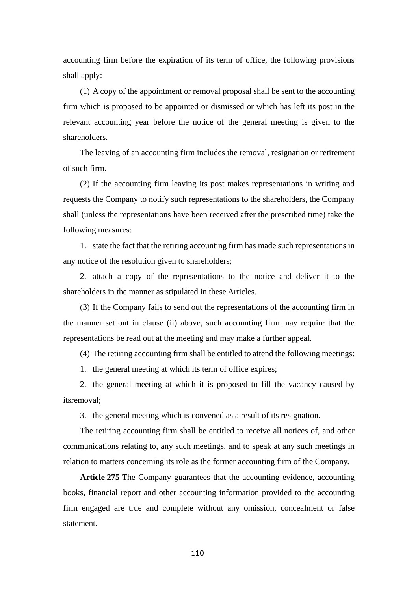accounting firm before the expiration of its term of office, the following provisions shall apply:

(1) A copy of the appointment or removal proposal shall be sent to the accounting firm which is proposed to be appointed or dismissed or which has left its post in the relevant accounting year before the notice of the general meeting is given to the shareholders.

The leaving of an accounting firm includes the removal, resignation or retirement of such firm.

(2) If the accounting firm leaving its post makes representations in writing and requests the Company to notify such representations to the shareholders, the Company shall (unless the representations have been received after the prescribed time) take the following measures:

1. state the fact that the retiring accounting firm has made such representations in any notice of the resolution given to shareholders;

2. attach a copy of the representations to the notice and deliver it to the shareholders in the manner as stipulated in these Articles.

(3) If the Company fails to send out the representations of the accounting firm in the manner set out in clause (ii) above, such accounting firm may require that the representations be read out at the meeting and may make a further appeal.

(4) The retiring accounting firm shall be entitled to attend the following meetings:

1. the general meeting at which its term of office expires;

2. the general meeting at which it is proposed to fill the vacancy caused by itsremoval;

3. the general meeting which is convened as a result of its resignation.

The retiring accounting firm shall be entitled to receive all notices of, and other communications relating to, any such meetings, and to speak at any such meetings in relation to matters concerning its role as the former accounting firm of the Company.

**Article 275** The Company guarantees that the accounting evidence, accounting books, financial report and other accounting information provided to the accounting firm engaged are true and complete without any omission, concealment or false statement.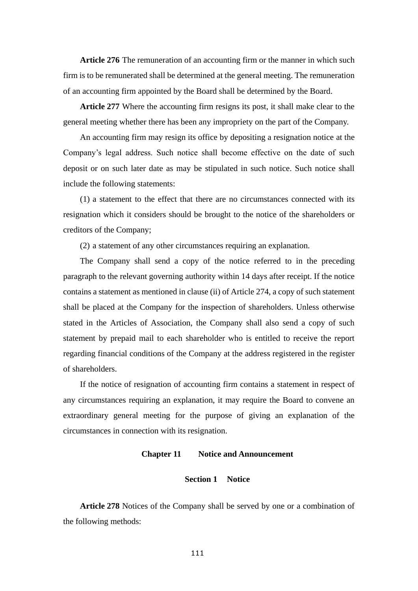**Article 276** The remuneration of an accounting firm or the manner in which such firm is to be remunerated shall be determined at the general meeting. The remuneration of an accounting firm appointed by the Board shall be determined by the Board.

**Article 277** Where the accounting firm resigns its post, it shall make clear to the general meeting whether there has been any impropriety on the part of the Company.

An accounting firm may resign its office by depositing a resignation notice at the Company's legal address. Such notice shall become effective on the date of such deposit or on such later date as may be stipulated in such notice. Such notice shall include the following statements:

(1) a statement to the effect that there are no circumstances connected with its resignation which it considers should be brought to the notice of the shareholders or creditors of the Company;

(2) a statement of any other circumstances requiring an explanation.

The Company shall send a copy of the notice referred to in the preceding paragraph to the relevant governing authority within 14 days after receipt. If the notice contains a statement as mentioned in clause (ii) of Article 274, a copy of such statement shall be placed at the Company for the inspection of shareholders. Unless otherwise stated in the Articles of Association, the Company shall also send a copy of such statement by prepaid mail to each shareholder who is entitled to receive the report regarding financial conditions of the Company at the address registered in the register of shareholders.

If the notice of resignation of accounting firm contains a statement in respect of any circumstances requiring an explanation, it may require the Board to convene an extraordinary general meeting for the purpose of giving an explanation of the circumstances in connection with its resignation.

## **Chapter 11 Notice and Announcement**

#### **Section 1 Notice**

**Article 278** Notices of the Company shall be served by one or a combination of the following methods: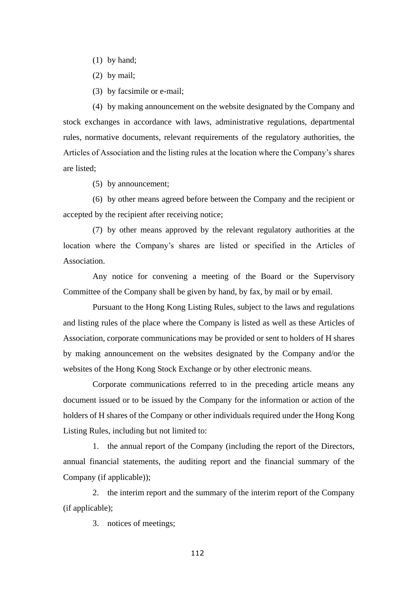- (1) by hand;
- (2) by mail;
- (3) by facsimile or e-mail;

(4) by making announcement on the website designated by the Company and stock exchanges in accordance with laws, administrative regulations, departmental rules, normative documents, relevant requirements of the regulatory authorities, the Articles of Association and the listing rules at the location where the Company's shares are listed;

(5) by announcement;

(6) by other means agreed before between the Company and the recipient or accepted by the recipient after receiving notice;

(7) by other means approved by the relevant regulatory authorities at the location where the Company's shares are listed or specified in the Articles of Association.

Any notice for convening a meeting of the Board or the Supervisory Committee of the Company shall be given by hand, by fax, by mail or by email.

Pursuant to the Hong Kong Listing Rules, subject to the laws and regulations and listing rules of the place where the Company is listed as well as these Articles of Association, corporate communications may be provided or sent to holders of H shares by making announcement on the websites designated by the Company and/or the websites of the Hong Kong Stock Exchange or by other electronic means.

Corporate communications referred to in the preceding article means any document issued or to be issued by the Company for the information or action of the holders of H shares of the Company or other individuals required under the Hong Kong Listing Rules, including but not limited to:

1. the annual report of the Company (including the report of the Directors, annual financial statements, the auditing report and the financial summary of the Company (if applicable));

2. the interim report and the summary of the interim report of the Company (if applicable);

3. notices of meetings;

112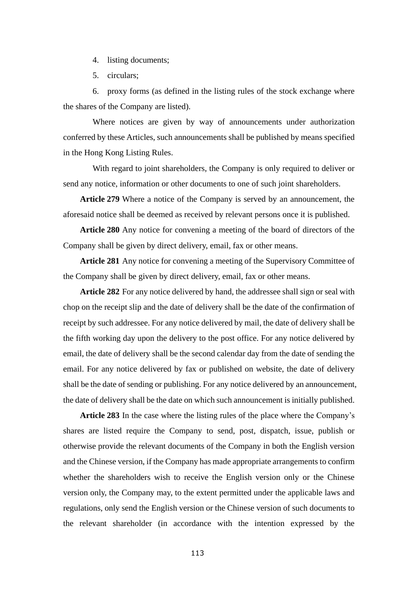4. listing documents;

5. circulars;

6. proxy forms (as defined in the listing rules of the stock exchange where the shares of the Company are listed).

Where notices are given by way of announcements under authorization conferred by these Articles, such announcements shall be published by means specified in the Hong Kong Listing Rules.

With regard to joint shareholders, the Company is only required to deliver or send any notice, information or other documents to one of such joint shareholders.

**Article 279** Where a notice of the Company is served by an announcement, the aforesaid notice shall be deemed as received by relevant persons once it is published.

**Article 280** Any notice for convening a meeting of the board of directors of the Company shall be given by direct delivery, email, fax or other means.

**Article 281** Any notice for convening a meeting of the Supervisory Committee of the Company shall be given by direct delivery, email, fax or other means.

**Article 282** For any notice delivered by hand, the addressee shall sign or seal with chop on the receipt slip and the date of delivery shall be the date of the confirmation of receipt by such addressee. For any notice delivered by mail, the date of delivery shall be the fifth working day upon the delivery to the post office. For any notice delivered by email, the date of delivery shall be the second calendar day from the date of sending the email. For any notice delivered by fax or published on website, the date of delivery shall be the date of sending or publishing. For any notice delivered by an announcement, the date of delivery shall be the date on which such announcement is initially published.

**Article 283** In the case where the listing rules of the place where the Company's shares are listed require the Company to send, post, dispatch, issue, publish or otherwise provide the relevant documents of the Company in both the English version and the Chinese version, if the Company has made appropriate arrangements to confirm whether the shareholders wish to receive the English version only or the Chinese version only, the Company may, to the extent permitted under the applicable laws and regulations, only send the English version or the Chinese version of such documents to the relevant shareholder (in accordance with the intention expressed by the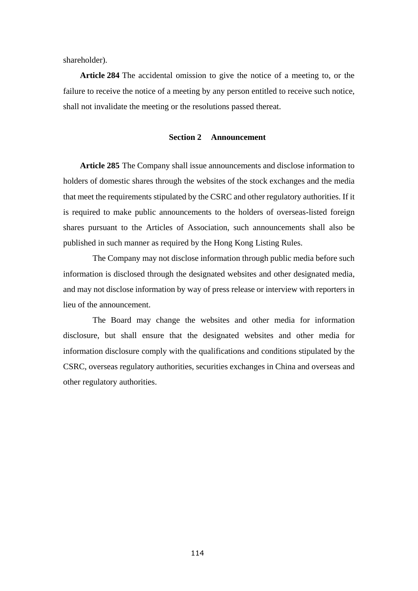shareholder).

**Article 284** The accidental omission to give the notice of a meeting to, or the failure to receive the notice of a meeting by any person entitled to receive such notice, shall not invalidate the meeting or the resolutions passed thereat.

# **Section 2 Announcement**

**Article 285** The Company shall issue announcements and disclose information to holders of domestic shares through the websites of the stock exchanges and the media that meet the requirements stipulated by the CSRC and other regulatory authorities. If it is required to make public announcements to the holders of overseas-listed foreign shares pursuant to the Articles of Association, such announcements shall also be published in such manner as required by the Hong Kong Listing Rules.

The Company may not disclose information through public media before such information is disclosed through the designated websites and other designated media, and may not disclose information by way of press release or interview with reporters in lieu of the announcement.

The Board may change the websites and other media for information disclosure, but shall ensure that the designated websites and other media for information disclosure comply with the qualifications and conditions stipulated by the CSRC, overseas regulatory authorities, securities exchanges in China and overseas and other regulatory authorities.

114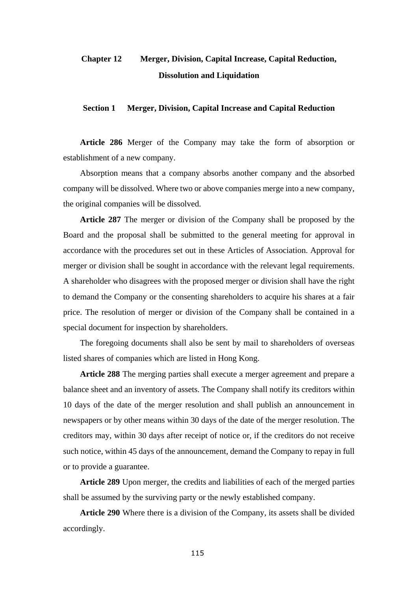# **Chapter 12 Merger, Division, Capital Increase, Capital Reduction, Dissolution and Liquidation**

#### **Section 1 Merger, Division, Capital Increase and Capital Reduction**

**Article 286** Merger of the Company may take the form of absorption or establishment of a new company.

Absorption means that a company absorbs another company and the absorbed company will be dissolved. Where two or above companies merge into a new company, the original companies will be dissolved.

**Article 287** The merger or division of the Company shall be proposed by the Board and the proposal shall be submitted to the general meeting for approval in accordance with the procedures set out in these Articles of Association. Approval for merger or division shall be sought in accordance with the relevant legal requirements. A shareholder who disagrees with the proposed merger or division shall have the right to demand the Company or the consenting shareholders to acquire his shares at a fair price. The resolution of merger or division of the Company shall be contained in a special document for inspection by shareholders.

The foregoing documents shall also be sent by mail to shareholders of overseas listed shares of companies which are listed in Hong Kong.

**Article 288** The merging parties shall execute a merger agreement and prepare a balance sheet and an inventory of assets. The Company shall notify its creditors within 10 days of the date of the merger resolution and shall publish an announcement in newspapers or by other means within 30 days of the date of the merger resolution. The creditors may, within 30 days after receipt of notice or, if the creditors do not receive such notice, within 45 days of the announcement, demand the Company to repay in full or to provide a guarantee.

**Article 289** Upon merger, the credits and liabilities of each of the merged parties shall be assumed by the surviving party or the newly established company.

**Article 290** Where there is a division of the Company, its assets shall be divided accordingly.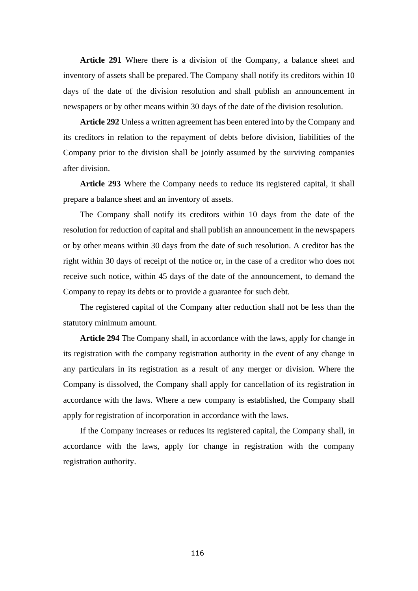**Article 291** Where there is a division of the Company, a balance sheet and inventory of assets shall be prepared. The Company shall notify its creditors within 10 days of the date of the division resolution and shall publish an announcement in newspapers or by other means within 30 days of the date of the division resolution.

**Article 292** Unless a written agreement has been entered into by the Company and its creditors in relation to the repayment of debts before division, liabilities of the Company prior to the division shall be jointly assumed by the surviving companies after division.

**Article 293** Where the Company needs to reduce its registered capital, it shall prepare a balance sheet and an inventory of assets.

The Company shall notify its creditors within 10 days from the date of the resolution for reduction of capital and shall publish an announcement in the newspapers or by other means within 30 days from the date of such resolution. A creditor has the right within 30 days of receipt of the notice or, in the case of a creditor who does not receive such notice, within 45 days of the date of the announcement, to demand the Company to repay its debts or to provide a guarantee for such debt.

The registered capital of the Company after reduction shall not be less than the statutory minimum amount.

**Article 294** The Company shall, in accordance with the laws, apply for change in its registration with the company registration authority in the event of any change in any particulars in its registration as a result of any merger or division. Where the Company is dissolved, the Company shall apply for cancellation of its registration in accordance with the laws. Where a new company is established, the Company shall apply for registration of incorporation in accordance with the laws.

If the Company increases or reduces its registered capital, the Company shall, in accordance with the laws, apply for change in registration with the company registration authority.

116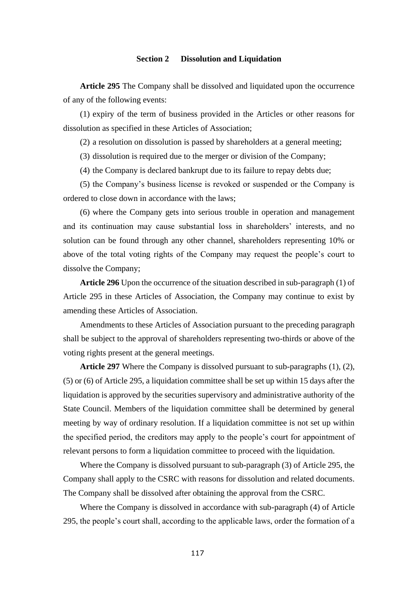#### **Section 2 Dissolution and Liquidation**

**Article 295** The Company shall be dissolved and liquidated upon the occurrence of any of the following events:

(1) expiry of the term of business provided in the Articles or other reasons for dissolution as specified in these Articles of Association;

(2) a resolution on dissolution is passed by shareholders at a general meeting;

(3) dissolution is required due to the merger or division of the Company;

(4) the Company is declared bankrupt due to its failure to repay debts due;

(5) the Company's business license is revoked or suspended or the Company is ordered to close down in accordance with the laws;

(6) where the Company gets into serious trouble in operation and management and its continuation may cause substantial loss in shareholders' interests, and no solution can be found through any other channel, shareholders representing 10% or above of the total voting rights of the Company may request the people's court to dissolve the Company;

**Article 296** Upon the occurrence of the situation described in sub-paragraph (1) of Article 295 in these Articles of Association, the Company may continue to exist by amending these Articles of Association.

Amendments to these Articles of Association pursuant to the preceding paragraph shall be subject to the approval of shareholders representing two-thirds or above of the voting rights present at the general meetings.

**Article 297** Where the Company is dissolved pursuant to sub-paragraphs (1), (2), (5) or (6) of Article 295, a liquidation committee shall be set up within 15 days after the liquidation is approved by the securities supervisory and administrative authority of the State Council. Members of the liquidation committee shall be determined by general meeting by way of ordinary resolution. If a liquidation committee is not set up within the specified period, the creditors may apply to the people's court for appointment of relevant persons to form a liquidation committee to proceed with the liquidation.

Where the Company is dissolved pursuant to sub-paragraph (3) of Article 295, the Company shall apply to the CSRC with reasons for dissolution and related documents. The Company shall be dissolved after obtaining the approval from the CSRC.

Where the Company is dissolved in accordance with sub-paragraph (4) of Article 295, the people's court shall, according to the applicable laws, order the formation of a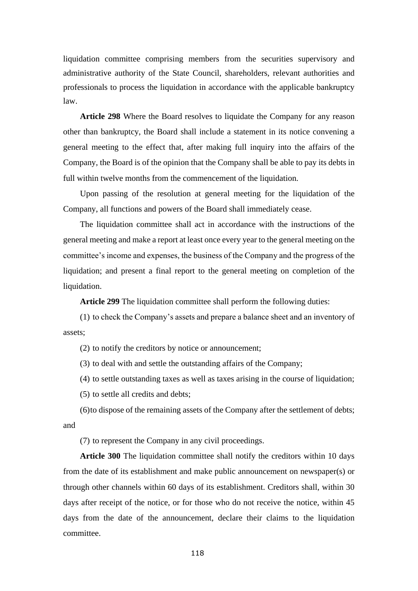liquidation committee comprising members from the securities supervisory and administrative authority of the State Council, shareholders, relevant authorities and professionals to process the liquidation in accordance with the applicable bankruptcy law.

**Article 298** Where the Board resolves to liquidate the Company for any reason other than bankruptcy, the Board shall include a statement in its notice convening a general meeting to the effect that, after making full inquiry into the affairs of the Company, the Board is of the opinion that the Company shall be able to pay its debts in full within twelve months from the commencement of the liquidation.

Upon passing of the resolution at general meeting for the liquidation of the Company, all functions and powers of the Board shall immediately cease.

The liquidation committee shall act in accordance with the instructions of the general meeting and make a report at least once every year to the general meeting on the committee's income and expenses, the business of the Company and the progress of the liquidation; and present a final report to the general meeting on completion of the liquidation.

**Article 299** The liquidation committee shall perform the following duties:

(1) to check the Company's assets and prepare a balance sheet and an inventory of assets;

(2) to notify the creditors by notice or announcement;

(3) to deal with and settle the outstanding affairs of the Company;

(4) to settle outstanding taxes as well as taxes arising in the course of liquidation;

(5) to settle all credits and debts;

(6)to dispose of the remaining assets of the Company after the settlement of debts; and

(7) to represent the Company in any civil proceedings.

**Article 300** The liquidation committee shall notify the creditors within 10 days from the date of its establishment and make public announcement on newspaper(s) or through other channels within 60 days of its establishment. Creditors shall, within 30 days after receipt of the notice, or for those who do not receive the notice, within 45 days from the date of the announcement, declare their claims to the liquidation committee.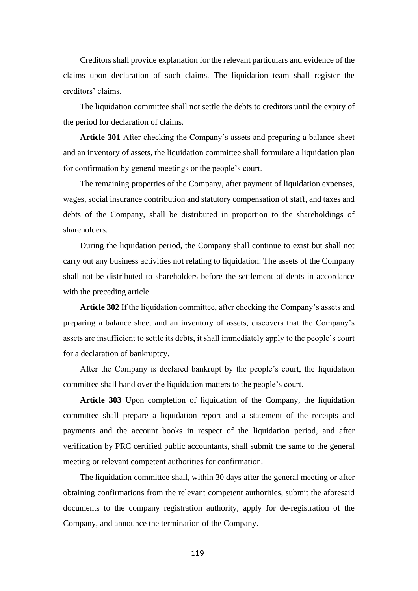Creditors shall provide explanation for the relevant particulars and evidence of the claims upon declaration of such claims. The liquidation team shall register the creditors' claims.

The liquidation committee shall not settle the debts to creditors until the expiry of the period for declaration of claims.

**Article 301** After checking the Company's assets and preparing a balance sheet and an inventory of assets, the liquidation committee shall formulate a liquidation plan for confirmation by general meetings or the people's court.

The remaining properties of the Company, after payment of liquidation expenses, wages, social insurance contribution and statutory compensation of staff, and taxes and debts of the Company, shall be distributed in proportion to the shareholdings of shareholders.

During the liquidation period, the Company shall continue to exist but shall not carry out any business activities not relating to liquidation. The assets of the Company shall not be distributed to shareholders before the settlement of debts in accordance with the preceding article.

**Article 302** If the liquidation committee, after checking the Company's assets and preparing a balance sheet and an inventory of assets, discovers that the Company's assets are insufficient to settle its debts, it shall immediately apply to the people's court for a declaration of bankruptcy.

After the Company is declared bankrupt by the people's court, the liquidation committee shall hand over the liquidation matters to the people's court.

**Article 303** Upon completion of liquidation of the Company, the liquidation committee shall prepare a liquidation report and a statement of the receipts and payments and the account books in respect of the liquidation period, and after verification by PRC certified public accountants, shall submit the same to the general meeting or relevant competent authorities for confirmation.

The liquidation committee shall, within 30 days after the general meeting or after obtaining confirmations from the relevant competent authorities, submit the aforesaid documents to the company registration authority, apply for de-registration of the Company, and announce the termination of the Company.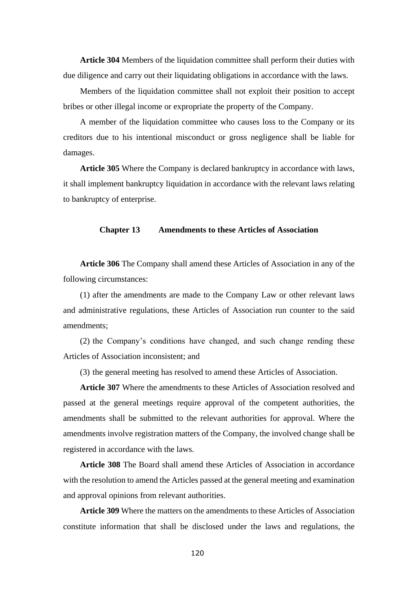**Article 304** Members of the liquidation committee shall perform their duties with due diligence and carry out their liquidating obligations in accordance with the laws.

Members of the liquidation committee shall not exploit their position to accept bribes or other illegal income or expropriate the property of the Company.

A member of the liquidation committee who causes loss to the Company or its creditors due to his intentional misconduct or gross negligence shall be liable for damages.

**Article 305** Where the Company is declared bankruptcy in accordance with laws, it shall implement bankruptcy liquidation in accordance with the relevant laws relating to bankruptcy of enterprise.

# **Chapter 13 Amendments to these Articles of Association**

**Article 306** The Company shall amend these Articles of Association in any of the following circumstances:

(1) after the amendments are made to the Company Law or other relevant laws and administrative regulations, these Articles of Association run counter to the said amendments;

(2) the Company's conditions have changed, and such change rending these Articles of Association inconsistent; and

(3) the general meeting has resolved to amend these Articles of Association.

**Article 307** Where the amendments to these Articles of Association resolved and passed at the general meetings require approval of the competent authorities, the amendments shall be submitted to the relevant authorities for approval. Where the amendments involve registration matters of the Company, the involved change shall be registered in accordance with the laws.

**Article 308** The Board shall amend these Articles of Association in accordance with the resolution to amend the Articles passed at the general meeting and examination and approval opinions from relevant authorities.

**Article 309** Where the matters on the amendments to these Articles of Association constitute information that shall be disclosed under the laws and regulations, the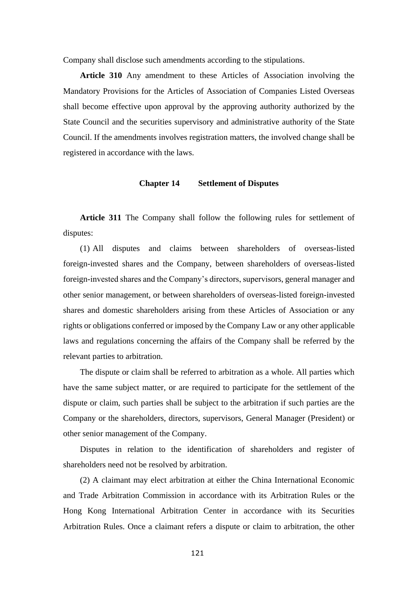Company shall disclose such amendments according to the stipulations.

**Article 310** Any amendment to these Articles of Association involving the Mandatory Provisions for the Articles of Association of Companies Listed Overseas shall become effective upon approval by the approving authority authorized by the State Council and the securities supervisory and administrative authority of the State Council. If the amendments involves registration matters, the involved change shall be registered in accordance with the laws.

#### **Chapter 14 Settlement of Disputes**

**Article 311** The Company shall follow the following rules for settlement of disputes:

(1) All disputes and claims between shareholders of overseas-listed foreign-invested shares and the Company, between shareholders of overseas-listed foreign-invested shares and the Company's directors, supervisors, general manager and other senior management, or between shareholders of overseas-listed foreign-invested shares and domestic shareholders arising from these Articles of Association or any rights or obligations conferred or imposed by the Company Law or any other applicable laws and regulations concerning the affairs of the Company shall be referred by the relevant parties to arbitration.

The dispute or claim shall be referred to arbitration as a whole. All parties which have the same subject matter, or are required to participate for the settlement of the dispute or claim, such parties shall be subject to the arbitration if such parties are the Company or the shareholders, directors, supervisors, General Manager (President) or other senior management of the Company.

Disputes in relation to the identification of shareholders and register of shareholders need not be resolved by arbitration.

(2) A claimant may elect arbitration at either the China International Economic and Trade Arbitration Commission in accordance with its Arbitration Rules or the Hong Kong International Arbitration Center in accordance with its Securities Arbitration Rules. Once a claimant refers a dispute or claim to arbitration, the other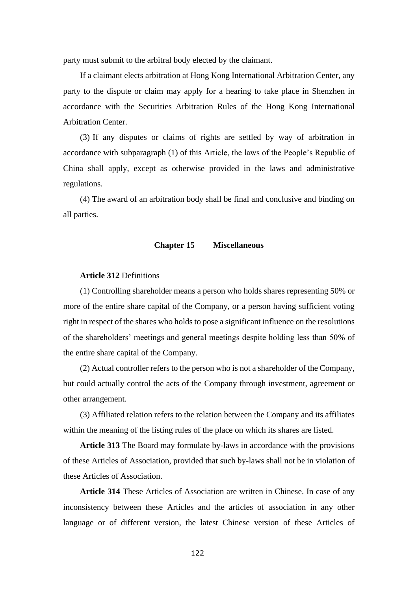party must submit to the arbitral body elected by the claimant.

If a claimant elects arbitration at Hong Kong International Arbitration Center, any party to the dispute or claim may apply for a hearing to take place in Shenzhen in accordance with the Securities Arbitration Rules of the Hong Kong International Arbitration Center.

(3) If any disputes or claims of rights are settled by way of arbitration in accordance with subparagraph (1) of this Article, the laws of the People's Republic of China shall apply, except as otherwise provided in the laws and administrative regulations.

(4) The award of an arbitration body shall be final and conclusive and binding on all parties.

#### **Chapter 15 Miscellaneous**

## **Article 312** Definitions

(1) Controlling shareholder means a person who holds shares representing 50% or more of the entire share capital of the Company, or a person having sufficient voting right in respect of the shares who holds to pose a significant influence on the resolutions of the shareholders' meetings and general meetings despite holding less than 50% of the entire share capital of the Company.

(2) Actual controller refers to the person who is not a shareholder of the Company, but could actually control the acts of the Company through investment, agreement or other arrangement.

(3) Affiliated relation refers to the relation between the Company and its affiliates within the meaning of the listing rules of the place on which its shares are listed.

**Article 313** The Board may formulate by-laws in accordance with the provisions of these Articles of Association, provided that such by-laws shall not be in violation of these Articles of Association.

**Article 314** These Articles of Association are written in Chinese. In case of any inconsistency between these Articles and the articles of association in any other language or of different version, the latest Chinese version of these Articles of